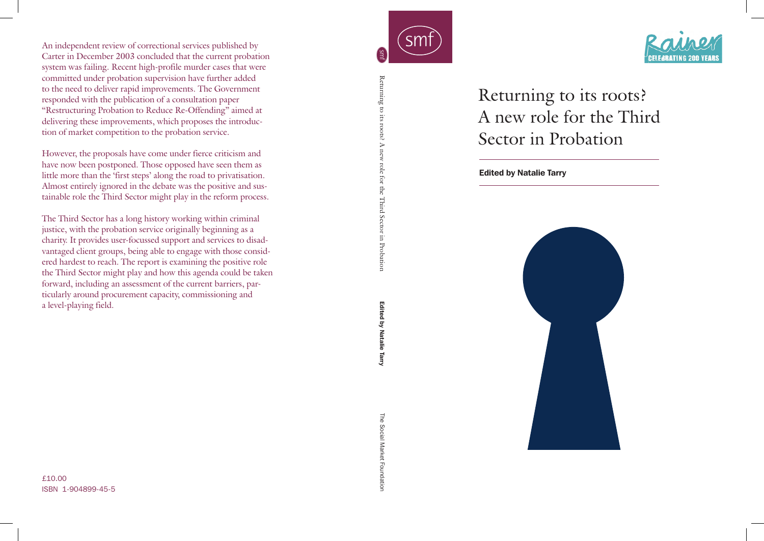



# Returning to its roots? A new role for the Third Sector in Probation

Edited by Natalie Tarry

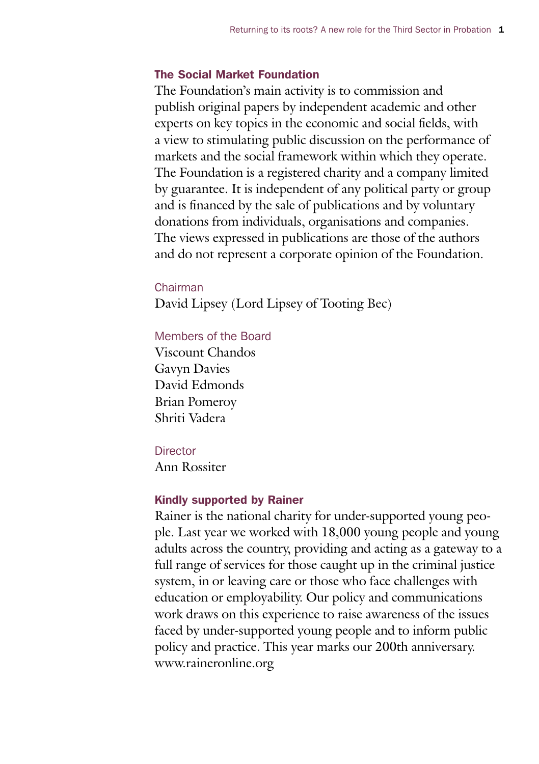# The Social Market Foundation

The Foundation's main activity is to commission and publish original papers by independent academic and other experts on key topics in the economic and social fields, with a view to stimulating public discussion on the performance of markets and the social framework within which they operate. The Foundation is a registered charity and a company limited by guarantee. It is independent of any political party or group and is financed by the sale of publications and by voluntary donations from individuals, organisations and companies. The views expressed in publications are those of the authors and do not represent a corporate opinion of the Foundation.

#### Chairman

David Lipsey (Lord Lipsey of Tooting Bec)

### Members of the Board

Viscount Chandos Gavyn Davies David Edmonds Brian Pomeroy Shriti Vadera

#### **Director**

Ann Rossiter

#### Kindly supported by Rainer

Rainer is the national charity for under-supported young people. Last year we worked with 18,000 young people and young adults across the country, providing and acting as a gateway to a full range of services for those caught up in the criminal justice system, in or leaving care or those who face challenges with education or employability. Our policy and communications work draws on this experience to raise awareness of the issues faced by under-supported young people and to inform public policy and practice. This year marks our 200th anniversary. www.raineronline.org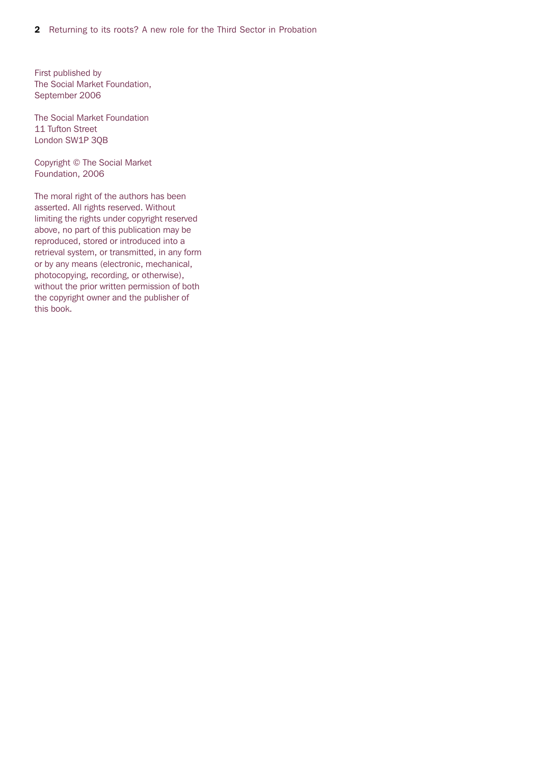First published by The Social Market Foundation, September 2006

The Social Market Foundation 11 Tufton Street London SW1P 3QB

Copyright © The Social Market Foundation, 2006

The moral right of the authors has been asserted. All rights reserved. Without limiting the rights under copyright reserved above, no part of this publication may be reproduced, stored or introduced into a retrieval system, or transmitted, in any form or by any means (electronic, mechanical, photocopying, recording, or otherwise), without the prior written permission of both the copyright owner and the publisher of this book.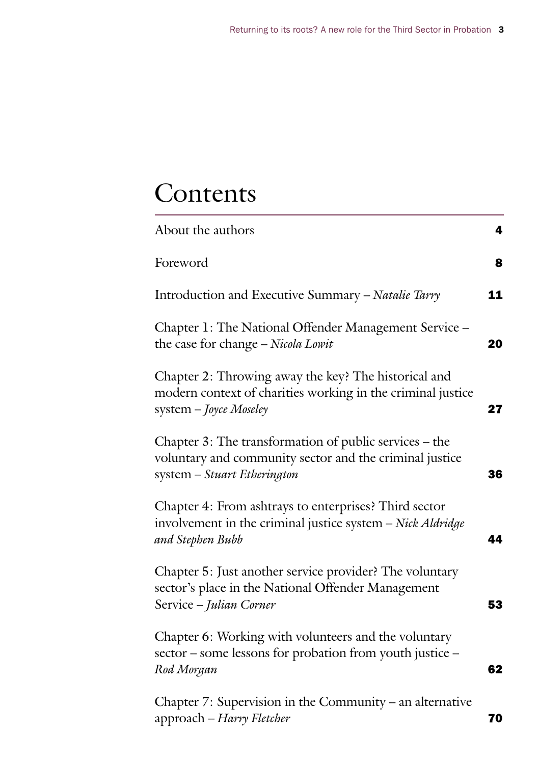# **Contents**

| About the authors                                                                                                                                | 4  |
|--------------------------------------------------------------------------------------------------------------------------------------------------|----|
| Foreword                                                                                                                                         | 8  |
| Introduction and Executive Summary - Natalie Tarry                                                                                               | 11 |
| Chapter 1: The National Offender Management Service -<br>the case for change - Nicola Lowit                                                      | 20 |
| Chapter 2: Throwing away the key? The historical and<br>modern context of charities working in the criminal justice<br>system - Joyce Moseley    | 27 |
| Chapter 3: The transformation of public services – the<br>voluntary and community sector and the criminal justice<br>system - Stuart Etherington | 36 |
| Chapter 4: From ashtrays to enterprises? Third sector<br>involvement in the criminal justice system - Nick Aldridge<br>and Stephen Bubb          | 44 |
| Chapter 5: Just another service provider? The voluntary<br>sector's place in the National Offender Management<br>Service - Julian Corner         | 53 |
| Chapter 6: Working with volunteers and the voluntary<br>sector - some lessons for probation from youth justice -<br>Rod Morgan                   | 62 |
| Chapter $7:$ Supervision in the Community – an alternative<br>approach - Harry Fletcher                                                          | 70 |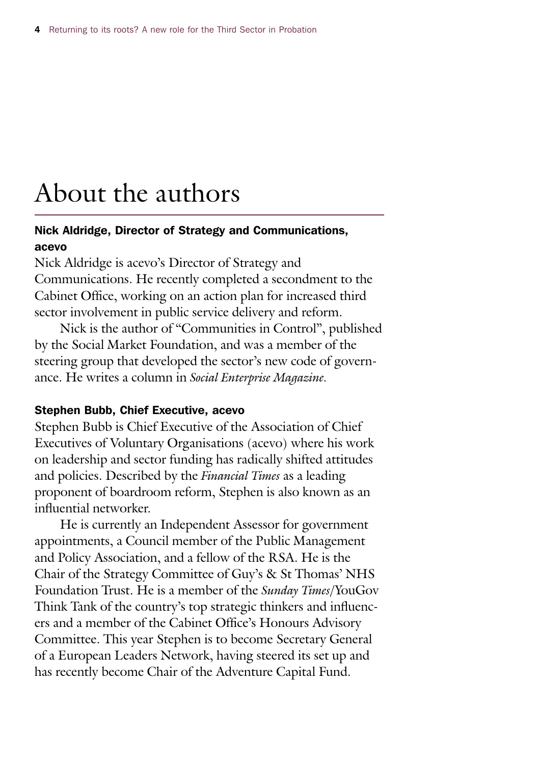# About the authors

# Nick Aldridge, Director of Strategy and Communications, acevo

Nick Aldridge is acevo's Director of Strategy and Communications. He recently completed a secondment to the Cabinet Office, working on an action plan for increased third sector involvement in public service delivery and reform.

 Nick is the author of "Communities in Control", published by the Social Market Foundation, and was a member of the steering group that developed the sector's new code of governance. He writes a column in *Social Enterprise Magazine.*

#### Stephen Bubb, Chief Executive, acevo

Stephen Bubb is Chief Executive of the Association of Chief Executives of Voluntary Organisations (acevo) where his work on leadership and sector funding has radically shifted attitudes and policies. Described by the *Financial Times* as a leading proponent of boardroom reform, Stephen is also known as an influential networker.

 He is currently an Independent Assessor for government appointments, a Council member of the Public Management and Policy Association, and a fellow of the RSA. He is the Chair of the Strategy Committee of Guy's & St Thomas' NHS Foundation Trust. He is a member of the *Sunday Times*/YouGov Think Tank of the country's top strategic thinkers and influencers and a member of the Cabinet Office's Honours Advisory Committee. This year Stephen is to become Secretary General of a European Leaders Network, having steered its set up and has recently become Chair of the Adventure Capital Fund.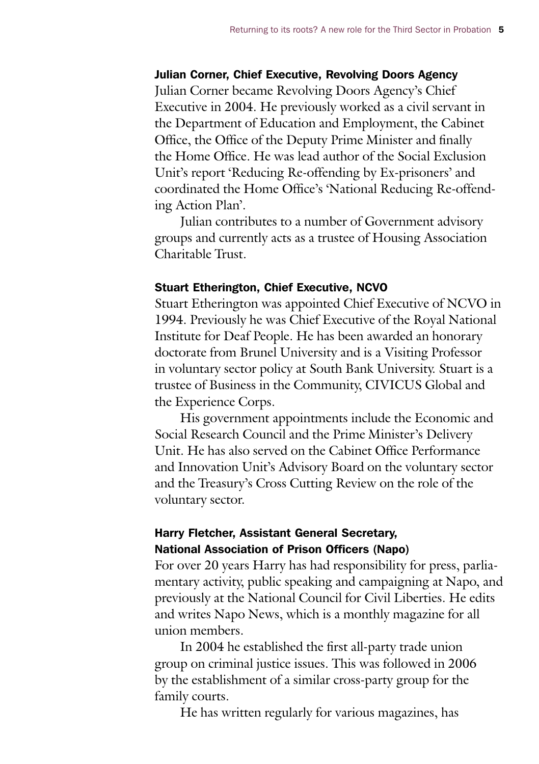# Julian Corner, Chief Executive, Revolving Doors Agency

Julian Corner became Revolving Doors Agency's Chief Executive in 2004. He previously worked as a civil servant in the Department of Education and Employment, the Cabinet Office, the Office of the Deputy Prime Minister and finally the Home Office. He was lead author of the Social Exclusion Unit's report 'Reducing Re-offending by Ex-prisoners' and coordinated the Home Office's 'National Reducing Re-offending Action Plan'.

 Julian contributes to a number of Government advisory groups and currently acts as a trustee of Housing Association Charitable Trust.

#### Stuart Etherington, Chief Executive, NCVO

Stuart Etherington was appointed Chief Executive of NCVO in 1994. Previously he was Chief Executive of the Royal National Institute for Deaf People. He has been awarded an honorary doctorate from Brunel University and is a Visiting Professor in voluntary sector policy at South Bank University. Stuart is a trustee of Business in the Community, CIVICUS Global and the Experience Corps.

 His government appointments include the Economic and Social Research Council and the Prime Minister's Delivery Unit. He has also served on the Cabinet Office Performance and Innovation Unit's Advisory Board on the voluntary sector and the Treasury's Cross Cutting Review on the role of the voluntary sector.

# Harry Fletcher, Assistant General Secretary, National Association of Prison Officers (Napo)

For over 20 years Harry has had responsibility for press, parliamentary activity, public speaking and campaigning at Napo, and previously at the National Council for Civil Liberties. He edits and writes Napo News, which is a monthly magazine for all union members.

 In 2004 he established the first all-party trade union group on criminal justice issues. This was followed in 2006 by the establishment of a similar cross-party group for the family courts.

He has written regularly for various magazines, has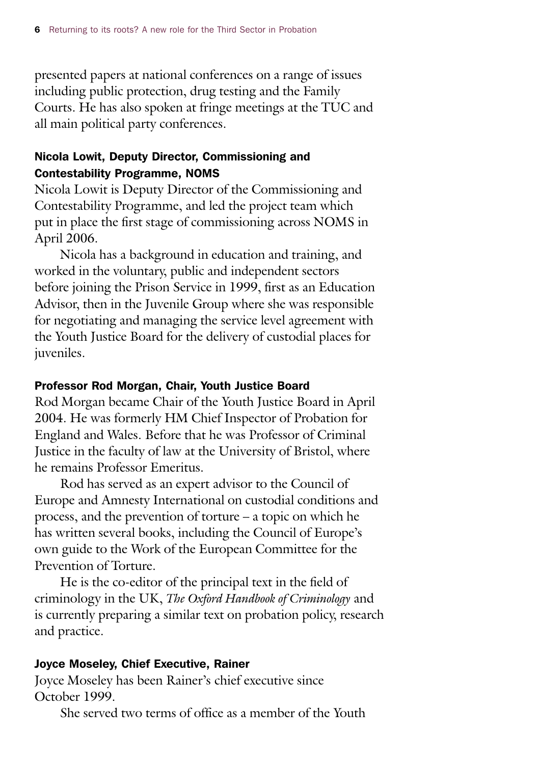presented papers at national conferences on a range of issues including public protection, drug testing and the Family Courts. He has also spoken at fringe meetings at the TUC and all main political party conferences.

# Nicola Lowit, Deputy Director, Commissioning and Contestability Programme, NOMS

Nicola Lowit is Deputy Director of the Commissioning and Contestability Programme, and led the project team which put in place the first stage of commissioning across NOMS in April 2006.

 Nicola has a background in education and training, and worked in the voluntary, public and independent sectors before joining the Prison Service in 1999, first as an Education Advisor, then in the Juvenile Group where she was responsible for negotiating and managing the service level agreement with the Youth Justice Board for the delivery of custodial places for juveniles.

#### Professor Rod Morgan, Chair, Youth Justice Board

Rod Morgan became Chair of the Youth Justice Board in April 2004. He was formerly HM Chief Inspector of Probation for England and Wales. Before that he was Professor of Criminal Justice in the faculty of law at the University of Bristol, where he remains Professor Emeritus.

 Rod has served as an expert advisor to the Council of Europe and Amnesty International on custodial conditions and process, and the prevention of torture – a topic on which he has written several books, including the Council of Europe's own guide to the Work of the European Committee for the Prevention of Torture.

 He is the co-editor of the principal text in the field of criminology in the UK, *The Oxford Handbook of Criminology* and is currently preparing a similar text on probation policy, research and practice.

#### Joyce Moseley, Chief Executive, Rainer

Joyce Moseley has been Rainer's chief executive since October 1999.

She served two terms of office as a member of the Youth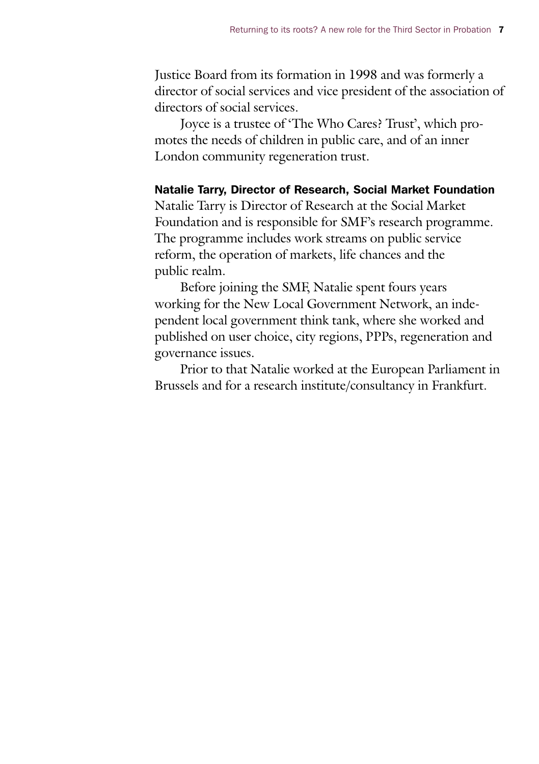Justice Board from its formation in 1998 and was formerly a director of social services and vice president of the association of directors of social services.

 Joyce is a trustee of 'The Who Cares? Trust', which promotes the needs of children in public care, and of an inner London community regeneration trust.

# Natalie Tarry, Director of Research, Social Market Foundation

Natalie Tarry is Director of Research at the Social Market Foundation and is responsible for SMF's research programme. The programme includes work streams on public service reform, the operation of markets, life chances and the public realm.

 Before joining the SMF, Natalie spent fours years working for the New Local Government Network, an independent local government think tank, where she worked and published on user choice, city regions, PPPs, regeneration and governance issues.

 Prior to that Natalie worked at the European Parliament in Brussels and for a research institute/consultancy in Frankfurt.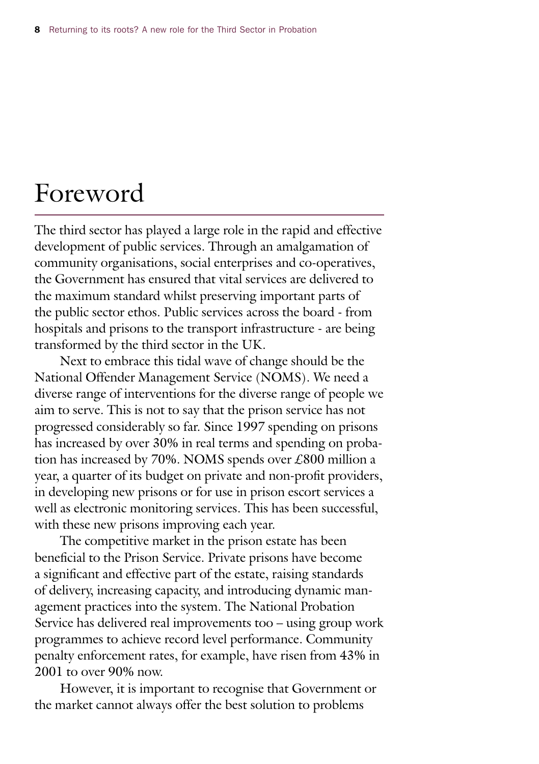# Foreword

The third sector has played a large role in the rapid and effective development of public services. Through an amalgamation of community organisations, social enterprises and co-operatives, the Government has ensured that vital services are delivered to the maximum standard whilst preserving important parts of the public sector ethos. Public services across the board - from hospitals and prisons to the transport infrastructure - are being transformed by the third sector in the UK.

 Next to embrace this tidal wave of change should be the National Offender Management Service (NOMS). We need a diverse range of interventions for the diverse range of people we aim to serve. This is not to say that the prison service has not progressed considerably so far. Since 1997 spending on prisons has increased by over 30% in real terms and spending on probation has increased by 70%. NOMS spends over £800 million a year, a quarter of its budget on private and non-profit providers, in developing new prisons or for use in prison escort services a well as electronic monitoring services. This has been successful, with these new prisons improving each year.

 The competitive market in the prison estate has been beneficial to the Prison Service. Private prisons have become a significant and effective part of the estate, raising standards of delivery, increasing capacity, and introducing dynamic management practices into the system. The National Probation Service has delivered real improvements too – using group work programmes to achieve record level performance. Community penalty enforcement rates, for example, have risen from 43% in 2001 to over 90% now.

 However, it is important to recognise that Government or the market cannot always offer the best solution to problems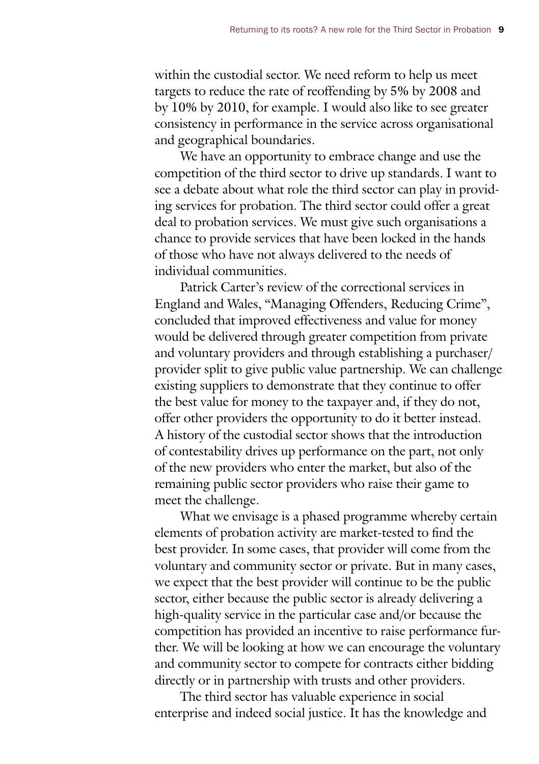within the custodial sector. We need reform to help us meet targets to reduce the rate of reoffending by 5% by 2008 and by 10% by 2010, for example. I would also like to see greater consistency in performance in the service across organisational and geographical boundaries.

 We have an opportunity to embrace change and use the competition of the third sector to drive up standards. I want to see a debate about what role the third sector can play in providing services for probation. The third sector could offer a great deal to probation services. We must give such organisations a chance to provide services that have been locked in the hands of those who have not always delivered to the needs of individual communities.

 Patrick Carter's review of the correctional services in England and Wales, "Managing Offenders, Reducing Crime", concluded that improved effectiveness and value for money would be delivered through greater competition from private and voluntary providers and through establishing a purchaser/ provider split to give public value partnership. We can challenge existing suppliers to demonstrate that they continue to offer the best value for money to the taxpayer and, if they do not, offer other providers the opportunity to do it better instead. A history of the custodial sector shows that the introduction of contestability drives up performance on the part, not only of the new providers who enter the market, but also of the remaining public sector providers who raise their game to meet the challenge.

 What we envisage is a phased programme whereby certain elements of probation activity are market-tested to find the best provider. In some cases, that provider will come from the voluntary and community sector or private. But in many cases, we expect that the best provider will continue to be the public sector, either because the public sector is already delivering a high-quality service in the particular case and/or because the competition has provided an incentive to raise performance further. We will be looking at how we can encourage the voluntary and community sector to compete for contracts either bidding directly or in partnership with trusts and other providers.

 The third sector has valuable experience in social enterprise and indeed social justice. It has the knowledge and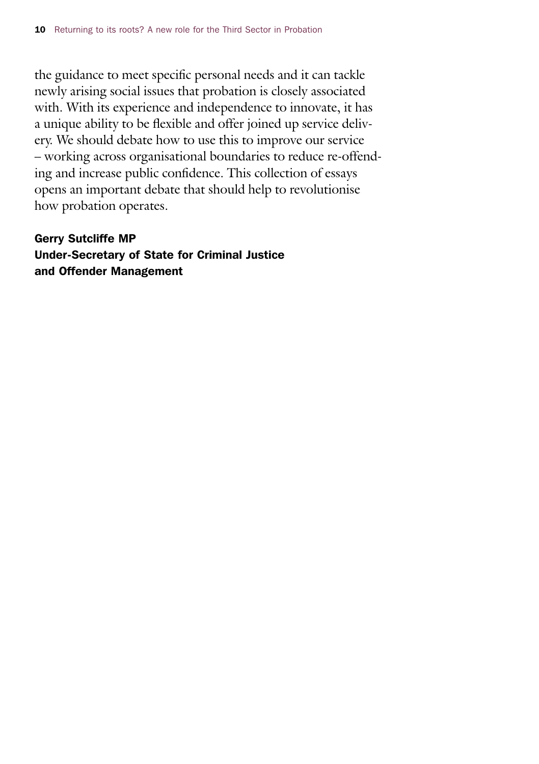the guidance to meet specific personal needs and it can tackle newly arising social issues that probation is closely associated with. With its experience and independence to innovate, it has a unique ability to be flexible and offer joined up service delivery. We should debate how to use this to improve our service – working across organisational boundaries to reduce re-offending and increase public confidence. This collection of essays opens an important debate that should help to revolutionise how probation operates.

Gerry Sutcliffe MP Under-Secretary of State for Criminal Justice and Offender Management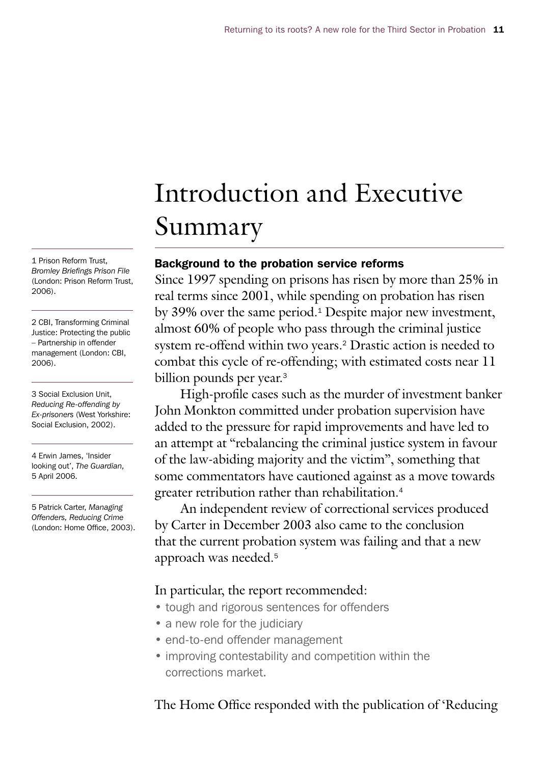# Introduction and Executive Summary

#### Background to the probation service reforms

Since 1997 spending on prisons has risen by more than 25% in real terms since 2001, while spending on probation has risen by 39% over the same period.<sup>1</sup> Despite major new investment, almost 60% of people who pass through the criminal justice system re-offend within two years.2 Drastic action is needed to combat this cycle of re-offending; with estimated costs near 11 billion pounds per year.<sup>3</sup>

 High-profile cases such as the murder of investment banker John Monkton committed under probation supervision have added to the pressure for rapid improvements and have led to an attempt at "rebalancing the criminal justice system in favour of the law-abiding majority and the victim", something that some commentators have cautioned against as a move towards greater retribution rather than rehabilitation.<sup>4</sup>

 An independent review of correctional services produced by Carter in December 2003 also came to the conclusion that the current probation system was failing and that a new approach was needed.<sup>5</sup>

#### In particular, the report recommended:

- tough and rigorous sentences for offenders
- a new role for the judiciary
- end-to-end offender management
- improving contestability and competition within the corrections market.

# The Home Office responded with the publication of 'Reducing

1 Prison Reform Trust, *Bromley Briefings Prison File* (London: Prison Reform Trust, 2006).

2 CBI, Transforming Criminal Justice: Protecting the public – Partnership in offender management (London: CBI, 2006).

3 Social Exclusion Unit, *Reducing Re-offending by Ex-prisoners* (West Yorkshire: Social Exclusion, 2002).

4 Erwin James, 'Insider looking out', *The Guardian,*  5 April 2006.

5 Patrick Carter, *Managing Offenders, Reducing Crime*  (London: Home Office, 2003).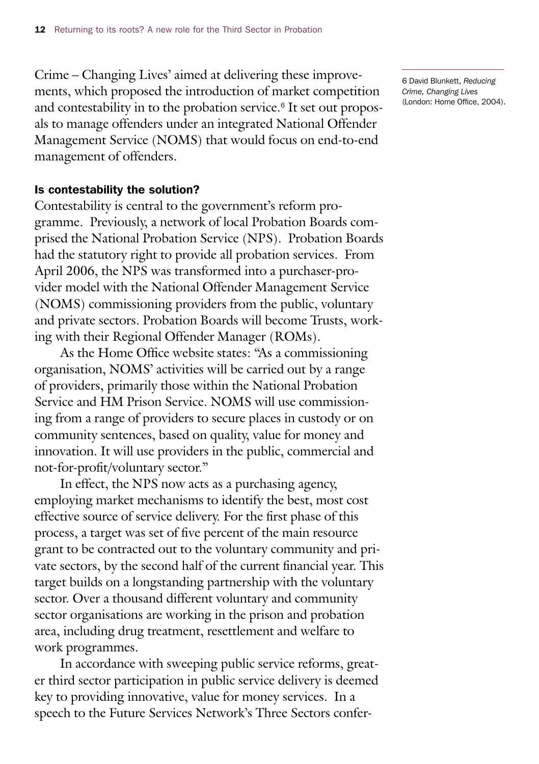Crime – Changing Lives' aimed at delivering these improvements, which proposed the introduction of market competition and contestability in to the probation service.<sup>6</sup> It set out proposals to manage offenders under an integrated National Offender Management Service (NOMS) that would focus on end-to-end management of offenders.

Is contestability the solution?

Contestability is central to the government's reform programme. Previously, a network of local Probation Boards comprised the National Probation Service (NPS). Probation Boards had the statutory right to provide all probation services. From April 2006, the NPS was transformed into a purchaser-provider model with the National Offender Management Service (NOMS) commissioning providers from the public, voluntary and private sectors. Probation Boards will become Trusts, working with their Regional Offender Manager (ROMs).

 As the Home Office website states: "As a commissioning organisation, NOMS' activities will be carried out by a range of providers, primarily those within the National Probation Service and HM Prison Service. NOMS will use commissioning from a range of providers to secure places in custody or on community sentences, based on quality, value for money and innovation. It will use providers in the public, commercial and not-for-profit/voluntary sector."

 In effect, the NPS now acts as a purchasing agency, employing market mechanisms to identify the best, most cost effective source of service delivery. For the first phase of this process, a target was set of five percent of the main resource grant to be contracted out to the voluntary community and private sectors, by the second half of the current financial year. This target builds on a longstanding partnership with the voluntary sector. Over a thousand different voluntary and community sector organisations are working in the prison and probation area, including drug treatment, resettlement and welfare to work programmes.

 In accordance with sweeping public service reforms, greater third sector participation in public service delivery is deemed key to providing innovative, value for money services. In a speech to the Future Services Network's Three Sectors confer6 David Blunkett, *Reducing Crime, Changing Lives* (London: Home Office, 2004).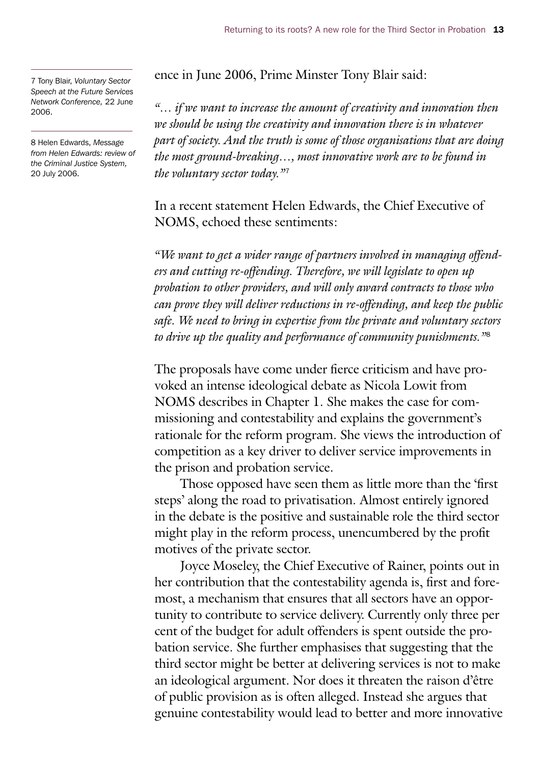7 Tony Blair, *Voluntary Sector Speech at the Future Services Network Conference,* 22 June 2006.

8 Helen Edwards, *Message from Helen Edwards: review of the Criminal Justice System,* 20 July 2006.

# ence in June 2006, Prime Minster Tony Blair said:

*"… if we want to increase the amount of creativity and innovation then we should be using the creativity and innovation there is in whatever part of society. And the truth is some of those organisations that are doing the most ground-breaking…, most innovative work are to be found in the voluntary sector today."*<sup>7</sup>

# In a recent statement Helen Edwards, the Chief Executive of NOMS, echoed these sentiments:

*"We want to get a wider range of partners involved in managing offenders and cutting re-offending. Therefore, we will legislate to open up probation to other providers, and will only award contracts to those who can prove they will deliver reductions in re-offending, and keep the public safe. We need to bring in expertise from the private and voluntary sectors to drive up the quality and performance of community punishments."*<sup>8</sup>

The proposals have come under fierce criticism and have provoked an intense ideological debate as Nicola Lowit from NOMS describes in Chapter 1. She makes the case for commissioning and contestability and explains the government's rationale for the reform program. She views the introduction of competition as a key driver to deliver service improvements in the prison and probation service.

 Those opposed have seen them as little more than the 'first steps' along the road to privatisation. Almost entirely ignored in the debate is the positive and sustainable role the third sector might play in the reform process, unencumbered by the profit motives of the private sector.

 Joyce Moseley, the Chief Executive of Rainer, points out in her contribution that the contestability agenda is, first and foremost, a mechanism that ensures that all sectors have an opportunity to contribute to service delivery. Currently only three per cent of the budget for adult offenders is spent outside the probation service. She further emphasises that suggesting that the third sector might be better at delivering services is not to make an ideological argument. Nor does it threaten the raison d'être of public provision as is often alleged. Instead she argues that genuine contestability would lead to better and more innovative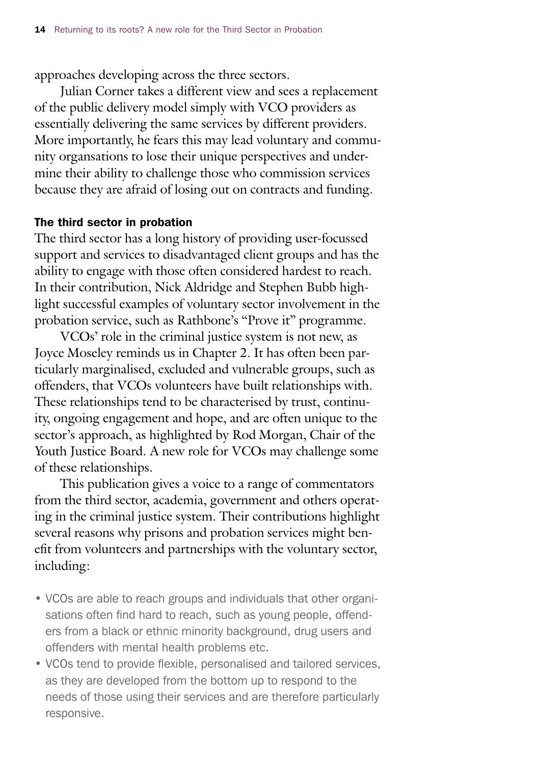approaches developing across the three sectors.

 Julian Corner takes a different view and sees a replacement of the public delivery model simply with VCO providers as essentially delivering the same services by different providers. More importantly, he fears this may lead voluntary and community organsations to lose their unique perspectives and undermine their ability to challenge those who commission services because they are afraid of losing out on contracts and funding.

### The third sector in probation

The third sector has a long history of providing user-focussed support and services to disadvantaged client groups and has the ability to engage with those often considered hardest to reach. In their contribution, Nick Aldridge and Stephen Bubb highlight successful examples of voluntary sector involvement in the probation service, such as Rathbone's "Prove it" programme.

 VCOs' role in the criminal justice system is not new, as Joyce Moseley reminds us in Chapter 2. It has often been particularly marginalised, excluded and vulnerable groups, such as offenders, that VCOs volunteers have built relationships with. These relationships tend to be characterised by trust, continuity, ongoing engagement and hope, and are often unique to the sector's approach, as highlighted by Rod Morgan, Chair of the Youth Justice Board. A new role for VCOs may challenge some of these relationships.

 This publication gives a voice to a range of commentators from the third sector, academia, government and others operating in the criminal justice system. Their contributions highlight several reasons why prisons and probation services might benefit from volunteers and partnerships with the voluntary sector, including:

- VCOs are able to reach groups and individuals that other organisations often find hard to reach, such as young people, offenders from a black or ethnic minority background, drug users and offenders with mental health problems etc.
- VCOs tend to provide flexible, personalised and tailored services, as they are developed from the bottom up to respond to the needs of those using their services and are therefore particularly responsive.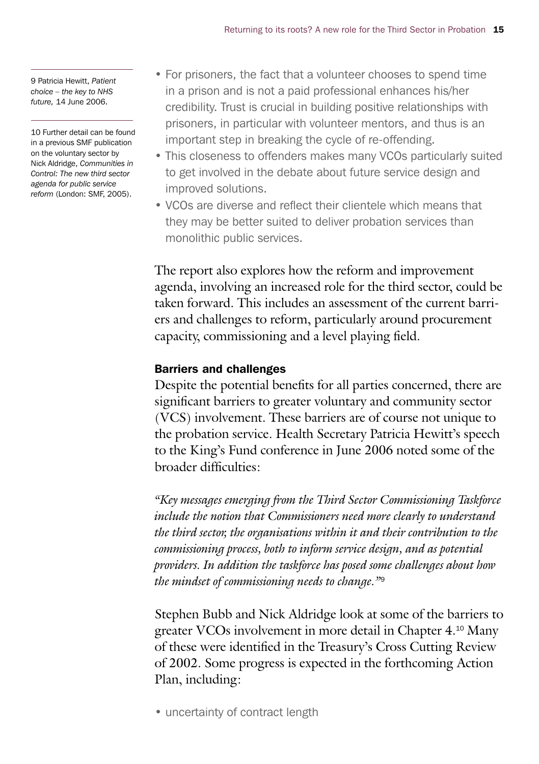9 Patricia Hewitt, *Patient choice – the key to NHS future,* 14 June 2006.

10 Further detail can be found in a previous SMF publication on the voluntary sector by Nick Aldridge, *Communities in Control: The new third sector agenda for public service reform* (London: SMF, 2005).

- For prisoners, the fact that a volunteer chooses to spend time in a prison and is not a paid professional enhances his/her credibility. Trust is crucial in building positive relationships with prisoners, in particular with volunteer mentors, and thus is an important step in breaking the cycle of re-offending.
- This closeness to offenders makes many VCOs particularly suited to get involved in the debate about future service design and improved solutions.
- VCOs are diverse and reflect their clientele which means that they may be better suited to deliver probation services than monolithic public services.

The report also explores how the reform and improvement agenda, involving an increased role for the third sector, could be taken forward. This includes an assessment of the current barriers and challenges to reform, particularly around procurement capacity, commissioning and a level playing field.

# Barriers and challenges

Despite the potential benefits for all parties concerned, there are significant barriers to greater voluntary and community sector (VCS) involvement. These barriers are of course not unique to the probation service. Health Secretary Patricia Hewitt's speech to the King's Fund conference in June 2006 noted some of the broader difficulties:

*"Key messages emerging from the Third Sector Commissioning Taskforce include the notion that Commissioners need more clearly to understand the third sector, the organisations within it and their contribution to the commissioning process, both to inform service design, and as potential providers. In addition the taskforce has posed some challenges about how the mindset of commissioning needs to change."*<sup>9</sup>

Stephen Bubb and Nick Aldridge look at some of the barriers to greater VCOs involvement in more detail in Chapter 4.10 Many of these were identified in the Treasury's Cross Cutting Review of 2002. Some progress is expected in the forthcoming Action Plan, including:

• uncertainty of contract length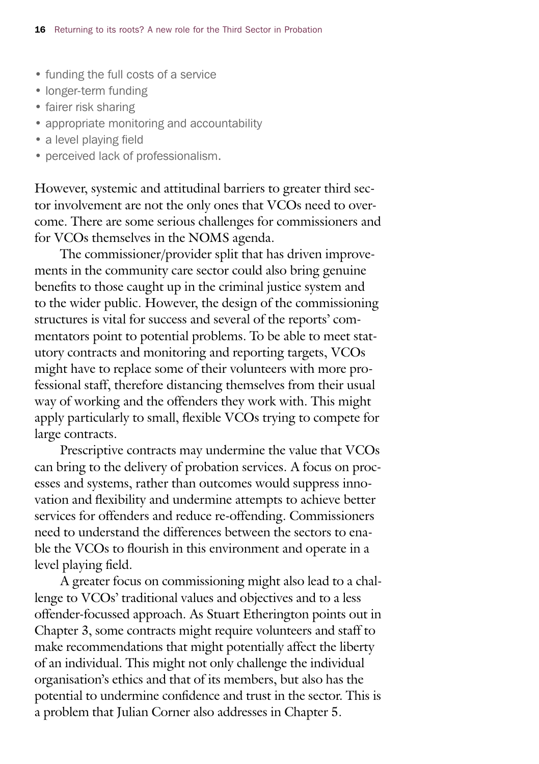- funding the full costs of a service
- longer-term funding
- fairer risk sharing
- appropriate monitoring and accountability
- a level playing field
- perceived lack of professionalism.

However, systemic and attitudinal barriers to greater third sector involvement are not the only ones that VCOs need to overcome. There are some serious challenges for commissioners and for VCOs themselves in the NOMS agenda.

 The commissioner/provider split that has driven improvements in the community care sector could also bring genuine benefits to those caught up in the criminal justice system and to the wider public. However, the design of the commissioning structures is vital for success and several of the reports' commentators point to potential problems. To be able to meet statutory contracts and monitoring and reporting targets, VCOs might have to replace some of their volunteers with more professional staff, therefore distancing themselves from their usual way of working and the offenders they work with. This might apply particularly to small, flexible VCOs trying to compete for large contracts.

 Prescriptive contracts may undermine the value that VCOs can bring to the delivery of probation services. A focus on processes and systems, rather than outcomes would suppress innovation and flexibility and undermine attempts to achieve better services for offenders and reduce re-offending. Commissioners need to understand the differences between the sectors to enable the VCOs to flourish in this environment and operate in a level playing field.

 A greater focus on commissioning might also lead to a challenge to VCOs' traditional values and objectives and to a less offender-focussed approach. As Stuart Etherington points out in Chapter 3, some contracts might require volunteers and staff to make recommendations that might potentially affect the liberty of an individual. This might not only challenge the individual organisation's ethics and that of its members, but also has the potential to undermine confidence and trust in the sector. This is a problem that Julian Corner also addresses in Chapter 5.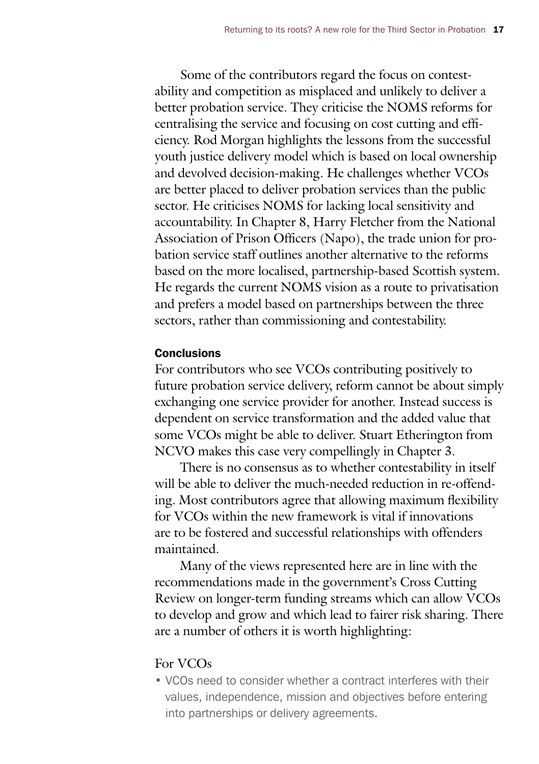Some of the contributors regard the focus on contestability and competition as misplaced and unlikely to deliver a better probation service. They criticise the NOMS reforms for centralising the service and focusing on cost cutting and efficiency. Rod Morgan highlights the lessons from the successful youth justice delivery model which is based on local ownership and devolved decision-making. He challenges whether VCOs are better placed to deliver probation services than the public sector. He criticises NOMS for lacking local sensitivity and accountability. In Chapter 8, Harry Fletcher from the National Association of Prison Officers (Napo), the trade union for probation service staff outlines another alternative to the reforms based on the more localised, partnership-based Scottish system. He regards the current NOMS vision as a route to privatisation and prefers a model based on partnerships between the three sectors, rather than commissioning and contestability.

# **Conclusions**

For contributors who see VCOs contributing positively to future probation service delivery, reform cannot be about simply exchanging one service provider for another. Instead success is dependent on service transformation and the added value that some VCOs might be able to deliver. Stuart Etherington from NCVO makes this case very compellingly in Chapter 3.

 There is no consensus as to whether contestability in itself will be able to deliver the much-needed reduction in re-offending. Most contributors agree that allowing maximum flexibility for VCOs within the new framework is vital if innovations are to be fostered and successful relationships with offenders maintained.

 Many of the views represented here are in line with the recommendations made in the government's Cross Cutting Review on longer-term funding streams which can allow VCOs to develop and grow and which lead to fairer risk sharing. There are a number of others it is worth highlighting:

# For VCOs

• VCOs need to consider whether a contract interferes with their values, independence, mission and objectives before entering into partnerships or delivery agreements.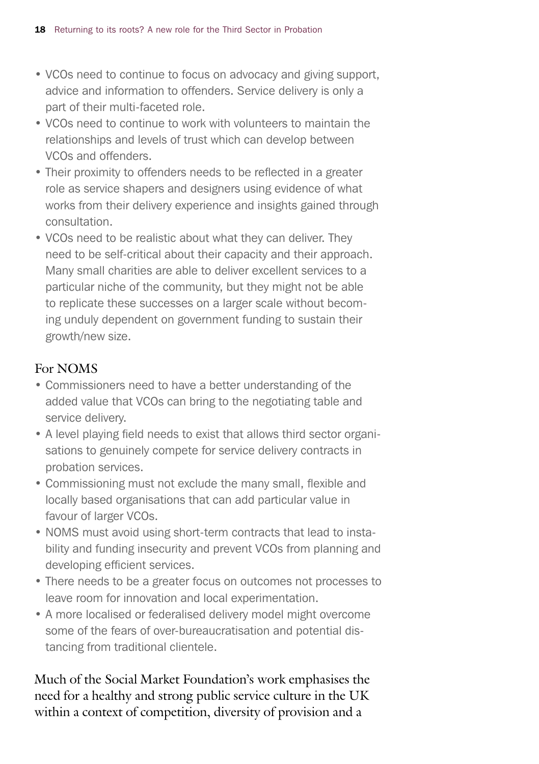- VCOs need to continue to focus on advocacy and giving support, advice and information to offenders. Service delivery is only a part of their multi-faceted role.
- VCOs need to continue to work with volunteers to maintain the relationships and levels of trust which can develop between VCOs and offenders.
- Their proximity to offenders needs to be reflected in a greater role as service shapers and designers using evidence of what works from their delivery experience and insights gained through consultation.
- VCOs need to be realistic about what they can deliver. They need to be self-critical about their capacity and their approach. Many small charities are able to deliver excellent services to a particular niche of the community, but they might not be able to replicate these successes on a larger scale without becoming unduly dependent on government funding to sustain their growth/new size.

# For NOMS

- Commissioners need to have a better understanding of the added value that VCOs can bring to the negotiating table and service delivery.
- A level playing field needs to exist that allows third sector organisations to genuinely compete for service delivery contracts in probation services.
- Commissioning must not exclude the many small, flexible and locally based organisations that can add particular value in favour of larger VCOs.
- NOMS must avoid using short-term contracts that lead to instability and funding insecurity and prevent VCOs from planning and developing efficient services.
- There needs to be a greater focus on outcomes not processes to leave room for innovation and local experimentation.
- A more localised or federalised delivery model might overcome some of the fears of over-bureaucratisation and potential distancing from traditional clientele.

Much of the Social Market Foundation's work emphasises the need for a healthy and strong public service culture in the UK within a context of competition, diversity of provision and a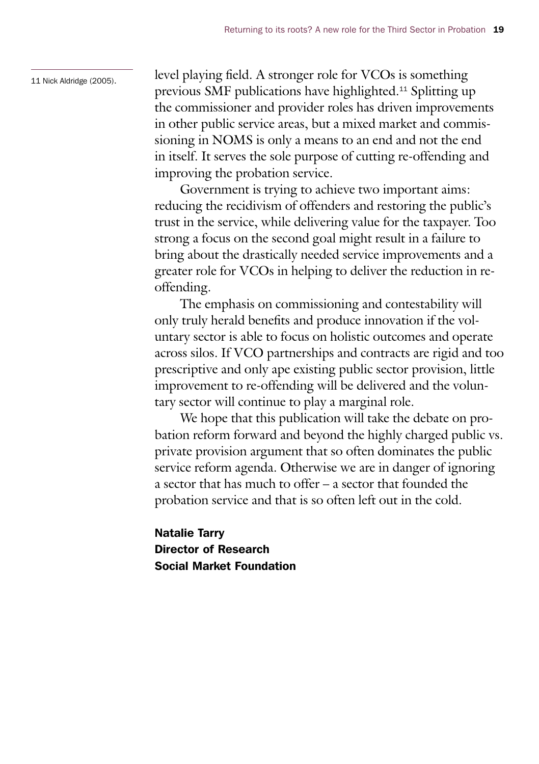$\overline{\phantom{a}}$  level playing field. A stronger role for VCOs is something previous SMF publications have highlighted.11 Splitting up the commissioner and provider roles has driven improvements in other public service areas, but a mixed market and commissioning in NOMS is only a means to an end and not the end in itself. It serves the sole purpose of cutting re-offending and improving the probation service.

> Government is trying to achieve two important aims: reducing the recidivism of offenders and restoring the public's trust in the service, while delivering value for the taxpayer. Too strong a focus on the second goal might result in a failure to bring about the drastically needed service improvements and a greater role for VCOs in helping to deliver the reduction in reoffending.

 The emphasis on commissioning and contestability will only truly herald benefits and produce innovation if the voluntary sector is able to focus on holistic outcomes and operate across silos. If VCO partnerships and contracts are rigid and too prescriptive and only ape existing public sector provision, little improvement to re-offending will be delivered and the voluntary sector will continue to play a marginal role.

 We hope that this publication will take the debate on probation reform forward and beyond the highly charged public vs. private provision argument that so often dominates the public service reform agenda. Otherwise we are in danger of ignoring a sector that has much to offer – a sector that founded the probation service and that is so often left out in the cold.

Natalie Tarry Director of Research Social Market Foundation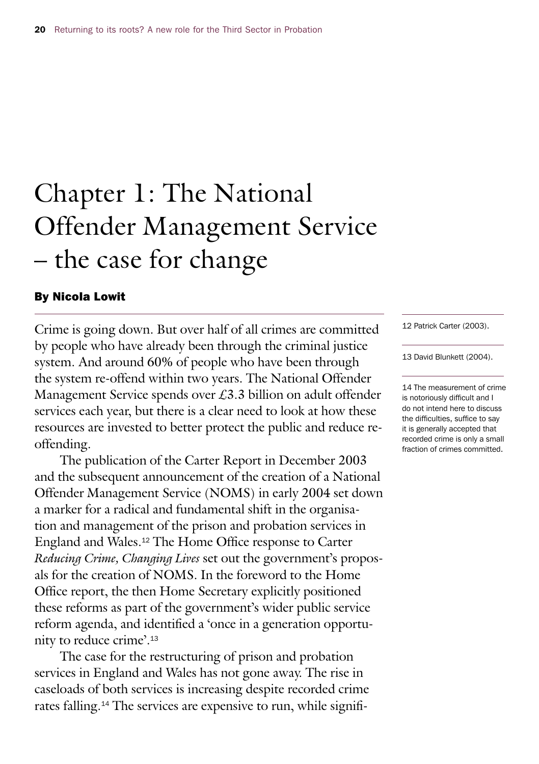# Chapter 1: The National Offender Management Service – the case for change

#### By Nicola Lowit

Crime is going down. But over half of all crimes are committed by people who have already been through the criminal justice system. And around 60% of people who have been through the system re-offend within two years. The National Offender Management Service spends over £3.3 billion on adult offender services each year, but there is a clear need to look at how these resources are invested to better protect the public and reduce reoffending.

 The publication of the Carter Report in December 2003 and the subsequent announcement of the creation of a National Offender Management Service (NOMS) in early 2004 set down a marker for a radical and fundamental shift in the organisation and management of the prison and probation services in England and Wales.12 The Home Office response to Carter *Reducing Crime, Changing Lives* set out the government's proposals for the creation of NOMS. In the foreword to the Home Office report, the then Home Secretary explicitly positioned these reforms as part of the government's wider public service reform agenda, and identified a 'once in a generation opportunity to reduce crime'.<sup>13</sup>

 The case for the restructuring of prison and probation services in England and Wales has not gone away. The rise in caseloads of both services is increasing despite recorded crime rates falling.14 The services are expensive to run, while signifi12 Patrick Carter (2003).

13 David Blunkett (2004).

14 The measurement of crime is notoriously difficult and I do not intend here to discuss the difficulties, suffice to say it is generally accepted that recorded crime is only a small fraction of crimes committed.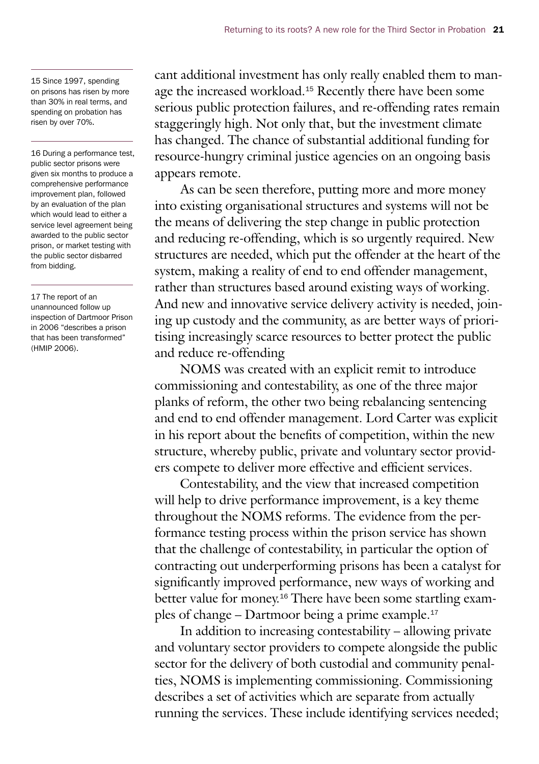15 Since 1997, spending on prisons has risen by more than 30% in real terms, and spending on probation has risen by over 70%.

16 During a performance test, public sector prisons were given six months to produce a comprehensive performance improvement plan, followed by an evaluation of the plan which would lead to either a service level agreement being awarded to the public sector prison, or market testing with the public sector disbarred from bidding.

#### 17 The report of an unannounced follow up inspection of Dartmoor Prison in 2006 "describes a prison that has been transformed" (HMIP 2006).

cant additional investment has only really enabled them to manage the increased workload.<sup>15</sup> Recently there have been some serious public protection failures, and re-offending rates remain staggeringly high. Not only that, but the investment climate has changed. The chance of substantial additional funding for resource-hungry criminal justice agencies on an ongoing basis appears remote.

 As can be seen therefore, putting more and more money into existing organisational structures and systems will not be the means of delivering the step change in public protection and reducing re-offending, which is so urgently required. New structures are needed, which put the offender at the heart of the system, making a reality of end to end offender management, rather than structures based around existing ways of working. And new and innovative service delivery activity is needed, joining up custody and the community, as are better ways of prioritising increasingly scarce resources to better protect the public and reduce re-offending

 NOMS was created with an explicit remit to introduce commissioning and contestability, as one of the three major planks of reform, the other two being rebalancing sentencing and end to end offender management. Lord Carter was explicit in his report about the benefits of competition, within the new structure, whereby public, private and voluntary sector providers compete to deliver more effective and efficient services.

 Contestability, and the view that increased competition will help to drive performance improvement, is a key theme throughout the NOMS reforms. The evidence from the performance testing process within the prison service has shown that the challenge of contestability, in particular the option of contracting out underperforming prisons has been a catalyst for significantly improved performance, new ways of working and better value for money.16 There have been some startling examples of change – Dartmoor being a prime example.<sup>17</sup>

 In addition to increasing contestability – allowing private and voluntary sector providers to compete alongside the public sector for the delivery of both custodial and community penalties, NOMS is implementing commissioning. Commissioning describes a set of activities which are separate from actually running the services. These include identifying services needed;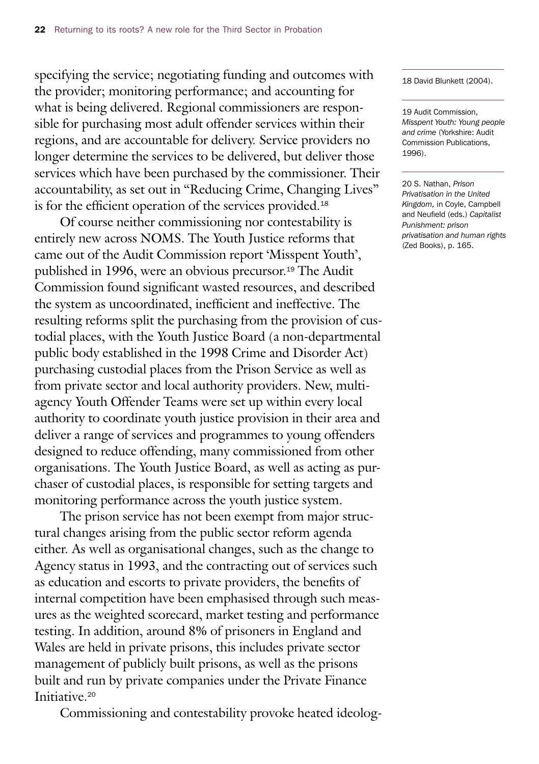specifying the service; negotiating funding and outcomes with the provider; monitoring performance; and accounting for what is being delivered. Regional commissioners are responsible for purchasing most adult offender services within their regions, and are accountable for delivery. Service providers no longer determine the services to be delivered, but deliver those services which have been purchased by the commissioner. Their accountability, as set out in "Reducing Crime, Changing Lives" is for the efficient operation of the services provided.<sup>18</sup>

 Of course neither commissioning nor contestability is entirely new across NOMS. The Youth Justice reforms that came out of the Audit Commission report 'Misspent Youth', published in 1996, were an obvious precursor.19 The Audit Commission found significant wasted resources, and described the system as uncoordinated, inefficient and ineffective. The resulting reforms split the purchasing from the provision of custodial places, with the Youth Justice Board (a non-departmental public body established in the 1998 Crime and Disorder Act) purchasing custodial places from the Prison Service as well as from private sector and local authority providers. New, multiagency Youth Offender Teams were set up within every local authority to coordinate youth justice provision in their area and deliver a range of services and programmes to young offenders designed to reduce offending, many commissioned from other organisations. The Youth Justice Board, as well as acting as purchaser of custodial places, is responsible for setting targets and monitoring performance across the youth justice system.

 The prison service has not been exempt from major structural changes arising from the public sector reform agenda either. As well as organisational changes, such as the change to Agency status in 1993, and the contracting out of services such as education and escorts to private providers, the benefits of internal competition have been emphasised through such measures as the weighted scorecard, market testing and performance testing. In addition, around 8% of prisoners in England and Wales are held in private prisons, this includes private sector management of publicly built prisons, as well as the prisons built and run by private companies under the Private Finance Initiative.<sup>20</sup>

Commissioning and contestability provoke heated ideolog-

18 David Blunkett (2004).

19 Audit Commission, *Misspent Youth: Young people and crime* (Yorkshire: Audit Commission Publications, 1996).

20 S. Nathan, *Prison Privatisation in the United Kingdom,* in Coyle, Campbell and Neufield (eds.) *Capitalist Punishment: prison privatisation and human rights* (Zed Books), p. 165.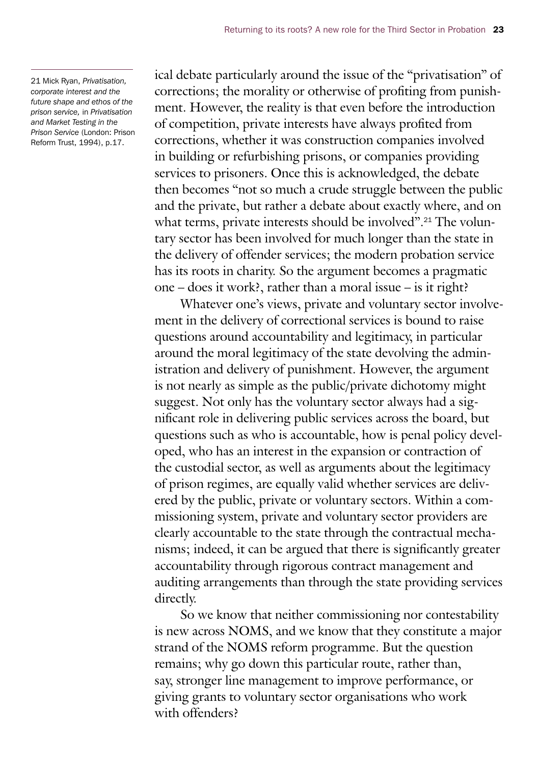21 Mick Ryan, *Privatisation, corporate interest and the future shape and ethos of the prison service,* in *Privatisation and Market Testing in the Prison Service* (London: Prison Reform Trust, 1994), p.17.

ical debate particularly around the issue of the "privatisation" of corrections; the morality or otherwise of profiting from punishment. However, the reality is that even before the introduction of competition, private interests have always profited from corrections, whether it was construction companies involved in building or refurbishing prisons, or companies providing services to prisoners. Once this is acknowledged, the debate then becomes "not so much a crude struggle between the public and the private, but rather a debate about exactly where, and on what terms, private interests should be involved".<sup>21</sup> The voluntary sector has been involved for much longer than the state in the delivery of offender services; the modern probation service has its roots in charity. So the argument becomes a pragmatic one – does it work?, rather than a moral issue – is it right?

Whatever one's views, private and voluntary sector involvement in the delivery of correctional services is bound to raise questions around accountability and legitimacy, in particular around the moral legitimacy of the state devolving the administration and delivery of punishment. However, the argument is not nearly as simple as the public/private dichotomy might suggest. Not only has the voluntary sector always had a significant role in delivering public services across the board, but questions such as who is accountable, how is penal policy developed, who has an interest in the expansion or contraction of the custodial sector, as well as arguments about the legitimacy of prison regimes, are equally valid whether services are delivered by the public, private or voluntary sectors. Within a commissioning system, private and voluntary sector providers are clearly accountable to the state through the contractual mechanisms; indeed, it can be argued that there is significantly greater accountability through rigorous contract management and auditing arrangements than through the state providing services directly.

 So we know that neither commissioning nor contestability is new across NOMS, and we know that they constitute a major strand of the NOMS reform programme. But the question remains; why go down this particular route, rather than, say, stronger line management to improve performance, or giving grants to voluntary sector organisations who work with offenders?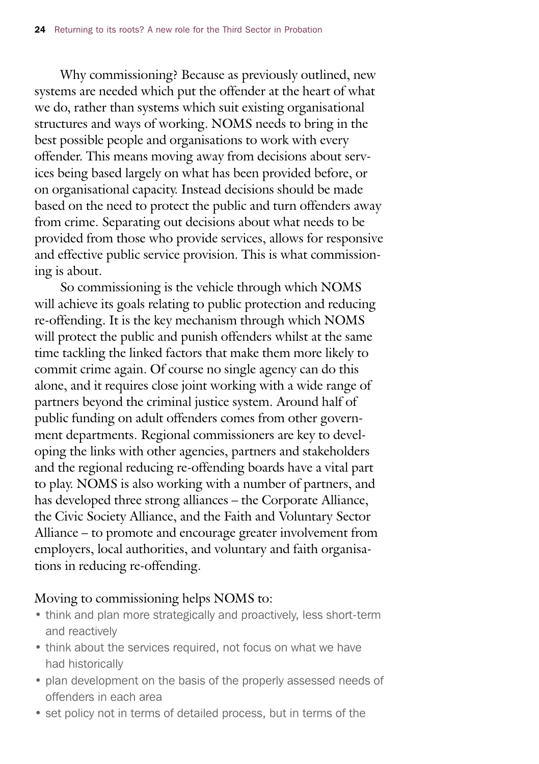Why commissioning? Because as previously outlined, new systems are needed which put the offender at the heart of what we do, rather than systems which suit existing organisational structures and ways of working. NOMS needs to bring in the best possible people and organisations to work with every offender. This means moving away from decisions about services being based largely on what has been provided before, or on organisational capacity. Instead decisions should be made based on the need to protect the public and turn offenders away from crime. Separating out decisions about what needs to be provided from those who provide services, allows for responsive and effective public service provision. This is what commissioning is about.

 So commissioning is the vehicle through which NOMS will achieve its goals relating to public protection and reducing re-offending. It is the key mechanism through which NOMS will protect the public and punish offenders whilst at the same time tackling the linked factors that make them more likely to commit crime again. Of course no single agency can do this alone, and it requires close joint working with a wide range of partners beyond the criminal justice system. Around half of public funding on adult offenders comes from other government departments. Regional commissioners are key to developing the links with other agencies, partners and stakeholders and the regional reducing re-offending boards have a vital part to play. NOMS is also working with a number of partners, and has developed three strong alliances – the Corporate Alliance, the Civic Society Alliance, and the Faith and Voluntary Sector Alliance – to promote and encourage greater involvement from employers, local authorities, and voluntary and faith organisations in reducing re-offending.

# Moving to commissioning helps NOMS to:

- think and plan more strategically and proactively, less short-term and reactively
- think about the services required, not focus on what we have had historically
- plan development on the basis of the properly assessed needs of offenders in each area
- set policy not in terms of detailed process, but in terms of the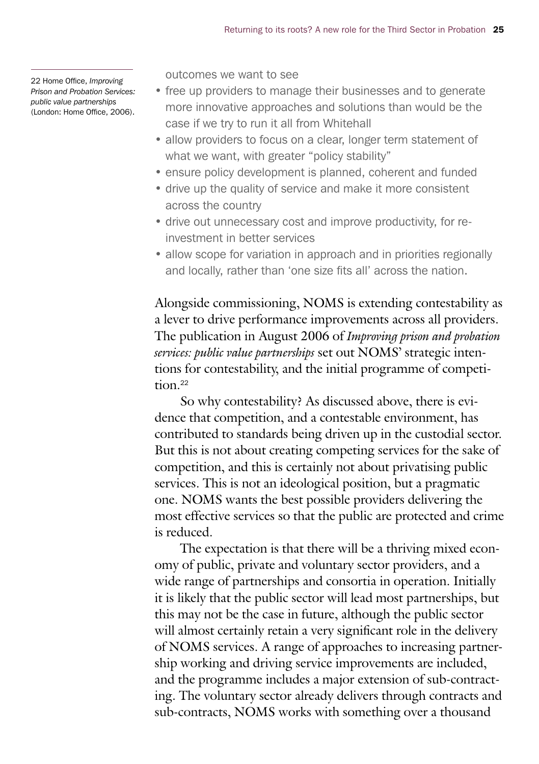22 Home Office, *Improving Prison and Probation Services: public value partnerships* (London: Home Office, 2006).

outcomes we want to see

- free up providers to manage their businesses and to generate more innovative approaches and solutions than would be the case if we try to run it all from Whitehall
- allow providers to focus on a clear, longer term statement of what we want, with greater "policy stability"
- ensure policy development is planned, coherent and funded
- drive up the quality of service and make it more consistent across the country
- drive out unnecessary cost and improve productivity, for reinvestment in better services
- allow scope for variation in approach and in priorities regionally and locally, rather than 'one size fits all' across the nation.

Alongside commissioning, NOMS is extending contestability as a lever to drive performance improvements across all providers. The publication in August 2006 of *Improving prison and probation services: public value partnerships* set out NOMS' strategic intentions for contestability, and the initial programme of competition.<sup>22</sup>

 So why contestability? As discussed above, there is evidence that competition, and a contestable environment, has contributed to standards being driven up in the custodial sector. But this is not about creating competing services for the sake of competition, and this is certainly not about privatising public services. This is not an ideological position, but a pragmatic one. NOMS wants the best possible providers delivering the most effective services so that the public are protected and crime is reduced.

 The expectation is that there will be a thriving mixed economy of public, private and voluntary sector providers, and a wide range of partnerships and consortia in operation. Initially it is likely that the public sector will lead most partnerships, but this may not be the case in future, although the public sector will almost certainly retain a very significant role in the delivery of NOMS services. A range of approaches to increasing partnership working and driving service improvements are included, and the programme includes a major extension of sub-contracting. The voluntary sector already delivers through contracts and sub-contracts, NOMS works with something over a thousand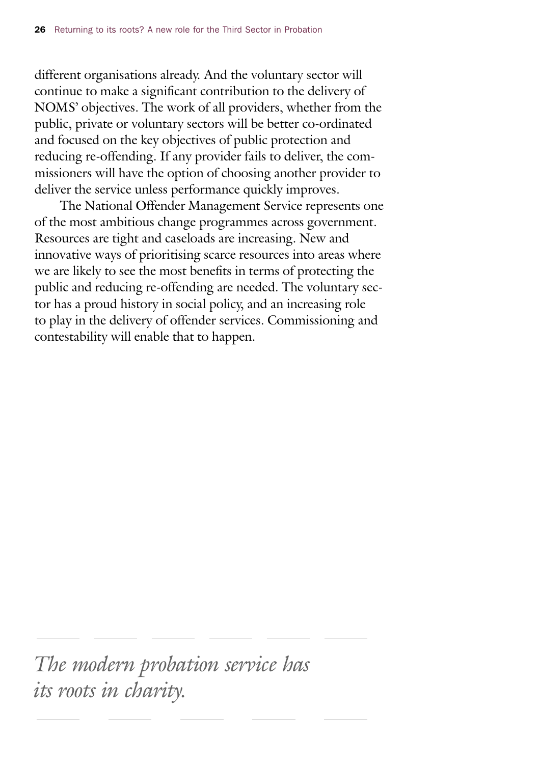different organisations already. And the voluntary sector will continue to make a significant contribution to the delivery of NOMS' objectives. The work of all providers, whether from the public, private or voluntary sectors will be better co-ordinated and focused on the key objectives of public protection and reducing re-offending. If any provider fails to deliver, the commissioners will have the option of choosing another provider to deliver the service unless performance quickly improves.

 The National Offender Management Service represents one of the most ambitious change programmes across government. Resources are tight and caseloads are increasing. New and innovative ways of prioritising scarce resources into areas where we are likely to see the most benefits in terms of protecting the public and reducing re-offending are needed. The voluntary sector has a proud history in social policy, and an increasing role to play in the delivery of offender services. Commissioning and contestability will enable that to happen.

*The modern probation service has its roots in charity.*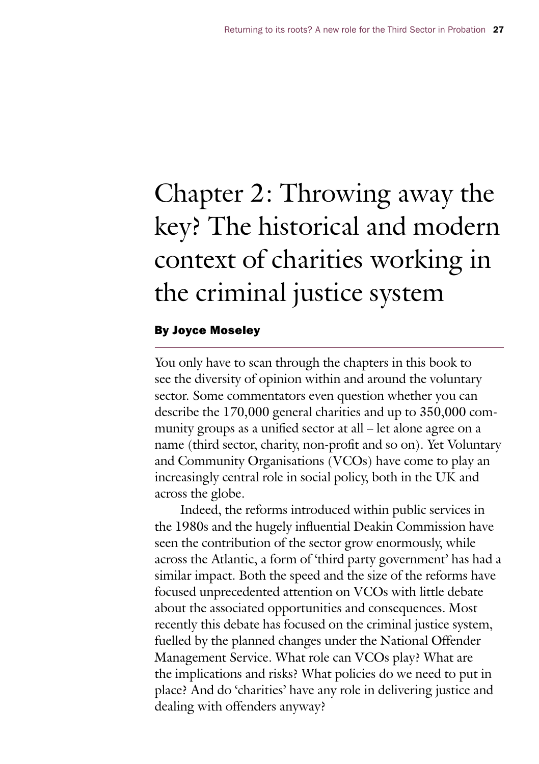# Chapter 2: Throwing away the key? The historical and modern context of charities working in the criminal justice system

# By Joyce Moseley

You only have to scan through the chapters in this book to see the diversity of opinion within and around the voluntary sector. Some commentators even question whether you can describe the 170,000 general charities and up to 350,000 community groups as a unified sector at all – let alone agree on a name (third sector, charity, non-profit and so on). Yet Voluntary and Community Organisations (VCOs) have come to play an increasingly central role in social policy, both in the UK and across the globe.

 Indeed, the reforms introduced within public services in the 1980s and the hugely influential Deakin Commission have seen the contribution of the sector grow enormously, while across the Atlantic, a form of 'third party government' has had a similar impact. Both the speed and the size of the reforms have focused unprecedented attention on VCOs with little debate about the associated opportunities and consequences. Most recently this debate has focused on the criminal justice system, fuelled by the planned changes under the National Offender Management Service. What role can VCOs play? What are the implications and risks? What policies do we need to put in place? And do 'charities' have any role in delivering justice and dealing with offenders anyway?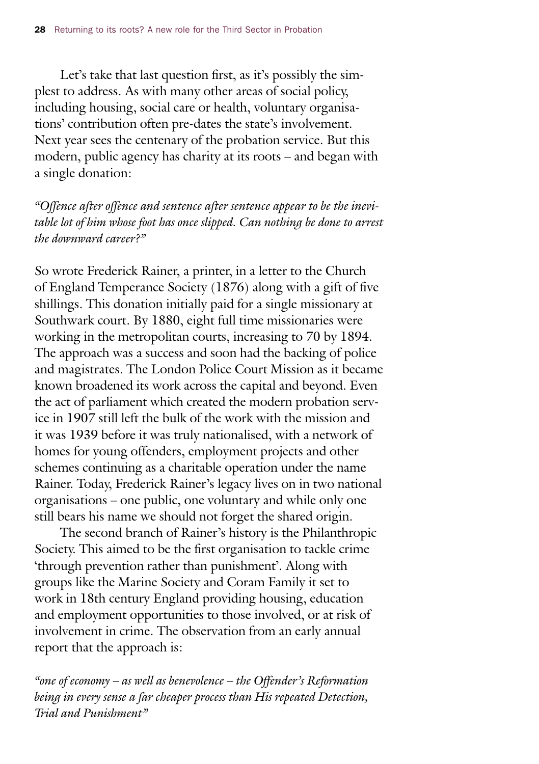Let's take that last question first, as it's possibly the simplest to address. As with many other areas of social policy, including housing, social care or health, voluntary organisations' contribution often pre-dates the state's involvement. Next year sees the centenary of the probation service. But this modern, public agency has charity at its roots – and began with a single donation:

*"Offence after offence and sentence after sentence appear to be the inevitable lot of him whose foot has once slipped. Can nothing be done to arrest the downward career?"*

So wrote Frederick Rainer, a printer, in a letter to the Church of England Temperance Society (1876) along with a gift of five shillings. This donation initially paid for a single missionary at Southwark court. By 1880, eight full time missionaries were working in the metropolitan courts, increasing to 70 by 1894. The approach was a success and soon had the backing of police and magistrates. The London Police Court Mission as it became known broadened its work across the capital and beyond. Even the act of parliament which created the modern probation service in 1907 still left the bulk of the work with the mission and it was 1939 before it was truly nationalised, with a network of homes for young offenders, employment projects and other schemes continuing as a charitable operation under the name Rainer. Today, Frederick Rainer's legacy lives on in two national organisations – one public, one voluntary and while only one still bears his name we should not forget the shared origin.

 The second branch of Rainer's history is the Philanthropic Society. This aimed to be the first organisation to tackle crime 'through prevention rather than punishment'. Along with groups like the Marine Society and Coram Family it set to work in 18th century England providing housing, education and employment opportunities to those involved, or at risk of involvement in crime. The observation from an early annual report that the approach is:

*"one of economy – as well as benevolence – the Offender's Reformation being in every sense a far cheaper process than His repeated Detection, Trial and Punishment"*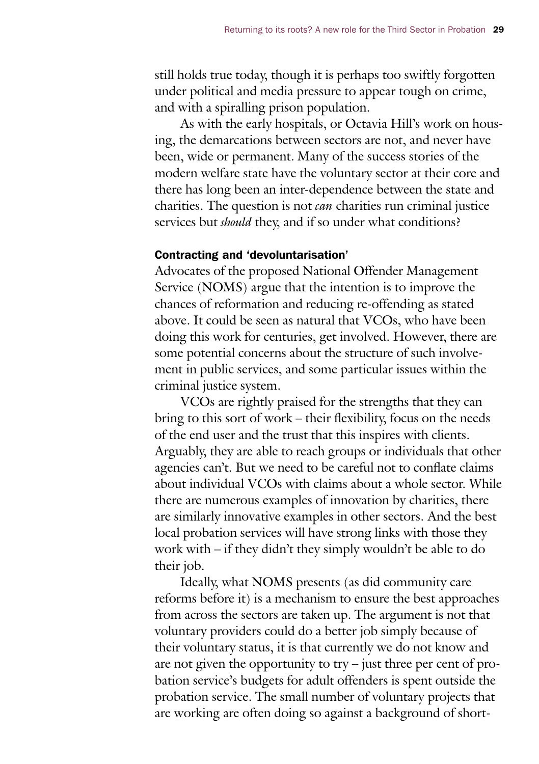still holds true today, though it is perhaps too swiftly forgotten under political and media pressure to appear tough on crime, and with a spiralling prison population.

 As with the early hospitals, or Octavia Hill's work on housing, the demarcations between sectors are not, and never have been, wide or permanent. Many of the success stories of the modern welfare state have the voluntary sector at their core and there has long been an inter-dependence between the state and charities. The question is not *can* charities run criminal justice services but *should* they, and if so under what conditions?

#### Contracting and 'devoluntarisation'

Advocates of the proposed National Offender Management Service (NOMS) argue that the intention is to improve the chances of reformation and reducing re-offending as stated above. It could be seen as natural that VCOs, who have been doing this work for centuries, get involved. However, there are some potential concerns about the structure of such involvement in public services, and some particular issues within the criminal justice system.

 VCOs are rightly praised for the strengths that they can bring to this sort of work – their flexibility, focus on the needs of the end user and the trust that this inspires with clients. Arguably, they are able to reach groups or individuals that other agencies can't. But we need to be careful not to conflate claims about individual VCOs with claims about a whole sector. While there are numerous examples of innovation by charities, there are similarly innovative examples in other sectors. And the best local probation services will have strong links with those they work with – if they didn't they simply wouldn't be able to do their job.

 Ideally, what NOMS presents (as did community care reforms before it) is a mechanism to ensure the best approaches from across the sectors are taken up. The argument is not that voluntary providers could do a better job simply because of their voluntary status, it is that currently we do not know and are not given the opportunity to  $\text{tr}y$  – just three per cent of probation service's budgets for adult offenders is spent outside the probation service. The small number of voluntary projects that are working are often doing so against a background of short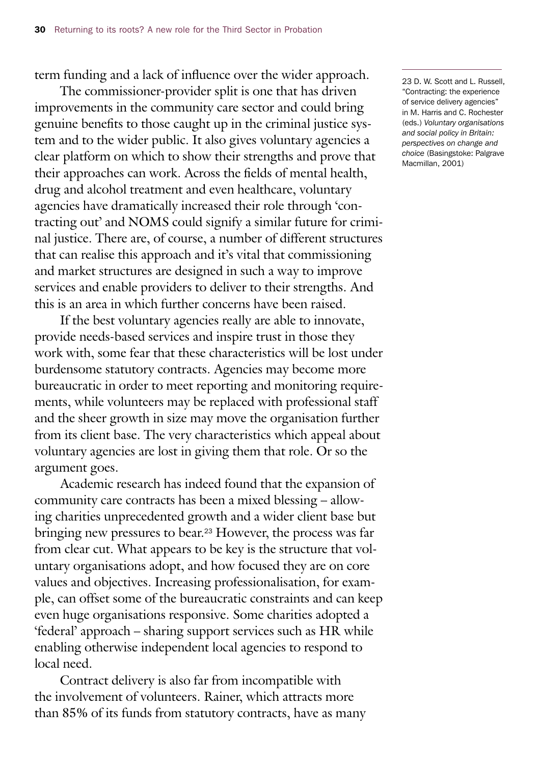term funding and a lack of influence over the wider approach.

 The commissioner-provider split is one that has driven improvements in the community care sector and could bring genuine benefits to those caught up in the criminal justice system and to the wider public. It also gives voluntary agencies a clear platform on which to show their strengths and prove that their approaches can work. Across the fields of mental health, drug and alcohol treatment and even healthcare, voluntary agencies have dramatically increased their role through 'contracting out' and NOMS could signify a similar future for criminal justice. There are, of course, a number of different structures that can realise this approach and it's vital that commissioning and market structures are designed in such a way to improve services and enable providers to deliver to their strengths. And this is an area in which further concerns have been raised.

 If the best voluntary agencies really are able to innovate, provide needs-based services and inspire trust in those they work with, some fear that these characteristics will be lost under burdensome statutory contracts. Agencies may become more bureaucratic in order to meet reporting and monitoring requirements, while volunteers may be replaced with professional staff and the sheer growth in size may move the organisation further from its client base. The very characteristics which appeal about voluntary agencies are lost in giving them that role. Or so the argument goes.

 Academic research has indeed found that the expansion of community care contracts has been a mixed blessing – allowing charities unprecedented growth and a wider client base but bringing new pressures to bear.<sup>23</sup> However, the process was far from clear cut. What appears to be key is the structure that voluntary organisations adopt, and how focused they are on core values and objectives. Increasing professionalisation, for example, can offset some of the bureaucratic constraints and can keep even huge organisations responsive. Some charities adopted a 'federal' approach – sharing support services such as HR while enabling otherwise independent local agencies to respond to local need.

 Contract delivery is also far from incompatible with the involvement of volunteers. Rainer, which attracts more than 85% of its funds from statutory contracts, have as many

23 D. W. Scott and L. Russell, "Contracting: the experience of service delivery agencies" in M. Harris and C. Rochester (eds.) *Voluntary organisations and social policy in Britain: perspectives on change and choice* (Basingstoke: Palgrave Macmillan, 2001)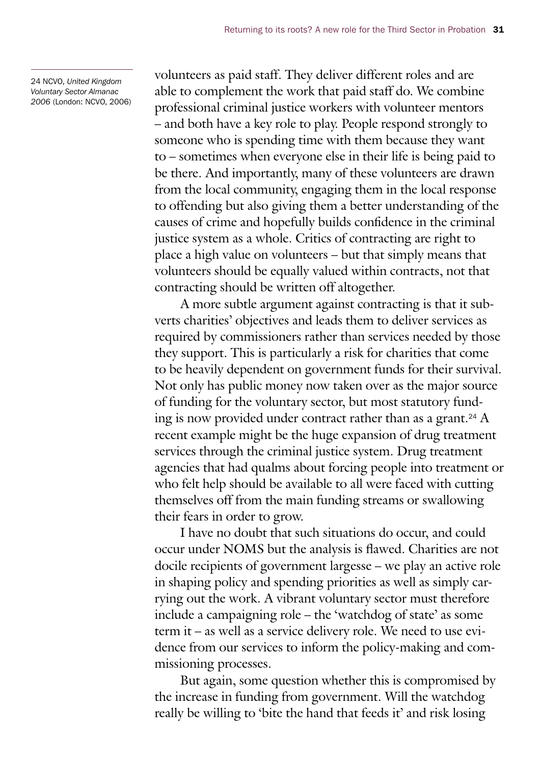24 NCVO, *United Kingdom Voluntary Sector Almanac 2006* (London: NCVO, 2006) volunteers as paid staff. They deliver different roles and are able to complement the work that paid staff do. We combine professional criminal justice workers with volunteer mentors – and both have a key role to play. People respond strongly to someone who is spending time with them because they want to – sometimes when everyone else in their life is being paid to be there. And importantly, many of these volunteers are drawn from the local community, engaging them in the local response to offending but also giving them a better understanding of the causes of crime and hopefully builds confidence in the criminal justice system as a whole. Critics of contracting are right to place a high value on volunteers – but that simply means that volunteers should be equally valued within contracts, not that contracting should be written off altogether.

 A more subtle argument against contracting is that it subverts charities' objectives and leads them to deliver services as required by commissioners rather than services needed by those they support. This is particularly a risk for charities that come to be heavily dependent on government funds for their survival. Not only has public money now taken over as the major source of funding for the voluntary sector, but most statutory funding is now provided under contract rather than as a grant.<sup>24</sup>  $\Lambda$ recent example might be the huge expansion of drug treatment services through the criminal justice system. Drug treatment agencies that had qualms about forcing people into treatment or who felt help should be available to all were faced with cutting themselves off from the main funding streams or swallowing their fears in order to grow.

 I have no doubt that such situations do occur, and could occur under NOMS but the analysis is flawed. Charities are not docile recipients of government largesse – we play an active role in shaping policy and spending priorities as well as simply carrying out the work. A vibrant voluntary sector must therefore include a campaigning role – the 'watchdog of state' as some term it – as well as a service delivery role. We need to use evidence from our services to inform the policy-making and commissioning processes.

 But again, some question whether this is compromised by the increase in funding from government. Will the watchdog really be willing to 'bite the hand that feeds it' and risk losing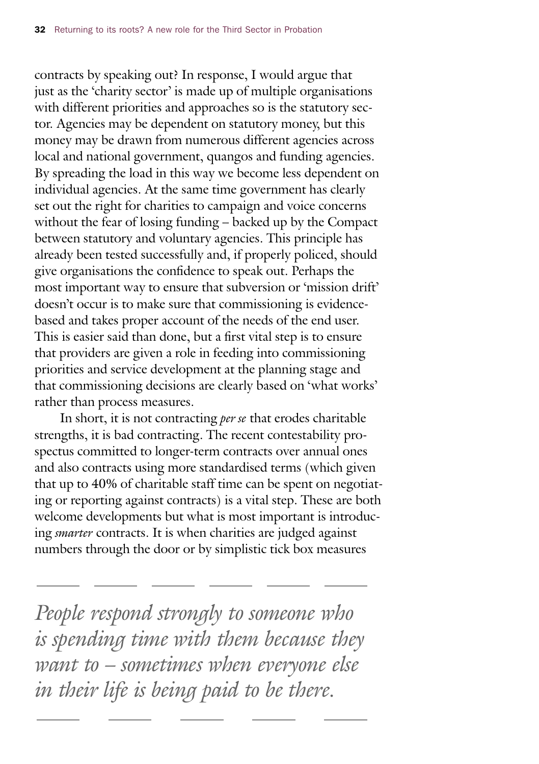contracts by speaking out? In response, I would argue that just as the 'charity sector' is made up of multiple organisations with different priorities and approaches so is the statutory sector. Agencies may be dependent on statutory money, but this money may be drawn from numerous different agencies across local and national government, quangos and funding agencies. By spreading the load in this way we become less dependent on individual agencies. At the same time government has clearly set out the right for charities to campaign and voice concerns without the fear of losing funding – backed up by the Compact between statutory and voluntary agencies. This principle has already been tested successfully and, if properly policed, should give organisations the confidence to speak out. Perhaps the most important way to ensure that subversion or 'mission drift' doesn't occur is to make sure that commissioning is evidencebased and takes proper account of the needs of the end user. This is easier said than done, but a first vital step is to ensure that providers are given a role in feeding into commissioning priorities and service development at the planning stage and that commissioning decisions are clearly based on 'what works' rather than process measures.

 In short, it is not contracting *per se* that erodes charitable strengths, it is bad contracting. The recent contestability prospectus committed to longer-term contracts over annual ones and also contracts using more standardised terms (which given that up to 40% of charitable staff time can be spent on negotiating or reporting against contracts) is a vital step. These are both welcome developments but what is most important is introducing *smarter* contracts. It is when charities are judged against numbers through the door or by simplistic tick box measures

*People respond strongly to someone who is spending time with them because they want to – sometimes when everyone else in their life is being paid to be there.*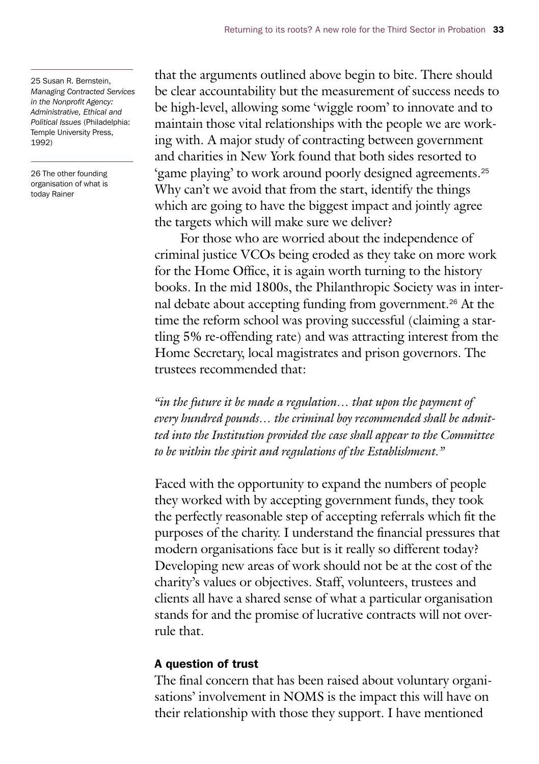25 Susan R. Bernstein, *Managing Contracted Services in the Nonprofit Agency: Administrative, Ethical and Political Issues* (Philadelphia: Temple University Press, 1992)

26 The other founding organisation of what is today Rainer

that the arguments outlined above begin to bite. There should be clear accountability but the measurement of success needs to be high-level, allowing some 'wiggle room' to innovate and to maintain those vital relationships with the people we are working with. A major study of contracting between government and charities in New York found that both sides resorted to 'game playing' to work around poorly designed agreements.<sup>25</sup> Why can't we avoid that from the start, identify the things which are going to have the biggest impact and jointly agree the targets which will make sure we deliver?

 For those who are worried about the independence of criminal justice VCOs being eroded as they take on more work for the Home Office, it is again worth turning to the history books. In the mid 1800s, the Philanthropic Society was in internal debate about accepting funding from government.26 At the time the reform school was proving successful (claiming a startling 5% re-offending rate) and was attracting interest from the Home Secretary, local magistrates and prison governors. The trustees recommended that:

*"in the future it be made a regulation… that upon the payment of every hundred pounds… the criminal boy recommended shall be admitted into the Institution provided the case shall appear to the Committee to be within the spirit and regulations of the Establishment."*

Faced with the opportunity to expand the numbers of people they worked with by accepting government funds, they took the perfectly reasonable step of accepting referrals which fit the purposes of the charity. I understand the financial pressures that modern organisations face but is it really so different today? Developing new areas of work should not be at the cost of the charity's values or objectives. Staff, volunteers, trustees and clients all have a shared sense of what a particular organisation stands for and the promise of lucrative contracts will not overrule that.

### A question of trust

The final concern that has been raised about voluntary organisations' involvement in NOMS is the impact this will have on their relationship with those they support. I have mentioned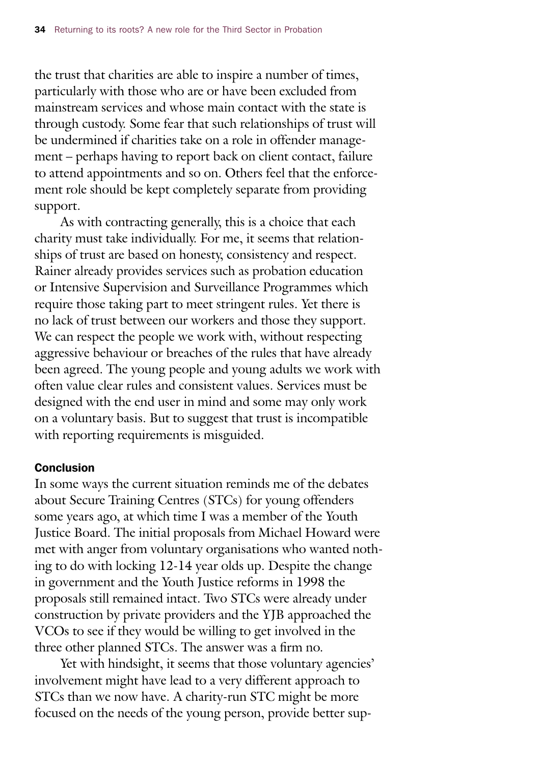the trust that charities are able to inspire a number of times, particularly with those who are or have been excluded from mainstream services and whose main contact with the state is through custody. Some fear that such relationships of trust will be undermined if charities take on a role in offender management – perhaps having to report back on client contact, failure to attend appointments and so on. Others feel that the enforcement role should be kept completely separate from providing support.

 As with contracting generally, this is a choice that each charity must take individually. For me, it seems that relationships of trust are based on honesty, consistency and respect. Rainer already provides services such as probation education or Intensive Supervision and Surveillance Programmes which require those taking part to meet stringent rules. Yet there is no lack of trust between our workers and those they support. We can respect the people we work with, without respecting aggressive behaviour or breaches of the rules that have already been agreed. The young people and young adults we work with often value clear rules and consistent values. Services must be designed with the end user in mind and some may only work on a voluntary basis. But to suggest that trust is incompatible with reporting requirements is misguided.

#### Conclusion

In some ways the current situation reminds me of the debates about Secure Training Centres (STCs) for young offenders some years ago, at which time I was a member of the Youth Justice Board. The initial proposals from Michael Howard were met with anger from voluntary organisations who wanted nothing to do with locking 12-14 year olds up. Despite the change in government and the Youth Justice reforms in 1998 the proposals still remained intact. Two STCs were already under construction by private providers and the YJB approached the VCOs to see if they would be willing to get involved in the three other planned STCs. The answer was a firm no.

Yet with hindsight, it seems that those voluntary agencies' involvement might have lead to a very different approach to STCs than we now have. A charity-run STC might be more focused on the needs of the young person, provide better sup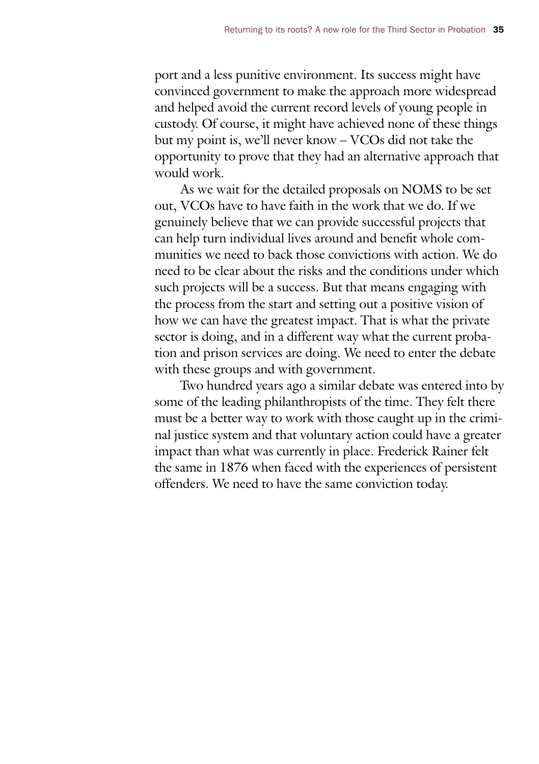port and a less punitive environment. Its success might have convinced government to make the approach more widespread and helped avoid the current record levels of young people in custody. Of course, it might have achieved none of these things but my point is, we'll never know – VCOs did not take the opportunity to prove that they had an alternative approach that would work.

 As we wait for the detailed proposals on NOMS to be set out, VCOs have to have faith in the work that we do. If we genuinely believe that we can provide successful projects that can help turn individual lives around and benefit whole communities we need to back those convictions with action. We do need to be clear about the risks and the conditions under which such projects will be a success. But that means engaging with the process from the start and setting out a positive vision of how we can have the greatest impact. That is what the private sector is doing, and in a different way what the current probation and prison services are doing. We need to enter the debate with these groups and with government.

 Two hundred years ago a similar debate was entered into by some of the leading philanthropists of the time. They felt there must be a better way to work with those caught up in the criminal justice system and that voluntary action could have a greater impact than what was currently in place. Frederick Rainer felt the same in 1876 when faced with the experiences of persistent offenders. We need to have the same conviction today.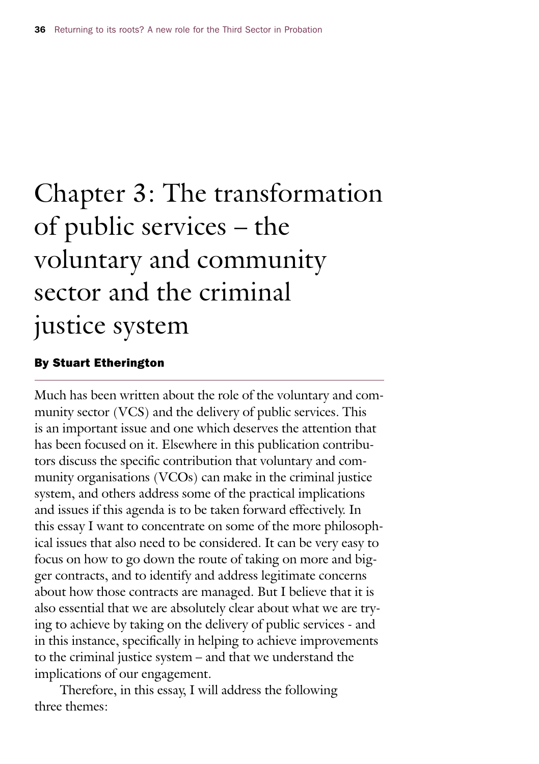# Chapter 3: The transformation of public services – the voluntary and community sector and the criminal justice system

# By Stuart Etherington

Much has been written about the role of the voluntary and community sector (VCS) and the delivery of public services. This is an important issue and one which deserves the attention that has been focused on it. Elsewhere in this publication contributors discuss the specific contribution that voluntary and community organisations (VCOs) can make in the criminal justice system, and others address some of the practical implications and issues if this agenda is to be taken forward effectively. In this essay I want to concentrate on some of the more philosophical issues that also need to be considered. It can be very easy to focus on how to go down the route of taking on more and bigger contracts, and to identify and address legitimate concerns about how those contracts are managed. But I believe that it is also essential that we are absolutely clear about what we are trying to achieve by taking on the delivery of public services - and in this instance, specifically in helping to achieve improvements to the criminal justice system – and that we understand the implications of our engagement.

 Therefore, in this essay, I will address the following three themes: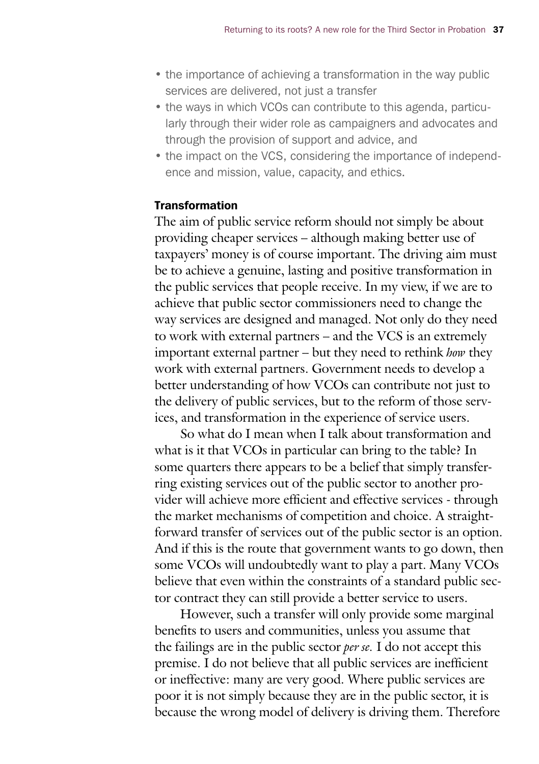- the importance of achieving a transformation in the way public services are delivered, not just a transfer
- the ways in which VCOs can contribute to this agenda, particularly through their wider role as campaigners and advocates and through the provision of support and advice, and
- the impact on the VCS, considering the importance of independence and mission, value, capacity, and ethics.

# Transformation

The aim of public service reform should not simply be about providing cheaper services – although making better use of taxpayers' money is of course important. The driving aim must be to achieve a genuine, lasting and positive transformation in the public services that people receive. In my view, if we are to achieve that public sector commissioners need to change the way services are designed and managed. Not only do they need to work with external partners – and the VCS is an extremely important external partner – but they need to rethink *how* they work with external partners. Government needs to develop a better understanding of how VCOs can contribute not just to the delivery of public services, but to the reform of those services, and transformation in the experience of service users.

 So what do I mean when I talk about transformation and what is it that VCOs in particular can bring to the table? In some quarters there appears to be a belief that simply transferring existing services out of the public sector to another provider will achieve more efficient and effective services - through the market mechanisms of competition and choice. A straightforward transfer of services out of the public sector is an option. And if this is the route that government wants to go down, then some VCOs will undoubtedly want to play a part. Many VCOs believe that even within the constraints of a standard public sector contract they can still provide a better service to users.

 However, such a transfer will only provide some marginal benefits to users and communities, unless you assume that the failings are in the public sector *per se.* I do not accept this premise. I do not believe that all public services are inefficient or ineffective: many are very good. Where public services are poor it is not simply because they are in the public sector, it is because the wrong model of delivery is driving them. Therefore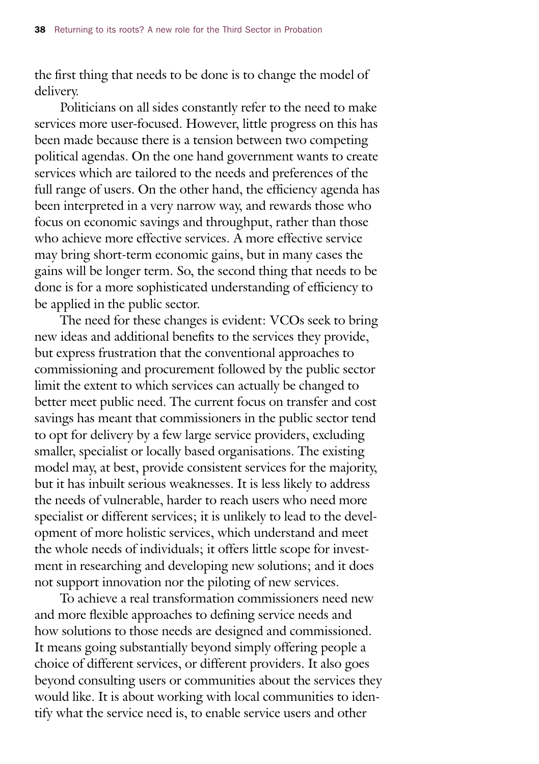the first thing that needs to be done is to change the model of delivery.

 Politicians on all sides constantly refer to the need to make services more user-focused. However, little progress on this has been made because there is a tension between two competing political agendas. On the one hand government wants to create services which are tailored to the needs and preferences of the full range of users. On the other hand, the efficiency agenda has been interpreted in a very narrow way, and rewards those who focus on economic savings and throughput, rather than those who achieve more effective services. A more effective service may bring short-term economic gains, but in many cases the gains will be longer term. So, the second thing that needs to be done is for a more sophisticated understanding of efficiency to be applied in the public sector.

 The need for these changes is evident: VCOs seek to bring new ideas and additional benefits to the services they provide, but express frustration that the conventional approaches to commissioning and procurement followed by the public sector limit the extent to which services can actually be changed to better meet public need. The current focus on transfer and cost savings has meant that commissioners in the public sector tend to opt for delivery by a few large service providers, excluding smaller, specialist or locally based organisations. The existing model may, at best, provide consistent services for the majority, but it has inbuilt serious weaknesses. It is less likely to address the needs of vulnerable, harder to reach users who need more specialist or different services; it is unlikely to lead to the development of more holistic services, which understand and meet the whole needs of individuals; it offers little scope for investment in researching and developing new solutions; and it does not support innovation nor the piloting of new services.

 To achieve a real transformation commissioners need new and more flexible approaches to defining service needs and how solutions to those needs are designed and commissioned. It means going substantially beyond simply offering people a choice of different services, or different providers. It also goes beyond consulting users or communities about the services they would like. It is about working with local communities to identify what the service need is, to enable service users and other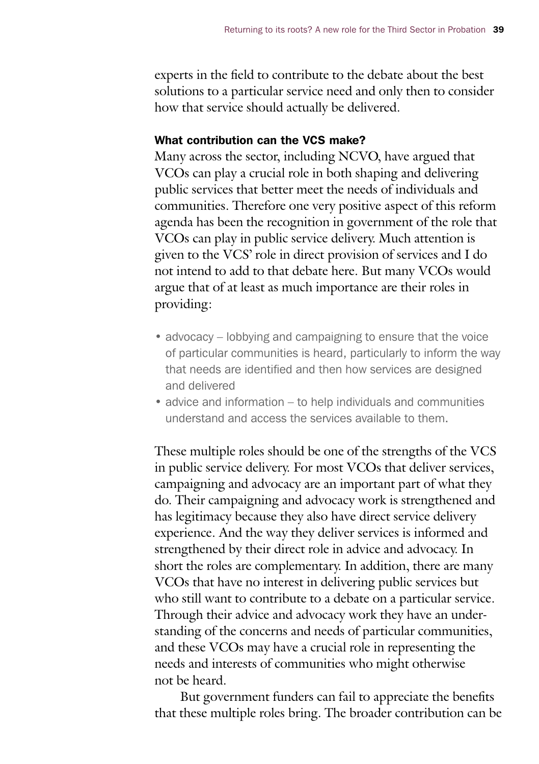experts in the field to contribute to the debate about the best solutions to a particular service need and only then to consider how that service should actually be delivered.

# What contribution can the VCS make?

Many across the sector, including NCVO, have argued that VCOs can play a crucial role in both shaping and delivering public services that better meet the needs of individuals and communities. Therefore one very positive aspect of this reform agenda has been the recognition in government of the role that VCOs can play in public service delivery. Much attention is given to the VCS' role in direct provision of services and I do not intend to add to that debate here. But many VCOs would argue that of at least as much importance are their roles in providing:

- advocacy lobbying and campaigning to ensure that the voice of particular communities is heard, particularly to inform the way that needs are identified and then how services are designed and delivered
- advice and information to help individuals and communities understand and access the services available to them.

These multiple roles should be one of the strengths of the VCS in public service delivery. For most VCOs that deliver services, campaigning and advocacy are an important part of what they do. Their campaigning and advocacy work is strengthened and has legitimacy because they also have direct service delivery experience. And the way they deliver services is informed and strengthened by their direct role in advice and advocacy. In short the roles are complementary. In addition, there are many VCOs that have no interest in delivering public services but who still want to contribute to a debate on a particular service. Through their advice and advocacy work they have an understanding of the concerns and needs of particular communities, and these VCOs may have a crucial role in representing the needs and interests of communities who might otherwise not be heard.

 But government funders can fail to appreciate the benefits that these multiple roles bring. The broader contribution can be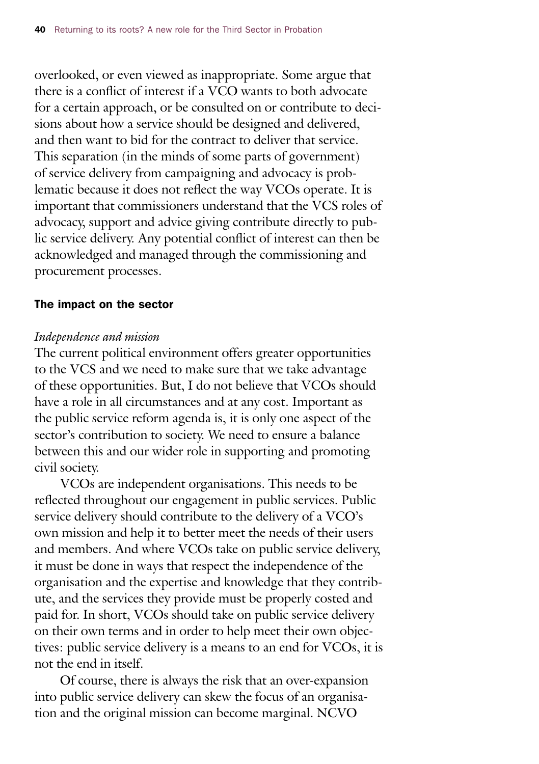overlooked, or even viewed as inappropriate. Some argue that there is a conflict of interest if a VCO wants to both advocate for a certain approach, or be consulted on or contribute to decisions about how a service should be designed and delivered, and then want to bid for the contract to deliver that service. This separation (in the minds of some parts of government) of service delivery from campaigning and advocacy is problematic because it does not reflect the way VCOs operate. It is important that commissioners understand that the VCS roles of advocacy, support and advice giving contribute directly to public service delivery. Any potential conflict of interest can then be acknowledged and managed through the commissioning and procurement processes.

### The impact on the sector

### *Independence and mission*

The current political environment offers greater opportunities to the VCS and we need to make sure that we take advantage of these opportunities. But, I do not believe that VCOs should have a role in all circumstances and at any cost. Important as the public service reform agenda is, it is only one aspect of the sector's contribution to society. We need to ensure a balance between this and our wider role in supporting and promoting civil society.

 VCOs are independent organisations. This needs to be reflected throughout our engagement in public services. Public service delivery should contribute to the delivery of a VCO's own mission and help it to better meet the needs of their users and members. And where VCOs take on public service delivery, it must be done in ways that respect the independence of the organisation and the expertise and knowledge that they contribute, and the services they provide must be properly costed and paid for. In short, VCOs should take on public service delivery on their own terms and in order to help meet their own objectives: public service delivery is a means to an end for VCOs, it is not the end in itself.

 Of course, there is always the risk that an over-expansion into public service delivery can skew the focus of an organisation and the original mission can become marginal. NCVO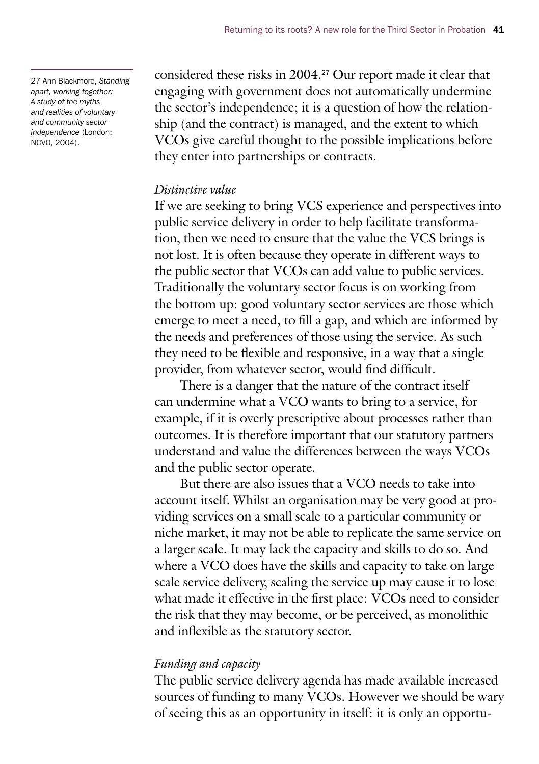27 Ann Blackmore, *Standing apart, working together: A study of the myths and realities of voluntary and community sector independence* (London: NCVO, 2004).

considered these risks in 2004.27 Our report made it clear that engaging with government does not automatically undermine the sector's independence; it is a question of how the relationship (and the contract) is managed, and the extent to which VCOs give careful thought to the possible implications before they enter into partnerships or contracts.

### *Distinctive value*

If we are seeking to bring VCS experience and perspectives into public service delivery in order to help facilitate transformation, then we need to ensure that the value the VCS brings is not lost. It is often because they operate in different ways to the public sector that VCOs can add value to public services. Traditionally the voluntary sector focus is on working from the bottom up: good voluntary sector services are those which emerge to meet a need, to fill a gap, and which are informed by the needs and preferences of those using the service. As such they need to be flexible and responsive, in a way that a single provider, from whatever sector, would find difficult.

 There is a danger that the nature of the contract itself can undermine what a VCO wants to bring to a service, for example, if it is overly prescriptive about processes rather than outcomes. It is therefore important that our statutory partners understand and value the differences between the ways VCOs and the public sector operate.

 But there are also issues that a VCO needs to take into account itself. Whilst an organisation may be very good at providing services on a small scale to a particular community or niche market, it may not be able to replicate the same service on a larger scale. It may lack the capacity and skills to do so. And where a VCO does have the skills and capacity to take on large scale service delivery, scaling the service up may cause it to lose what made it effective in the first place: VCOs need to consider the risk that they may become, or be perceived, as monolithic and inflexible as the statutory sector.

# *Funding and capacity*

The public service delivery agenda has made available increased sources of funding to many VCOs. However we should be wary of seeing this as an opportunity in itself: it is only an opportu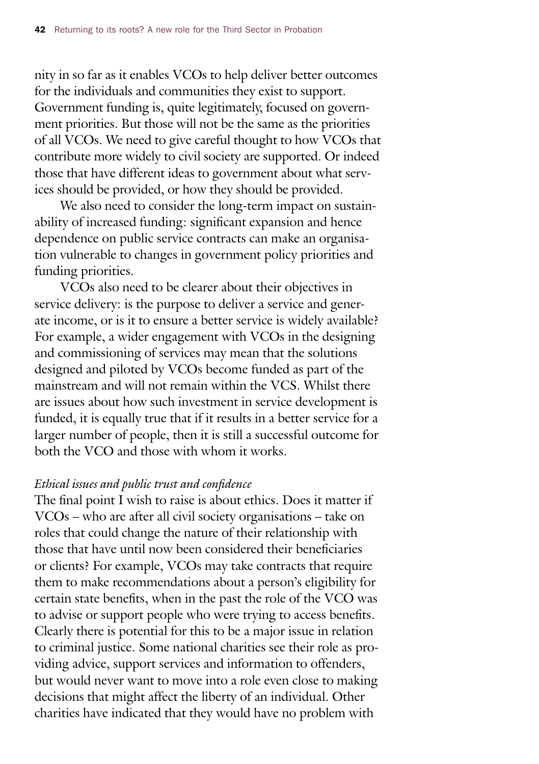nity in so far as it enables VCOs to help deliver better outcomes for the individuals and communities they exist to support. Government funding is, quite legitimately, focused on government priorities. But those will not be the same as the priorities of all VCOs. We need to give careful thought to how VCOs that contribute more widely to civil society are supported. Or indeed those that have different ideas to government about what services should be provided, or how they should be provided.

 We also need to consider the long-term impact on sustainability of increased funding: significant expansion and hence dependence on public service contracts can make an organisation vulnerable to changes in government policy priorities and funding priorities.

 VCOs also need to be clearer about their objectives in service delivery: is the purpose to deliver a service and generate income, or is it to ensure a better service is widely available? For example, a wider engagement with VCOs in the designing and commissioning of services may mean that the solutions designed and piloted by VCOs become funded as part of the mainstream and will not remain within the VCS. Whilst there are issues about how such investment in service development is funded, it is equally true that if it results in a better service for a larger number of people, then it is still a successful outcome for both the VCO and those with whom it works.

#### *Ethical issues and public trust and confidence*

The final point I wish to raise is about ethics. Does it matter if VCOs – who are after all civil society organisations – take on roles that could change the nature of their relationship with those that have until now been considered their beneficiaries or clients? For example, VCOs may take contracts that require them to make recommendations about a person's eligibility for certain state benefits, when in the past the role of the VCO was to advise or support people who were trying to access benefits. Clearly there is potential for this to be a major issue in relation to criminal justice. Some national charities see their role as providing advice, support services and information to offenders, but would never want to move into a role even close to making decisions that might affect the liberty of an individual. Other charities have indicated that they would have no problem with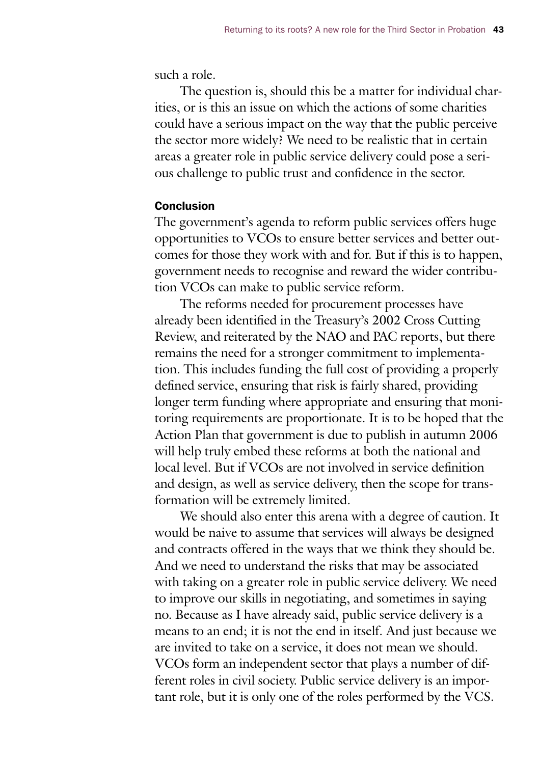such a role.

 The question is, should this be a matter for individual charities, or is this an issue on which the actions of some charities could have a serious impact on the way that the public perceive the sector more widely? We need to be realistic that in certain areas a greater role in public service delivery could pose a serious challenge to public trust and confidence in the sector.

### Conclusion

The government's agenda to reform public services offers huge opportunities to VCOs to ensure better services and better outcomes for those they work with and for. But if this is to happen, government needs to recognise and reward the wider contribution VCOs can make to public service reform.

 The reforms needed for procurement processes have already been identified in the Treasury's 2002 Cross Cutting Review, and reiterated by the NAO and PAC reports, but there remains the need for a stronger commitment to implementation. This includes funding the full cost of providing a properly defined service, ensuring that risk is fairly shared, providing longer term funding where appropriate and ensuring that monitoring requirements are proportionate. It is to be hoped that the Action Plan that government is due to publish in autumn 2006 will help truly embed these reforms at both the national and local level. But if VCOs are not involved in service definition and design, as well as service delivery, then the scope for transformation will be extremely limited.

 We should also enter this arena with a degree of caution. It would be naive to assume that services will always be designed and contracts offered in the ways that we think they should be. And we need to understand the risks that may be associated with taking on a greater role in public service delivery. We need to improve our skills in negotiating, and sometimes in saying no. Because as I have already said, public service delivery is a means to an end; it is not the end in itself. And just because we are invited to take on a service, it does not mean we should. VCOs form an independent sector that plays a number of different roles in civil society. Public service delivery is an important role, but it is only one of the roles performed by the VCS.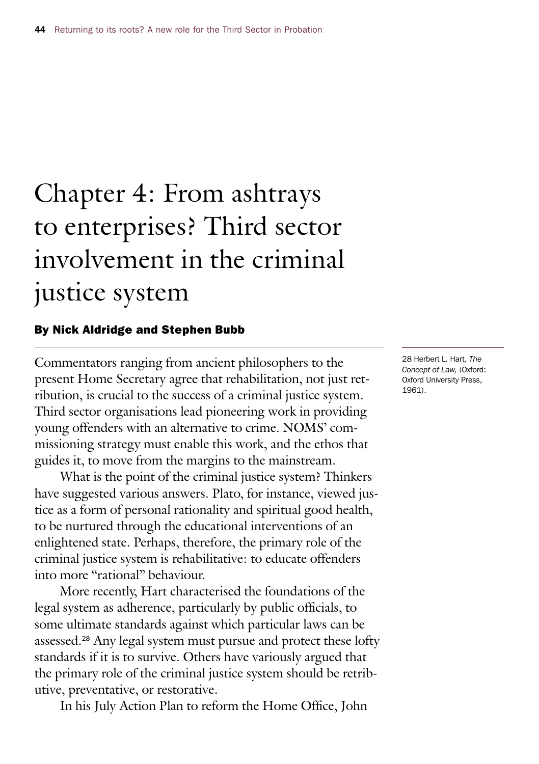# Chapter 4: From ashtrays to enterprises? Third sector involvement in the criminal justice system

### By Nick Aldridge and Stephen Bubb

Commentators ranging from ancient philosophers to the present Home Secretary agree that rehabilitation, not just retribution, is crucial to the success of a criminal justice system. Third sector organisations lead pioneering work in providing young offenders with an alternative to crime. NOMS' commissioning strategy must enable this work, and the ethos that guides it, to move from the margins to the mainstream.

 What is the point of the criminal justice system? Thinkers have suggested various answers. Plato, for instance, viewed justice as a form of personal rationality and spiritual good health, to be nurtured through the educational interventions of an enlightened state. Perhaps, therefore, the primary role of the criminal justice system is rehabilitative: to educate offenders into more "rational" behaviour.

 More recently, Hart characterised the foundations of the legal system as adherence, particularly by public officials, to some ultimate standards against which particular laws can be assessed.28 Any legal system must pursue and protect these lofty standards if it is to survive. Others have variously argued that the primary role of the criminal justice system should be retributive, preventative, or restorative.

In his July Action Plan to reform the Home Office, John

28 Herbert L. Hart, *The Concept of Law,* (Oxford: Oxford University Press, 1961).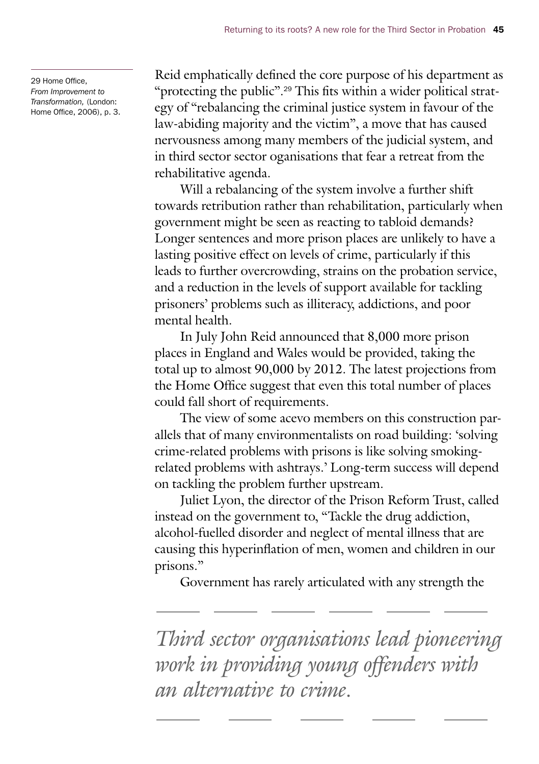29 Home Office, *From Improvement to Transformation,* (London: Home Office, 2006), p. 3. Reid emphatically defined the core purpose of his department as "protecting the public".<sup>29</sup> This fits within a wider political strategy of "rebalancing the criminal justice system in favour of the law-abiding majority and the victim", a move that has caused nervousness among many members of the judicial system, and in third sector sector oganisations that fear a retreat from the rehabilitative agenda.

 Will a rebalancing of the system involve a further shift towards retribution rather than rehabilitation, particularly when government might be seen as reacting to tabloid demands? Longer sentences and more prison places are unlikely to have a lasting positive effect on levels of crime, particularly if this leads to further overcrowding, strains on the probation service, and a reduction in the levels of support available for tackling prisoners' problems such as illiteracy, addictions, and poor mental health.

 In July John Reid announced that 8,000 more prison places in England and Wales would be provided, taking the total up to almost 90,000 by 2012. The latest projections from the Home Office suggest that even this total number of places could fall short of requirements.

 The view of some acevo members on this construction parallels that of many environmentalists on road building: 'solving crime-related problems with prisons is like solving smokingrelated problems with ashtrays.' Long-term success will depend on tackling the problem further upstream.

 Juliet Lyon, the director of the Prison Reform Trust, called instead on the government to, "Tackle the drug addiction, alcohol-fuelled disorder and neglect of mental illness that are causing this hyperinflation of men, women and children in our prisons."

Government has rarely articulated with any strength the

*Third sector organisations lead pioneering work in providing young offenders with an alternative to crime.*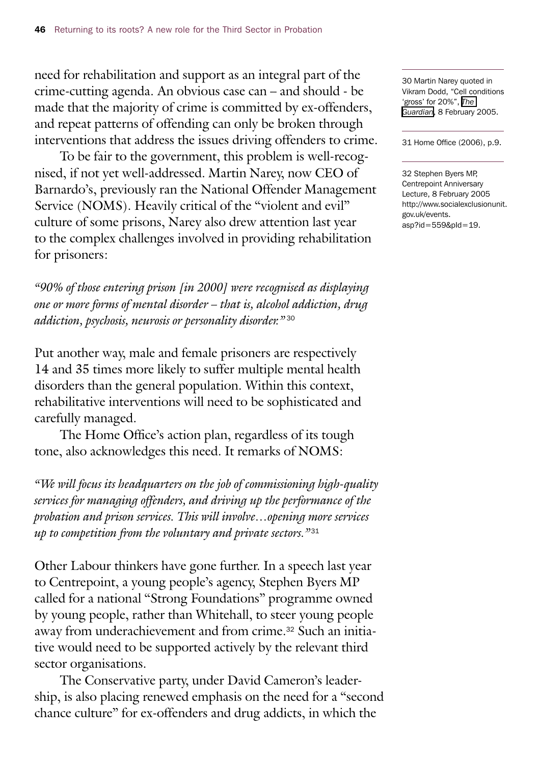need for rehabilitation and support as an integral part of the crime-cutting agenda. An obvious case can – and should - be made that the majority of crime is committed by ex-offenders, and repeat patterns of offending can only be broken through interventions that address the issues driving offenders to crime.

 To be fair to the government, this problem is well-recognised, if not yet well-addressed. Martin Narey, now CEO of Barnardo's, previously ran the National Offender Management Service (NOMS). Heavily critical of the "violent and evil" culture of some prisons, Narey also drew attention last year to the complex challenges involved in providing rehabilitation for prisoners:

*"90% of those entering prison [in 2000] were recognised as displaying one or more forms of mental disorder – that is, alcohol addiction, drug addiction, psychosis, neurosis or personality disorder."* <sup>30</sup>

Put another way, male and female prisoners are respectively 14 and 35 times more likely to suffer multiple mental health disorders than the general population. Within this context, rehabilitative interventions will need to be sophisticated and carefully managed.

 The Home Office's action plan, regardless of its tough tone, also acknowledges this need. It remarks of NOMS:

*"We will focus its headquarters on the job of commissioning high-quality services for managing offenders, and driving up the performance of the probation and prison services. This will involve…opening more services up to competition from the voluntary and private sectors."*<sup>31</sup>

Other Labour thinkers have gone further. In a speech last year to Centrepoint, a young people's agency, Stephen Byers MP called for a national "Strong Foundations" programme owned by young people, rather than Whitehall, to steer young people away from underachievement and from crime.32 Such an initiative would need to be supported actively by the relevant third sector organisations.

 The Conservative party, under David Cameron's leadership, is also placing renewed emphasis on the need for a "second chance culture" for ex-offenders and drug addicts, in which the

30 Martin Narey quoted in Vikram Dodd, "Cell conditions 'gross' for 20%", *[The](http://www.guardian.co.uk)  [Guardian](http://www.guardian.co.uk)*, 8 February 2005.

31 Home Office (2006), p.9.

32 Stephen Byers MP, Centrepoint Anniversary Lecture, 8 February 2005 http://www.socialexclusionunit. gov.uk/events. asp?id=559&pId=19.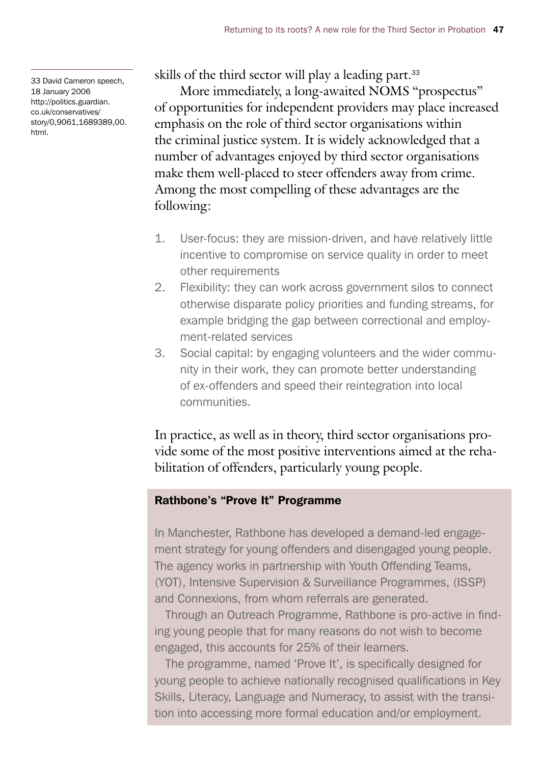33 David Cameron speech, 18 January 2006 http://politics.guardian. co.uk/conservatives/ story/0,9061,1689389,00. html.

skills of the third sector will play a leading part.<sup>33</sup>

 More immediately, a long-awaited NOMS "prospectus" of opportunities for independent providers may place increased emphasis on the role of third sector organisations within the criminal justice system. It is widely acknowledged that a number of advantages enjoyed by third sector organisations make them well-placed to steer offenders away from crime. Among the most compelling of these advantages are the following:

- 1. User-focus: they are mission-driven, and have relatively little incentive to compromise on service quality in order to meet other requirements
- 2. Flexibility: they can work across government silos to connect otherwise disparate policy priorities and funding streams, for example bridging the gap between correctional and employment-related services
- 3. Social capital: by engaging volunteers and the wider community in their work, they can promote better understanding of ex-offenders and speed their reintegration into local communities.

In practice, as well as in theory, third sector organisations provide some of the most positive interventions aimed at the rehabilitation of offenders, particularly young people.

# Rathbone's "Prove It" Programme

In Manchester, Rathbone has developed a demand-led engagement strategy for young offenders and disengaged young people. The agency works in partnership with Youth Offending Teams, (YOT), Intensive Supervision & Surveillance Programmes, (ISSP) and Connexions, from whom referrals are generated.

 Through an Outreach Programme, Rathbone is pro-active in finding young people that for many reasons do not wish to become engaged, this accounts for 25% of their learners.

 The programme, named 'Prove It', is specifically designed for young people to achieve nationally recognised qualifications in Key Skills, Literacy, Language and Numeracy, to assist with the transition into accessing more formal education and/or employment.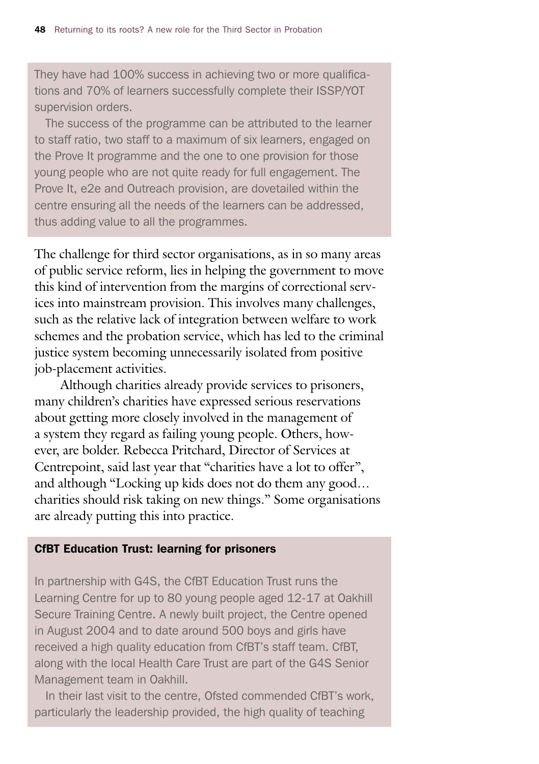They have had 100% success in achieving two or more qualifications and 70% of learners successfully complete their ISSP/YOT supervision orders.

 The success of the programme can be attributed to the learner to staff ratio, two staff to a maximum of six learners, engaged on the Prove It programme and the one to one provision for those young people who are not quite ready for full engagement. The Prove It, e2e and Outreach provision, are dovetailed within the centre ensuring all the needs of the learners can be addressed, thus adding value to all the programmes.

The challenge for third sector organisations, as in so many areas of public service reform, lies in helping the government to move this kind of intervention from the margins of correctional services into mainstream provision. This involves many challenges, such as the relative lack of integration between welfare to work schemes and the probation service, which has led to the criminal justice system becoming unnecessarily isolated from positive job-placement activities.

 Although charities already provide services to prisoners, many children's charities have expressed serious reservations about getting more closely involved in the management of a system they regard as failing young people. Others, however, are bolder. Rebecca Pritchard, Director of Services at Centrepoint, said last year that "charities have a lot to offer", and although "Locking up kids does not do them any good… charities should risk taking on new things." Some organisations are already putting this into practice.

#### CfBT Education Trust: learning for prisoners

In partnership with G4S, the CfBT Education Trust runs the Learning Centre for up to 80 young people aged 12-17 at Oakhill Secure Training Centre. A newly built project, the Centre opened in August 2004 and to date around 500 boys and girls have received a high quality education from CfBT's staff team. CfBT, along with the local Health Care Trust are part of the G4S Senior Management team in Oakhill.

 In their last visit to the centre, Ofsted commended CfBT's work, particularly the leadership provided, the high quality of teaching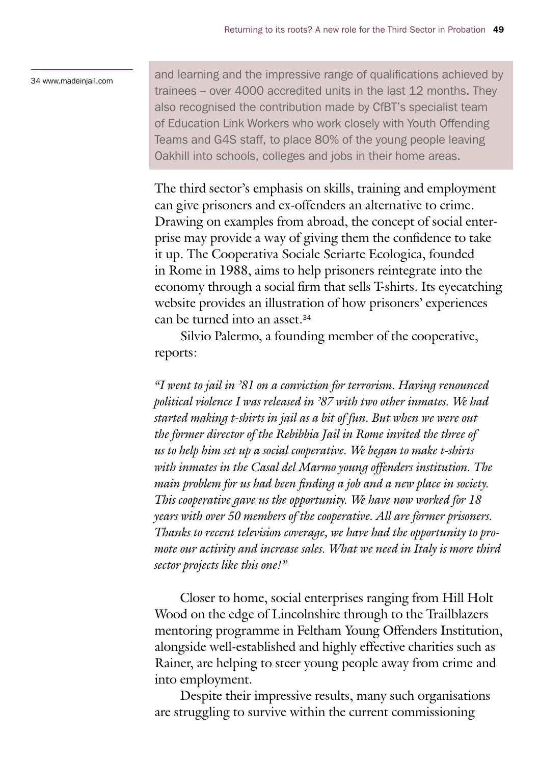#### 34 www.madeinjail.com

and learning and the impressive range of qualifications achieved by trainees – over 4000 accredited units in the last 12 months. They also recognised the contribution made by CfBT's specialist team of Education Link Workers who work closely with Youth Offending Teams and G4S staff, to place 80% of the young people leaving Oakhill into schools, colleges and jobs in their home areas.

The third sector's emphasis on skills, training and employment can give prisoners and ex-offenders an alternative to crime. Drawing on examples from abroad, the concept of social enterprise may provide a way of giving them the confidence to take it up. The Cooperativa Sociale Seriarte Ecologica, founded in Rome in 1988, aims to help prisoners reintegrate into the economy through a social firm that sells T-shirts. Its eyecatching website provides an illustration of how prisoners' experiences can be turned into an asset.<sup>34</sup>

 Silvio Palermo, a founding member of the cooperative, reports:

*"I went to jail in '81 on a conviction for terrorism. Having renounced political violence I was released in '87 with two other inmates. We had started making t-shirts in jail as a bit of fun. But when we were out the former director of the Rebibbia Jail in Rome invited the three of us to help him set up a social cooperative. We began to make t-shirts with inmates in the Casal del Marmo young offenders institution. The main problem for us had been finding a job and a new place in society. This cooperative gave us the opportunity. We have now worked for 18 years with over 50 members of the cooperative. All are former prisoners. Thanks to recent television coverage, we have had the opportunity to promote our activity and increase sales. What we need in Italy is more third sector projects like this one!"*

 Closer to home, social enterprises ranging from Hill Holt Wood on the edge of Lincolnshire through to the Trailblazers mentoring programme in Feltham Young Offenders Institution, alongside well-established and highly effective charities such as Rainer, are helping to steer young people away from crime and into employment.

 Despite their impressive results, many such organisations are struggling to survive within the current commissioning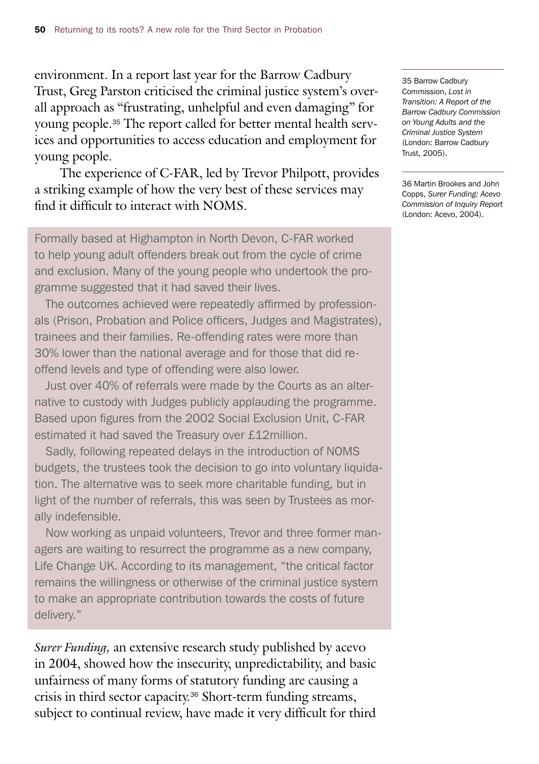environment. In a report last year for the Barrow Cadbury Trust, Greg Parston criticised the criminal justice system's overall approach as "frustrating, unhelpful and even damaging" for young people.35 The report called for better mental health services and opportunities to access education and employment for young people.

 The experience of C-FAR, led by Trevor Philpott, provides a striking example of how the very best of these services may find it difficult to interact with NOMS.

Formally based at Highampton in North Devon, C-FAR worked to help young adult offenders break out from the cycle of crime and exclusion. Many of the young people who undertook the programme suggested that it had saved their lives.

 The outcomes achieved were repeatedly affirmed by professionals (Prison, Probation and Police officers, Judges and Magistrates), trainees and their families. Re-offending rates were more than 30% lower than the national average and for those that did reoffend levels and type of offending were also lower.

 Just over 40% of referrals were made by the Courts as an alternative to custody with Judges publicly applauding the programme. Based upon figures from the 2002 Social Exclusion Unit, C-FAR estimated it had saved the Treasury over £12million.

 Sadly, following repeated delays in the introduction of NOMS budgets, the trustees took the decision to go into voluntary liquidation. The alternative was to seek more charitable funding, but in light of the number of referrals, this was seen by Trustees as morally indefensible.

 Now working as unpaid volunteers, Trevor and three former managers are waiting to resurrect the programme as a new company, Life Change UK. According to its management, "the critical factor remains the willingness or otherwise of the criminal justice system to make an appropriate contribution towards the costs of future delivery."

*Surer Funding,* an extensive research study published by acevo in 2004, showed how the insecurity, unpredictability, and basic unfairness of many forms of statutory funding are causing a crisis in third sector capacity.36 Short-term funding streams, subject to continual review, have made it very difficult for third 35 Barrow Cadbury Commission, *Lost in Transition: A Report of the Barrow Cadbury Commission on Young Adults and the Criminal Justice System* (London: Barrow Cadbury Trust, 2005).

36 Martin Brookes and John Copps, *Surer Funding: Acevo Commission of Inquiry Report* (London: Acevo, 2004).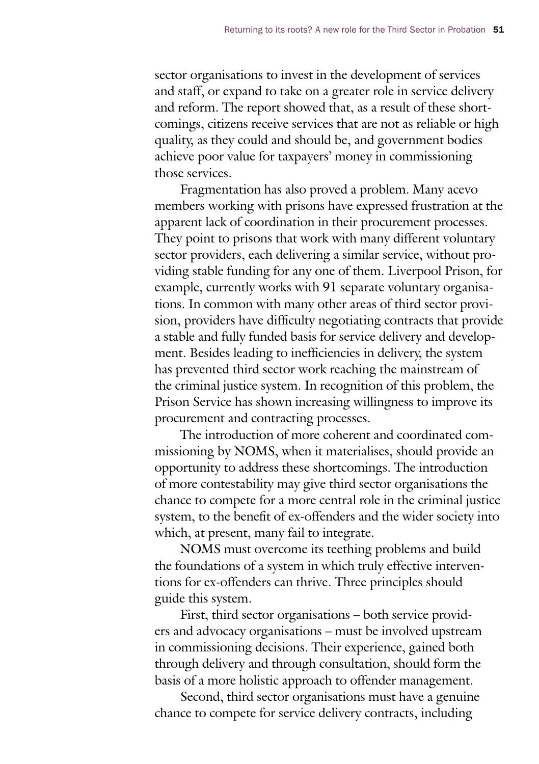sector organisations to invest in the development of services and staff, or expand to take on a greater role in service delivery and reform. The report showed that, as a result of these shortcomings, citizens receive services that are not as reliable or high quality, as they could and should be, and government bodies achieve poor value for taxpayers' money in commissioning those services.

 Fragmentation has also proved a problem. Many acevo members working with prisons have expressed frustration at the apparent lack of coordination in their procurement processes. They point to prisons that work with many different voluntary sector providers, each delivering a similar service, without providing stable funding for any one of them. Liverpool Prison, for example, currently works with 91 separate voluntary organisations. In common with many other areas of third sector provision, providers have difficulty negotiating contracts that provide a stable and fully funded basis for service delivery and development. Besides leading to inefficiencies in delivery, the system has prevented third sector work reaching the mainstream of the criminal justice system. In recognition of this problem, the Prison Service has shown increasing willingness to improve its procurement and contracting processes.

 The introduction of more coherent and coordinated commissioning by NOMS, when it materialises, should provide an opportunity to address these shortcomings. The introduction of more contestability may give third sector organisations the chance to compete for a more central role in the criminal justice system, to the benefit of ex-offenders and the wider society into which, at present, many fail to integrate.

 NOMS must overcome its teething problems and build the foundations of a system in which truly effective interventions for ex-offenders can thrive. Three principles should guide this system.

 First, third sector organisations – both service providers and advocacy organisations – must be involved upstream in commissioning decisions. Their experience, gained both through delivery and through consultation, should form the basis of a more holistic approach to offender management.

 Second, third sector organisations must have a genuine chance to compete for service delivery contracts, including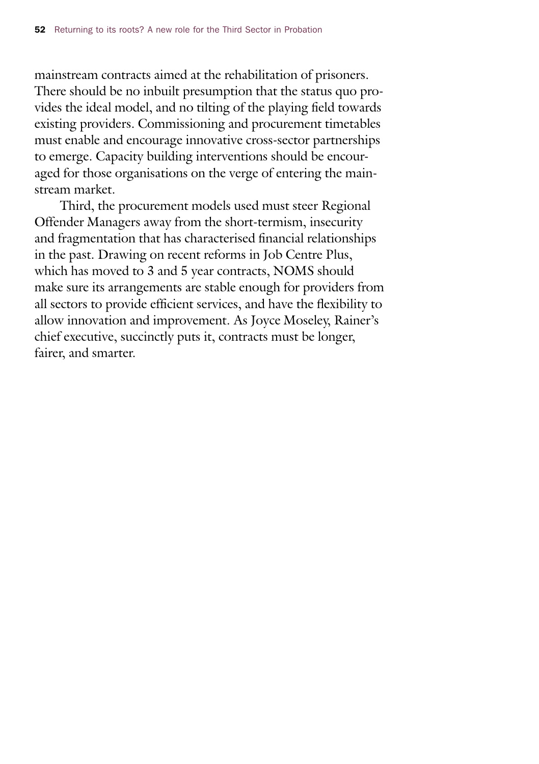mainstream contracts aimed at the rehabilitation of prisoners. There should be no inbuilt presumption that the status quo provides the ideal model, and no tilting of the playing field towards existing providers. Commissioning and procurement timetables must enable and encourage innovative cross-sector partnerships to emerge. Capacity building interventions should be encouraged for those organisations on the verge of entering the mainstream market.

 Third, the procurement models used must steer Regional Offender Managers away from the short-termism, insecurity and fragmentation that has characterised financial relationships in the past. Drawing on recent reforms in Job Centre Plus, which has moved to 3 and 5 year contracts, NOMS should make sure its arrangements are stable enough for providers from all sectors to provide efficient services, and have the flexibility to allow innovation and improvement. As Joyce Moseley, Rainer's chief executive, succinctly puts it, contracts must be longer, fairer, and smarter.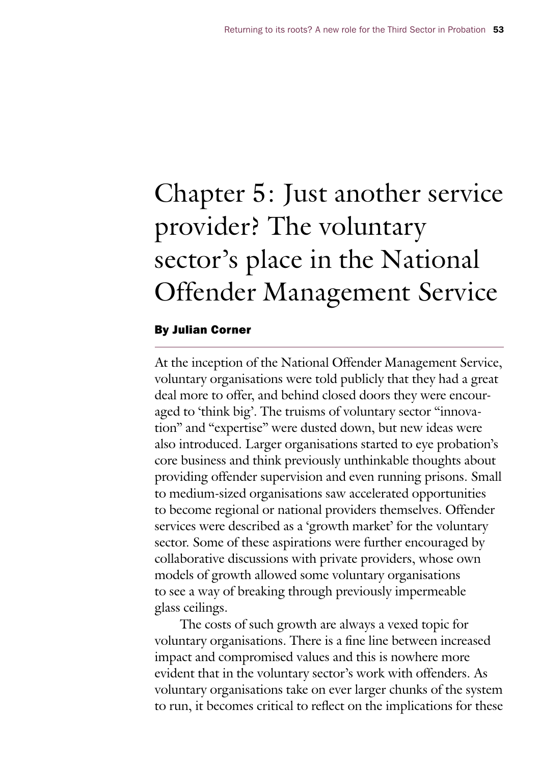# Chapter 5: Just another service provider? The voluntary sector's place in the National Offender Management Service

### By Julian Corner

At the inception of the National Offender Management Service, voluntary organisations were told publicly that they had a great deal more to offer, and behind closed doors they were encouraged to 'think big'. The truisms of voluntary sector "innovation" and "expertise" were dusted down, but new ideas were also introduced. Larger organisations started to eye probation's core business and think previously unthinkable thoughts about providing offender supervision and even running prisons. Small to medium-sized organisations saw accelerated opportunities to become regional or national providers themselves. Offender services were described as a 'growth market' for the voluntary sector. Some of these aspirations were further encouraged by collaborative discussions with private providers, whose own models of growth allowed some voluntary organisations to see a way of breaking through previously impermeable glass ceilings.

 The costs of such growth are always a vexed topic for voluntary organisations. There is a fine line between increased impact and compromised values and this is nowhere more evident that in the voluntary sector's work with offenders. As voluntary organisations take on ever larger chunks of the system to run, it becomes critical to reflect on the implications for these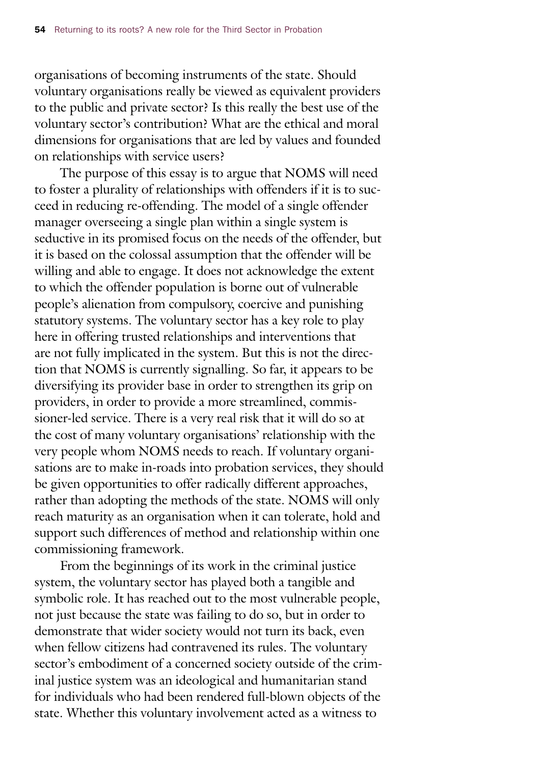organisations of becoming instruments of the state. Should voluntary organisations really be viewed as equivalent providers to the public and private sector? Is this really the best use of the voluntary sector's contribution? What are the ethical and moral dimensions for organisations that are led by values and founded on relationships with service users?

 The purpose of this essay is to argue that NOMS will need to foster a plurality of relationships with offenders if it is to succeed in reducing re-offending. The model of a single offender manager overseeing a single plan within a single system is seductive in its promised focus on the needs of the offender, but it is based on the colossal assumption that the offender will be willing and able to engage. It does not acknowledge the extent to which the offender population is borne out of vulnerable people's alienation from compulsory, coercive and punishing statutory systems. The voluntary sector has a key role to play here in offering trusted relationships and interventions that are not fully implicated in the system. But this is not the direction that NOMS is currently signalling. So far, it appears to be diversifying its provider base in order to strengthen its grip on providers, in order to provide a more streamlined, commissioner-led service. There is a very real risk that it will do so at the cost of many voluntary organisations' relationship with the very people whom NOMS needs to reach. If voluntary organisations are to make in-roads into probation services, they should be given opportunities to offer radically different approaches, rather than adopting the methods of the state. NOMS will only reach maturity as an organisation when it can tolerate, hold and support such differences of method and relationship within one commissioning framework.

 From the beginnings of its work in the criminal justice system, the voluntary sector has played both a tangible and symbolic role. It has reached out to the most vulnerable people, not just because the state was failing to do so, but in order to demonstrate that wider society would not turn its back, even when fellow citizens had contravened its rules. The voluntary sector's embodiment of a concerned society outside of the criminal justice system was an ideological and humanitarian stand for individuals who had been rendered full-blown objects of the state. Whether this voluntary involvement acted as a witness to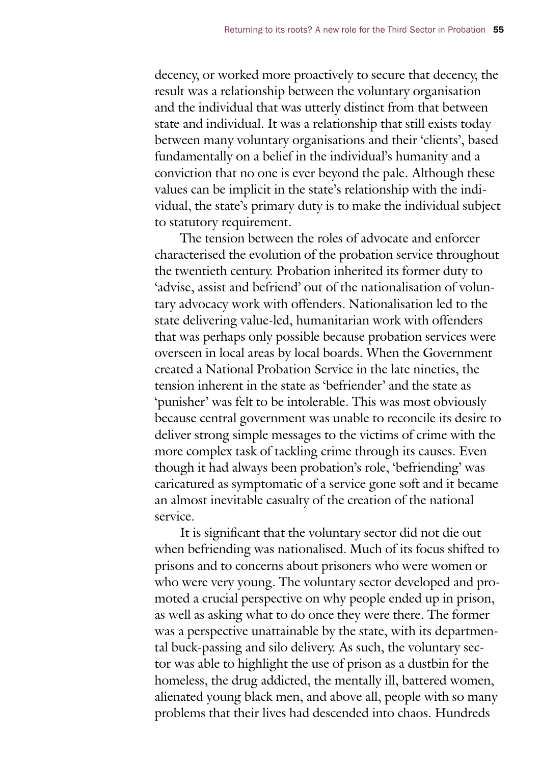decency, or worked more proactively to secure that decency, the result was a relationship between the voluntary organisation and the individual that was utterly distinct from that between state and individual. It was a relationship that still exists today between many voluntary organisations and their 'clients', based fundamentally on a belief in the individual's humanity and a conviction that no one is ever beyond the pale. Although these values can be implicit in the state's relationship with the individual, the state's primary duty is to make the individual subject to statutory requirement.

 The tension between the roles of advocate and enforcer characterised the evolution of the probation service throughout the twentieth century. Probation inherited its former duty to 'advise, assist and befriend' out of the nationalisation of voluntary advocacy work with offenders. Nationalisation led to the state delivering value-led, humanitarian work with offenders that was perhaps only possible because probation services were overseen in local areas by local boards. When the Government created a National Probation Service in the late nineties, the tension inherent in the state as 'befriender' and the state as 'punisher' was felt to be intolerable. This was most obviously because central government was unable to reconcile its desire to deliver strong simple messages to the victims of crime with the more complex task of tackling crime through its causes. Even though it had always been probation's role, 'befriending' was caricatured as symptomatic of a service gone soft and it became an almost inevitable casualty of the creation of the national service.

 It is significant that the voluntary sector did not die out when befriending was nationalised. Much of its focus shifted to prisons and to concerns about prisoners who were women or who were very young. The voluntary sector developed and promoted a crucial perspective on why people ended up in prison, as well as asking what to do once they were there. The former was a perspective unattainable by the state, with its departmental buck-passing and silo delivery. As such, the voluntary sector was able to highlight the use of prison as a dustbin for the homeless, the drug addicted, the mentally ill, battered women, alienated young black men, and above all, people with so many problems that their lives had descended into chaos. Hundreds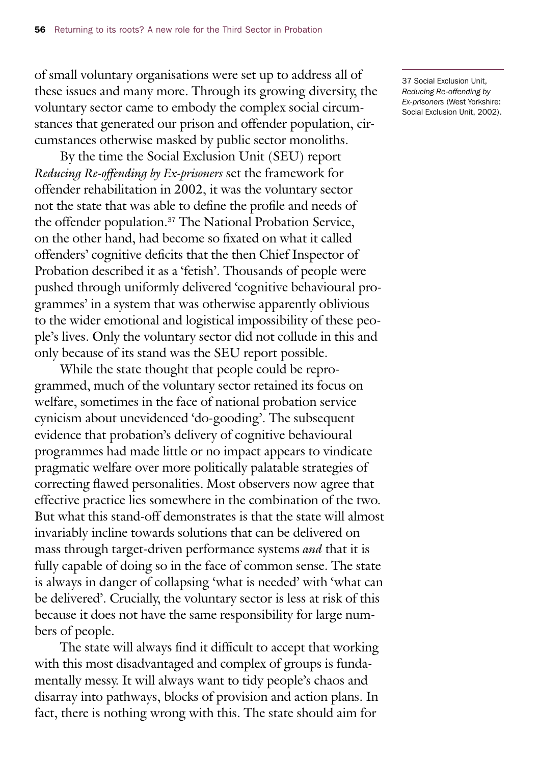of small voluntary organisations were set up to address all of these issues and many more. Through its growing diversity, the voluntary sector came to embody the complex social circumstances that generated our prison and offender population, circumstances otherwise masked by public sector monoliths.

 By the time the Social Exclusion Unit (SEU) report *Reducing Re-offending by Ex-prisoners* set the framework for offender rehabilitation in 2002, it was the voluntary sector not the state that was able to define the profile and needs of the offender population.37 The National Probation Service, on the other hand, had become so fixated on what it called offenders' cognitive deficits that the then Chief Inspector of Probation described it as a 'fetish'. Thousands of people were pushed through uniformly delivered 'cognitive behavioural programmes' in a system that was otherwise apparently oblivious to the wider emotional and logistical impossibility of these people's lives. Only the voluntary sector did not collude in this and only because of its stand was the SEU report possible.

 While the state thought that people could be reprogrammed, much of the voluntary sector retained its focus on welfare, sometimes in the face of national probation service cynicism about unevidenced 'do-gooding'. The subsequent evidence that probation's delivery of cognitive behavioural programmes had made little or no impact appears to vindicate pragmatic welfare over more politically palatable strategies of correcting flawed personalities. Most observers now agree that effective practice lies somewhere in the combination of the two. But what this stand-off demonstrates is that the state will almost invariably incline towards solutions that can be delivered on mass through target-driven performance systems *and* that it is fully capable of doing so in the face of common sense. The state is always in danger of collapsing 'what is needed' with 'what can be delivered'. Crucially, the voluntary sector is less at risk of this because it does not have the same responsibility for large numbers of people.

 The state will always find it difficult to accept that working with this most disadvantaged and complex of groups is fundamentally messy. It will always want to tidy people's chaos and disarray into pathways, blocks of provision and action plans. In fact, there is nothing wrong with this. The state should aim for

37 Social Exclusion Unit, *Reducing Re-offending by Ex-prisoners* (West Yorkshire: Social Exclusion Unit, 2002).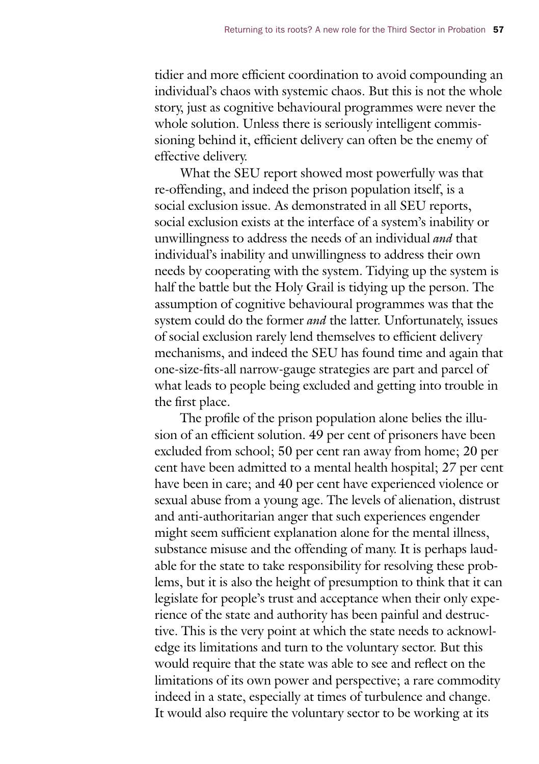tidier and more efficient coordination to avoid compounding an individual's chaos with systemic chaos. But this is not the whole story, just as cognitive behavioural programmes were never the whole solution. Unless there is seriously intelligent commissioning behind it, efficient delivery can often be the enemy of effective delivery.

 What the SEU report showed most powerfully was that re-offending, and indeed the prison population itself, is a social exclusion issue. As demonstrated in all SEU reports, social exclusion exists at the interface of a system's inability or unwillingness to address the needs of an individual *and* that individual's inability and unwillingness to address their own needs by cooperating with the system. Tidying up the system is half the battle but the Holy Grail is tidying up the person. The assumption of cognitive behavioural programmes was that the system could do the former *and* the latter. Unfortunately, issues of social exclusion rarely lend themselves to efficient delivery mechanisms, and indeed the SEU has found time and again that one-size-fits-all narrow-gauge strategies are part and parcel of what leads to people being excluded and getting into trouble in the first place.

 The profile of the prison population alone belies the illusion of an efficient solution. 49 per cent of prisoners have been excluded from school; 50 per cent ran away from home; 20 per cent have been admitted to a mental health hospital; 27 per cent have been in care; and 40 per cent have experienced violence or sexual abuse from a young age. The levels of alienation, distrust and anti-authoritarian anger that such experiences engender might seem sufficient explanation alone for the mental illness, substance misuse and the offending of many. It is perhaps laudable for the state to take responsibility for resolving these problems, but it is also the height of presumption to think that it can legislate for people's trust and acceptance when their only experience of the state and authority has been painful and destructive. This is the very point at which the state needs to acknowledge its limitations and turn to the voluntary sector. But this would require that the state was able to see and reflect on the limitations of its own power and perspective; a rare commodity indeed in a state, especially at times of turbulence and change. It would also require the voluntary sector to be working at its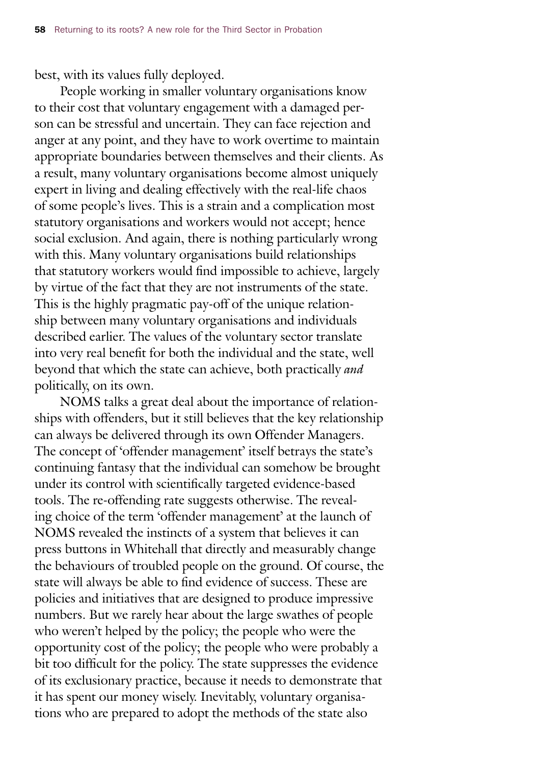best, with its values fully deployed.

 People working in smaller voluntary organisations know to their cost that voluntary engagement with a damaged person can be stressful and uncertain. They can face rejection and anger at any point, and they have to work overtime to maintain appropriate boundaries between themselves and their clients. As a result, many voluntary organisations become almost uniquely expert in living and dealing effectively with the real-life chaos of some people's lives. This is a strain and a complication most statutory organisations and workers would not accept; hence social exclusion. And again, there is nothing particularly wrong with this. Many voluntary organisations build relationships that statutory workers would find impossible to achieve, largely by virtue of the fact that they are not instruments of the state. This is the highly pragmatic pay-off of the unique relationship between many voluntary organisations and individuals described earlier. The values of the voluntary sector translate into very real benefit for both the individual and the state, well beyond that which the state can achieve, both practically *and* politically, on its own.

 NOMS talks a great deal about the importance of relationships with offenders, but it still believes that the key relationship can always be delivered through its own Offender Managers. The concept of 'offender management' itself betrays the state's continuing fantasy that the individual can somehow be brought under its control with scientifically targeted evidence-based tools. The re-offending rate suggests otherwise. The revealing choice of the term 'offender management' at the launch of NOMS revealed the instincts of a system that believes it can press buttons in Whitehall that directly and measurably change the behaviours of troubled people on the ground. Of course, the state will always be able to find evidence of success. These are policies and initiatives that are designed to produce impressive numbers. But we rarely hear about the large swathes of people who weren't helped by the policy; the people who were the opportunity cost of the policy; the people who were probably a bit too difficult for the policy. The state suppresses the evidence of its exclusionary practice, because it needs to demonstrate that it has spent our money wisely. Inevitably, voluntary organisations who are prepared to adopt the methods of the state also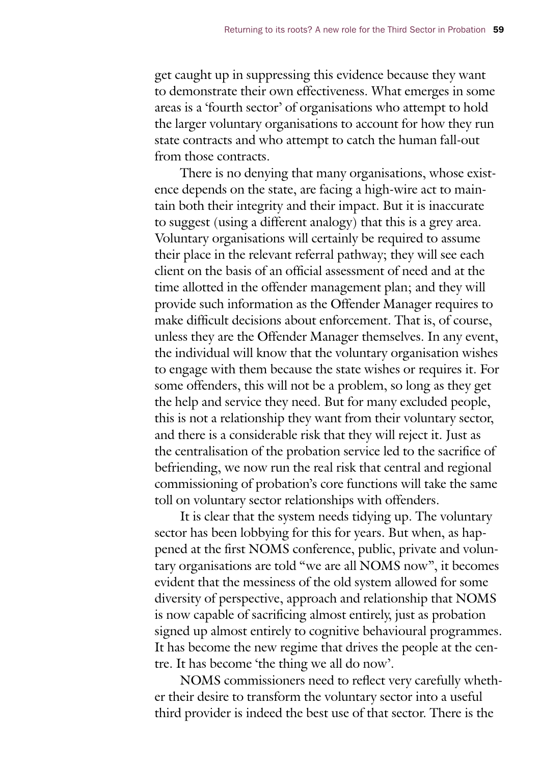get caught up in suppressing this evidence because they want to demonstrate their own effectiveness. What emerges in some areas is a 'fourth sector' of organisations who attempt to hold the larger voluntary organisations to account for how they run state contracts and who attempt to catch the human fall-out from those contracts.

 There is no denying that many organisations, whose existence depends on the state, are facing a high-wire act to maintain both their integrity and their impact. But it is inaccurate to suggest (using a different analogy) that this is a grey area. Voluntary organisations will certainly be required to assume their place in the relevant referral pathway; they will see each client on the basis of an official assessment of need and at the time allotted in the offender management plan; and they will provide such information as the Offender Manager requires to make difficult decisions about enforcement. That is, of course, unless they are the Offender Manager themselves. In any event, the individual will know that the voluntary organisation wishes to engage with them because the state wishes or requires it. For some offenders, this will not be a problem, so long as they get the help and service they need. But for many excluded people, this is not a relationship they want from their voluntary sector, and there is a considerable risk that they will reject it. Just as the centralisation of the probation service led to the sacrifice of befriending, we now run the real risk that central and regional commissioning of probation's core functions will take the same toll on voluntary sector relationships with offenders.

 It is clear that the system needs tidying up. The voluntary sector has been lobbying for this for years. But when, as happened at the first NOMS conference, public, private and voluntary organisations are told "we are all NOMS now", it becomes evident that the messiness of the old system allowed for some diversity of perspective, approach and relationship that NOMS is now capable of sacrificing almost entirely, just as probation signed up almost entirely to cognitive behavioural programmes. It has become the new regime that drives the people at the centre. It has become 'the thing we all do now'.

 NOMS commissioners need to reflect very carefully whether their desire to transform the voluntary sector into a useful third provider is indeed the best use of that sector. There is the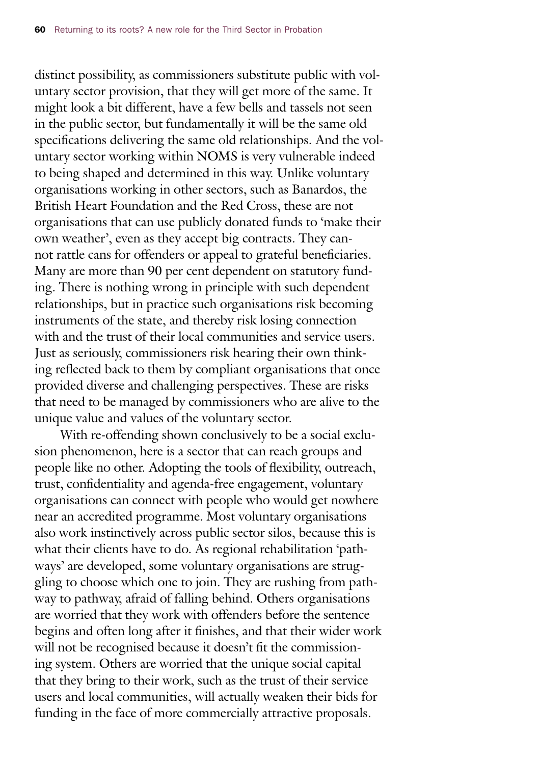distinct possibility, as commissioners substitute public with voluntary sector provision, that they will get more of the same. It might look a bit different, have a few bells and tassels not seen in the public sector, but fundamentally it will be the same old specifications delivering the same old relationships. And the voluntary sector working within NOMS is very vulnerable indeed to being shaped and determined in this way. Unlike voluntary organisations working in other sectors, such as Banardos, the British Heart Foundation and the Red Cross, these are not organisations that can use publicly donated funds to 'make their own weather', even as they accept big contracts. They cannot rattle cans for offenders or appeal to grateful beneficiaries. Many are more than 90 per cent dependent on statutory funding. There is nothing wrong in principle with such dependent relationships, but in practice such organisations risk becoming instruments of the state, and thereby risk losing connection with and the trust of their local communities and service users. Just as seriously, commissioners risk hearing their own thinking reflected back to them by compliant organisations that once provided diverse and challenging perspectives. These are risks that need to be managed by commissioners who are alive to the unique value and values of the voluntary sector.

 With re-offending shown conclusively to be a social exclusion phenomenon, here is a sector that can reach groups and people like no other. Adopting the tools of flexibility, outreach, trust, confidentiality and agenda-free engagement, voluntary organisations can connect with people who would get nowhere near an accredited programme. Most voluntary organisations also work instinctively across public sector silos, because this is what their clients have to do. As regional rehabilitation 'pathways' are developed, some voluntary organisations are struggling to choose which one to join. They are rushing from pathway to pathway, afraid of falling behind. Others organisations are worried that they work with offenders before the sentence begins and often long after it finishes, and that their wider work will not be recognised because it doesn't fit the commissioning system. Others are worried that the unique social capital that they bring to their work, such as the trust of their service users and local communities, will actually weaken their bids for funding in the face of more commercially attractive proposals.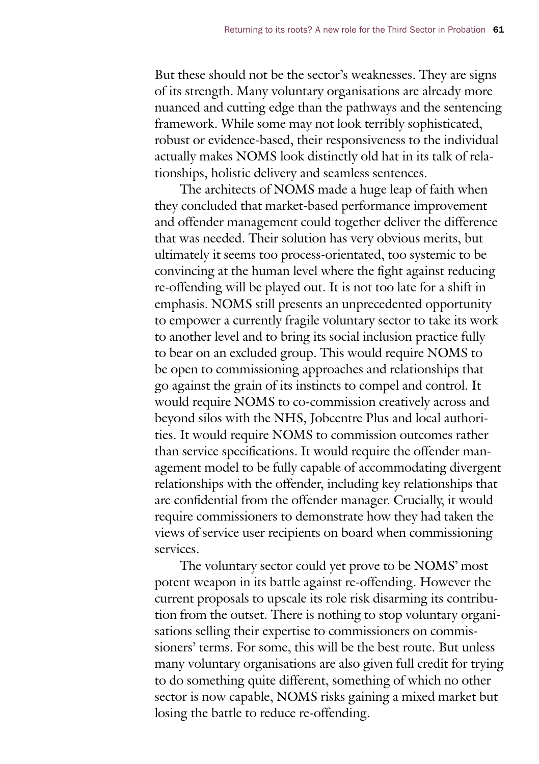But these should not be the sector's weaknesses. They are signs of its strength. Many voluntary organisations are already more nuanced and cutting edge than the pathways and the sentencing framework. While some may not look terribly sophisticated, robust or evidence-based, their responsiveness to the individual actually makes NOMS look distinctly old hat in its talk of relationships, holistic delivery and seamless sentences.

 The architects of NOMS made a huge leap of faith when they concluded that market-based performance improvement and offender management could together deliver the difference that was needed. Their solution has very obvious merits, but ultimately it seems too process-orientated, too systemic to be convincing at the human level where the fight against reducing re-offending will be played out. It is not too late for a shift in emphasis. NOMS still presents an unprecedented opportunity to empower a currently fragile voluntary sector to take its work to another level and to bring its social inclusion practice fully to bear on an excluded group. This would require NOMS to be open to commissioning approaches and relationships that go against the grain of its instincts to compel and control. It would require NOMS to co-commission creatively across and beyond silos with the NHS, Jobcentre Plus and local authorities. It would require NOMS to commission outcomes rather than service specifications. It would require the offender management model to be fully capable of accommodating divergent relationships with the offender, including key relationships that are confidential from the offender manager. Crucially, it would require commissioners to demonstrate how they had taken the views of service user recipients on board when commissioning services.

 The voluntary sector could yet prove to be NOMS' most potent weapon in its battle against re-offending. However the current proposals to upscale its role risk disarming its contribution from the outset. There is nothing to stop voluntary organisations selling their expertise to commissioners on commissioners' terms. For some, this will be the best route. But unless many voluntary organisations are also given full credit for trying to do something quite different, something of which no other sector is now capable, NOMS risks gaining a mixed market but losing the battle to reduce re-offending.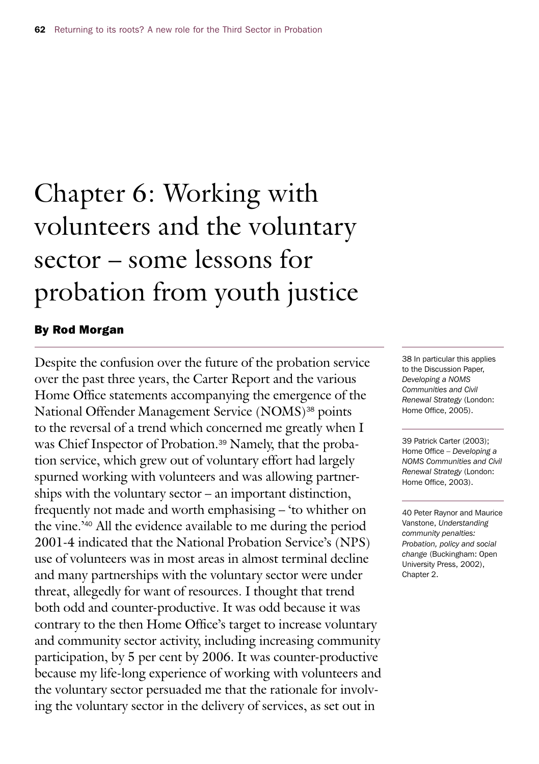# Chapter 6: Working with volunteers and the voluntary sector – some lessons for probation from youth justice

#### By Rod Morgan

Despite the confusion over the future of the probation service over the past three years, the Carter Report and the various Home Office statements accompanying the emergence of the National Offender Management Service (NOMS)<sup>38</sup> points to the reversal of a trend which concerned me greatly when I was Chief Inspector of Probation.39 Namely, that the probation service, which grew out of voluntary effort had largely spurned working with volunteers and was allowing partnerships with the voluntary sector – an important distinction, frequently not made and worth emphasising – 'to whither on the vine.'40 All the evidence available to me during the period 2001-4 indicated that the National Probation Service's (NPS) use of volunteers was in most areas in almost terminal decline and many partnerships with the voluntary sector were under threat, allegedly for want of resources. I thought that trend both odd and counter-productive. It was odd because it was contrary to the then Home Office's target to increase voluntary and community sector activity, including increasing community participation, by 5 per cent by 2006. It was counter-productive because my life-long experience of working with volunteers and the voluntary sector persuaded me that the rationale for involving the voluntary sector in the delivery of services, as set out in

38 In particular this applies to the Discussion Paper, *Developing a NOMS Communities and Civil Renewal Strategy* (London: Home Office, 2005).

39 Patrick Carter (2003); Home Office – *Developing a NOMS Communities and Civil Renewal Strategy* (London: Home Office, 2003).

40 Peter Raynor and Maurice Vanstone, *Understanding community penalties: Probation, policy and social change* (Buckingham: Open University Press, 2002), Chapter 2.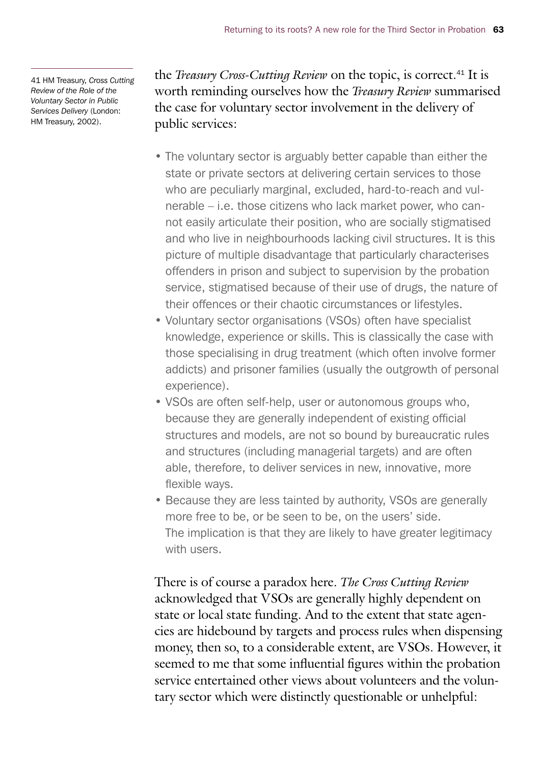41 HM Treasury, *Cross Cutting Review of the Role of the Voluntary Sector in Public Services Delivery* (London: HM Treasury, 2002).

the *Treasury Cross-Cutting Review* on the topic, is correct.41 It is worth reminding ourselves how the *Treasury Review* summarised the case for voluntary sector involvement in the delivery of public services:

- The voluntary sector is arguably better capable than either the state or private sectors at delivering certain services to those who are peculiarly marginal, excluded, hard-to-reach and vulnerable – i.e. those citizens who lack market power, who cannot easily articulate their position, who are socially stigmatised and who live in neighbourhoods lacking civil structures. It is this picture of multiple disadvantage that particularly characterises offenders in prison and subject to supervision by the probation service, stigmatised because of their use of drugs, the nature of their offences or their chaotic circumstances or lifestyles.
- Voluntary sector organisations (VSOs) often have specialist knowledge, experience or skills. This is classically the case with those specialising in drug treatment (which often involve former addicts) and prisoner families (usually the outgrowth of personal experience).
- VSOs are often self-help, user or autonomous groups who, because they are generally independent of existing official structures and models, are not so bound by bureaucratic rules and structures (including managerial targets) and are often able, therefore, to deliver services in new, innovative, more flexible ways.
- Because they are less tainted by authority, VSOs are generally more free to be, or be seen to be, on the users' side. The implication is that they are likely to have greater legitimacy with users.

There is of course a paradox here. *The Cross Cutting Review* acknowledged that VSOs are generally highly dependent on state or local state funding. And to the extent that state agencies are hidebound by targets and process rules when dispensing money, then so, to a considerable extent, are VSOs. However, it seemed to me that some influential figures within the probation service entertained other views about volunteers and the voluntary sector which were distinctly questionable or unhelpful: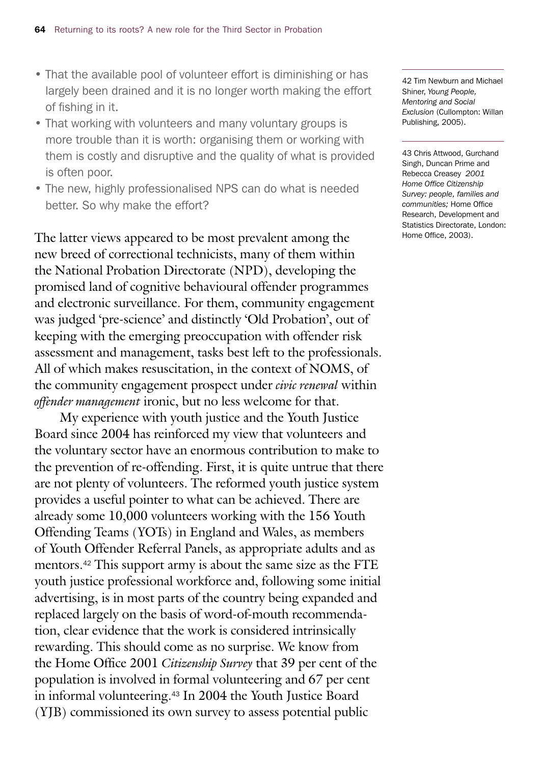- That the available pool of volunteer effort is diminishing or has largely been drained and it is no longer worth making the effort of fishing in it.
- That working with volunteers and many voluntary groups is more trouble than it is worth: organising them or working with them is costly and disruptive and the quality of what is provided is often poor.
- The new, highly professionalised NPS can do what is needed better. So why make the effort?

The latter views appeared to be most prevalent among the new breed of correctional technicists, many of them within the National Probation Directorate (NPD), developing the promised land of cognitive behavioural offender programmes and electronic surveillance. For them, community engagement was judged 'pre-science' and distinctly 'Old Probation', out of keeping with the emerging preoccupation with offender risk assessment and management, tasks best left to the professionals. All of which makes resuscitation, in the context of NOMS, of the community engagement prospect under *civic renewal* within *offender management* ironic, but no less welcome for that.

 My experience with youth justice and the Youth Justice Board since 2004 has reinforced my view that volunteers and the voluntary sector have an enormous contribution to make to the prevention of re-offending. First, it is quite untrue that there are not plenty of volunteers. The reformed youth justice system provides a useful pointer to what can be achieved. There are already some 10,000 volunteers working with the 156 Youth Offending Teams (YOTs) in England and Wales, as members of Youth Offender Referral Panels, as appropriate adults and as mentors.42 This support army is about the same size as the FTE youth justice professional workforce and, following some initial advertising, is in most parts of the country being expanded and replaced largely on the basis of word-of-mouth recommendation, clear evidence that the work is considered intrinsically rewarding. This should come as no surprise. We know from the Home Office 2001 *Citizenship Survey* that 39 per cent of the population is involved in formal volunteering and 67 per cent in informal volunteering.43 In 2004 the Youth Justice Board (YJB) commissioned its own survey to assess potential public

42 Tim Newburn and Michael Shiner, *Young People, Mentoring and Social Exclusion* (Cullompton: Willan Publishing, 2005).

43 Chris Attwood, Gurchand Singh, Duncan Prime and Rebecca Creasey *2001 Home Office Citizenship Survey: people, families and communities;* Home Office Research, Development and Statistics Directorate, London: Home Office, 2003).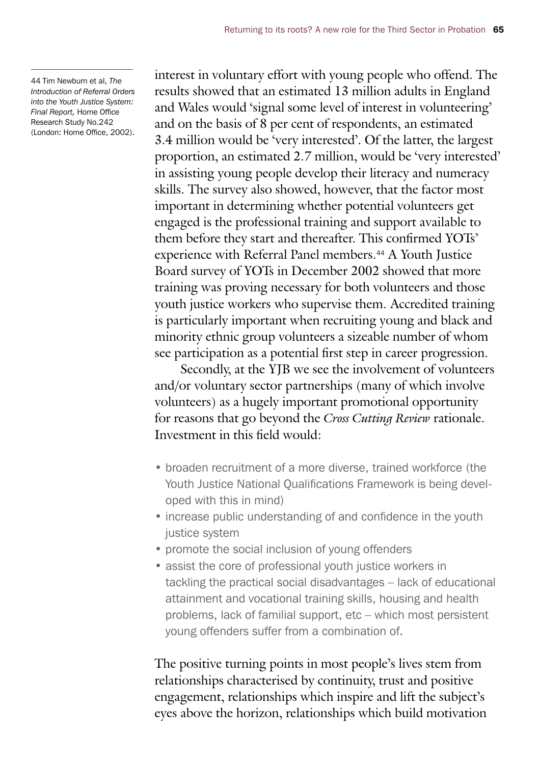44 Tim Newburn et al, *The Introduction of Referral Orders into the Youth Justice System: Final Report,* Home Office Research Study No.242 (London: Home Office, 2002).

interest in voluntary effort with young people who offend. The results showed that an estimated 13 million adults in England and Wales would 'signal some level of interest in volunteering' and on the basis of 8 per cent of respondents, an estimated 3.4 million would be 'very interested'. Of the latter, the largest proportion, an estimated 2.7 million, would be 'very interested' in assisting young people develop their literacy and numeracy skills. The survey also showed, however, that the factor most important in determining whether potential volunteers get engaged is the professional training and support available to them before they start and thereafter. This confirmed YOTs' experience with Referral Panel members.44 A Youth Justice Board survey of YOTs in December 2002 showed that more training was proving necessary for both volunteers and those youth justice workers who supervise them. Accredited training is particularly important when recruiting young and black and minority ethnic group volunteers a sizeable number of whom see participation as a potential first step in career progression.

 Secondly, at the YJB we see the involvement of volunteers and/or voluntary sector partnerships (many of which involve volunteers) as a hugely important promotional opportunity for reasons that go beyond the *Cross Cutting Review* rationale. Investment in this field would:

- broaden recruitment of a more diverse, trained workforce (the Youth Justice National Qualifications Framework is being developed with this in mind)
- increase public understanding of and confidence in the youth justice system
- promote the social inclusion of young offenders
- assist the core of professional youth justice workers in tackling the practical social disadvantages – lack of educational attainment and vocational training skills, housing and health problems, lack of familial support, etc – which most persistent young offenders suffer from a combination of.

The positive turning points in most people's lives stem from relationships characterised by continuity, trust and positive engagement, relationships which inspire and lift the subject's eyes above the horizon, relationships which build motivation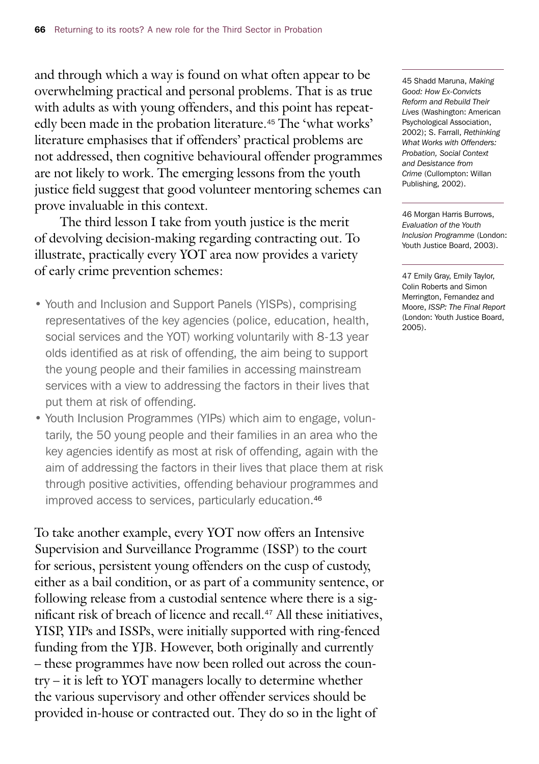and through which a way is found on what often appear to be overwhelming practical and personal problems. That is as true with adults as with young offenders, and this point has repeatedly been made in the probation literature.<sup>45</sup> The 'what works' literature emphasises that if offenders' practical problems are not addressed, then cognitive behavioural offender programmes are not likely to work. The emerging lessons from the youth justice field suggest that good volunteer mentoring schemes can prove invaluable in this context.

 The third lesson I take from youth justice is the merit of devolving decision-making regarding contracting out. To illustrate, practically every YOT area now provides a variety of early crime prevention schemes:

- Youth and Inclusion and Support Panels (YISPs), comprising representatives of the key agencies (police, education, health, social services and the YOT) working voluntarily with 8-13 year olds identified as at risk of offending, the aim being to support the young people and their families in accessing mainstream services with a view to addressing the factors in their lives that put them at risk of offending.
- Youth Inclusion Programmes (YIPs) which aim to engage, voluntarily, the 50 young people and their families in an area who the key agencies identify as most at risk of offending, again with the aim of addressing the factors in their lives that place them at risk through positive activities, offending behaviour programmes and improved access to services, particularly education.<sup>46</sup>

To take another example, every YOT now offers an Intensive Supervision and Surveillance Programme (ISSP) to the court for serious, persistent young offenders on the cusp of custody, either as a bail condition, or as part of a community sentence, or following release from a custodial sentence where there is a significant risk of breach of licence and recall.47 All these initiatives, YISP, YIPs and ISSPs, were initially supported with ring-fenced funding from the YJB. However, both originally and currently – these programmes have now been rolled out across the country – it is left to YOT managers locally to determine whether the various supervisory and other offender services should be provided in-house or contracted out. They do so in the light of

45 Shadd Maruna, *Making Good: How Ex-Convicts Reform and Rebuild Their Lives* (Washington: American Psychological Association, 2002); S. Farrall, *Rethinking What Works with Offenders: Probation, Social Context and Desistance from Crime* (Cullompton: Willan Publishing, 2002).

46 Morgan Harris Burrows, *Evaluation of the Youth Inclusion Programme* (London: Youth Justice Board, 2003).

47 Emily Gray, Emily Taylor, Colin Roberts and Simon Merrington, Fernandez and Moore, *ISSP: The Final Report* (London: Youth Justice Board, 2005).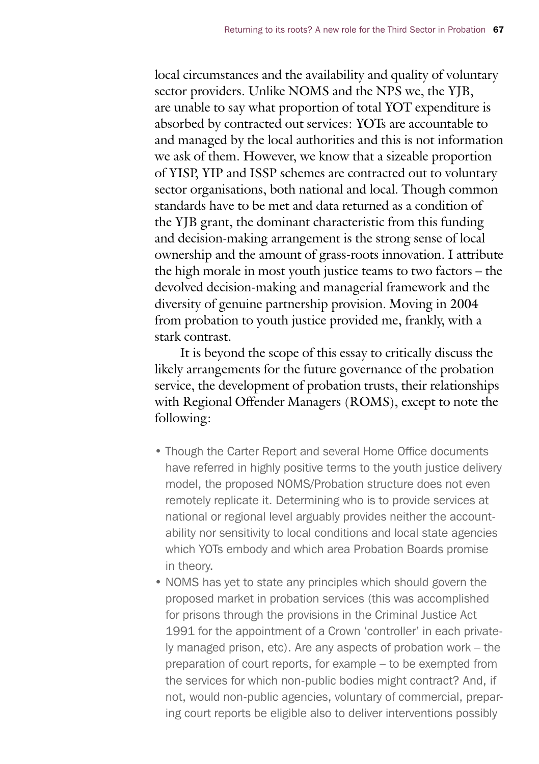local circumstances and the availability and quality of voluntary sector providers. Unlike NOMS and the NPS we, the YJB, are unable to say what proportion of total YOT expenditure is absorbed by contracted out services: YOTs are accountable to and managed by the local authorities and this is not information we ask of them. However, we know that a sizeable proportion of YISP, YIP and ISSP schemes are contracted out to voluntary sector organisations, both national and local. Though common standards have to be met and data returned as a condition of the YJB grant, the dominant characteristic from this funding and decision-making arrangement is the strong sense of local ownership and the amount of grass-roots innovation. I attribute the high morale in most youth justice teams to two factors – the devolved decision-making and managerial framework and the diversity of genuine partnership provision. Moving in 2004 from probation to youth justice provided me, frankly, with a stark contrast.

 It is beyond the scope of this essay to critically discuss the likely arrangements for the future governance of the probation service, the development of probation trusts, their relationships with Regional Offender Managers (ROMS), except to note the following:

- Though the Carter Report and several Home Office documents have referred in highly positive terms to the youth justice delivery model, the proposed NOMS/Probation structure does not even remotely replicate it. Determining who is to provide services at national or regional level arguably provides neither the accountability nor sensitivity to local conditions and local state agencies which YOTs embody and which area Probation Boards promise in theory.
- NOMS has yet to state any principles which should govern the proposed market in probation services (this was accomplished for prisons through the provisions in the Criminal Justice Act 1991 for the appointment of a Crown 'controller' in each privately managed prison, etc). Are any aspects of probation work – the preparation of court reports, for example – to be exempted from the services for which non-public bodies might contract? And, if not, would non-public agencies, voluntary of commercial, preparing court reports be eligible also to deliver interventions possibly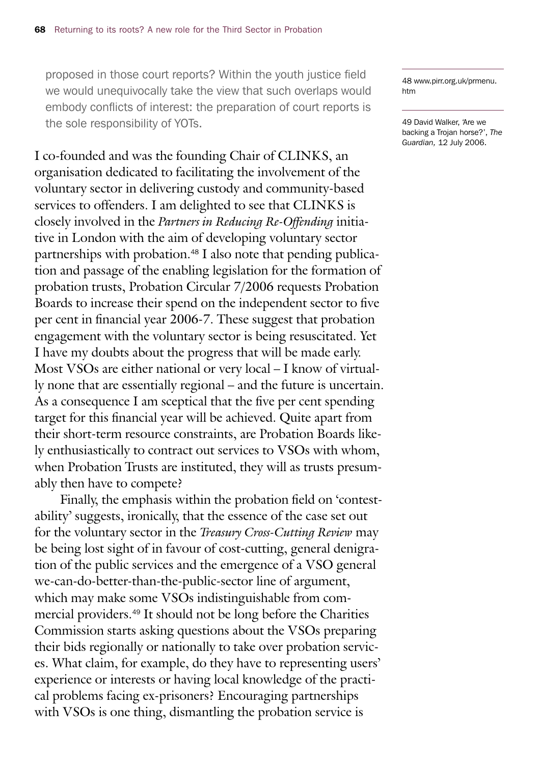proposed in those court reports? Within the youth justice field we would unequivocally take the view that such overlaps would embody conflicts of interest: the preparation of court reports is the sole responsibility of YOTs.

I co-founded and was the founding Chair of CLINKS, an organisation dedicated to facilitating the involvement of the voluntary sector in delivering custody and community-based services to offenders. I am delighted to see that CLINKS is closely involved in the *Partners in Reducing Re-Offending* initiative in London with the aim of developing voluntary sector partnerships with probation.<sup>48</sup> I also note that pending publication and passage of the enabling legislation for the formation of probation trusts, Probation Circular 7/2006 requests Probation Boards to increase their spend on the independent sector to five per cent in financial year 2006-7. These suggest that probation engagement with the voluntary sector is being resuscitated. Yet I have my doubts about the progress that will be made early. Most VSOs are either national or very local – I know of virtually none that are essentially regional – and the future is uncertain. As a consequence I am sceptical that the five per cent spending target for this financial year will be achieved. Quite apart from their short-term resource constraints, are Probation Boards likely enthusiastically to contract out services to VSOs with whom, when Probation Trusts are instituted, they will as trusts presumably then have to compete?

 Finally, the emphasis within the probation field on 'contestability' suggests, ironically, that the essence of the case set out for the voluntary sector in the *Treasury Cross-Cutting Review* may be being lost sight of in favour of cost-cutting, general denigration of the public services and the emergence of a VSO general we-can-do-better-than-the-public-sector line of argument, which may make some VSOs indistinguishable from commercial providers.49 It should not be long before the Charities Commission starts asking questions about the VSOs preparing their bids regionally or nationally to take over probation services. What claim, for example, do they have to representing users' experience or interests or having local knowledge of the practical problems facing ex-prisoners? Encouraging partnerships with VSOs is one thing, dismantling the probation service is

48 www.pirr.org.uk/prmenu. htm

49 David Walker, 'Are we backing a Trojan horse?', *The Guardian,* 12 July 2006.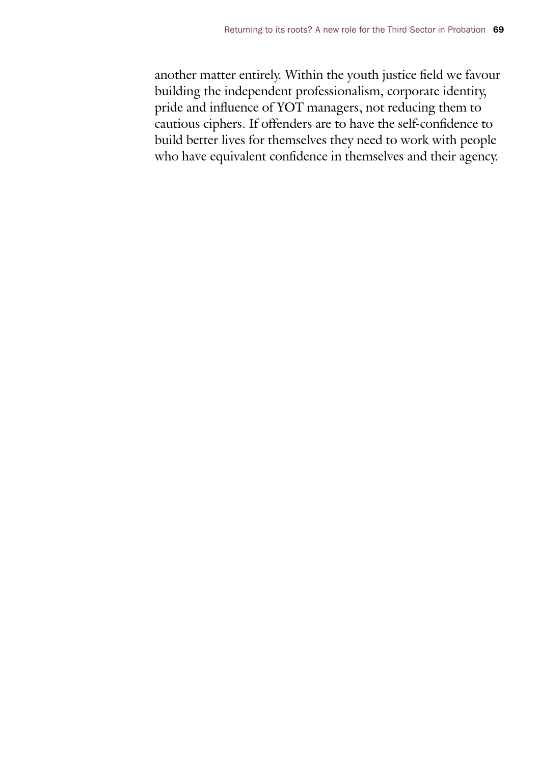another matter entirely. Within the youth justice field we favour building the independent professionalism, corporate identity, pride and influence of YOT managers, not reducing them to cautious ciphers. If offenders are to have the self-confidence to build better lives for themselves they need to work with people who have equivalent confidence in themselves and their agency.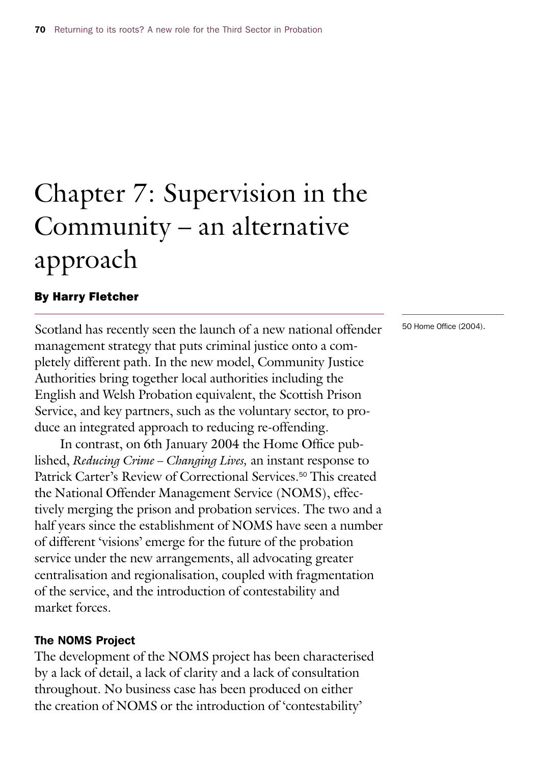# Chapter 7: Supervision in the Community – an alternative approach

#### By Harry Fletcher

Scotland has recently seen the launch of a new national offender management strategy that puts criminal justice onto a completely different path. In the new model, Community Justice Authorities bring together local authorities including the English and Welsh Probation equivalent, the Scottish Prison Service, and key partners, such as the voluntary sector, to produce an integrated approach to reducing re-offending.

 In contrast, on 6th January 2004 the Home Office published, *Reducing Crime – Changing Lives,* an instant response to Patrick Carter's Review of Correctional Services.<sup>50</sup> This created the National Offender Management Service (NOMS), effectively merging the prison and probation services. The two and a half years since the establishment of NOMS have seen a number of different 'visions' emerge for the future of the probation service under the new arrangements, all advocating greater centralisation and regionalisation, coupled with fragmentation of the service, and the introduction of contestability and market forces.

#### The NOMS Project

The development of the NOMS project has been characterised by a lack of detail, a lack of clarity and a lack of consultation throughout. No business case has been produced on either the creation of NOMS or the introduction of 'contestability'

50 Home Office (2004).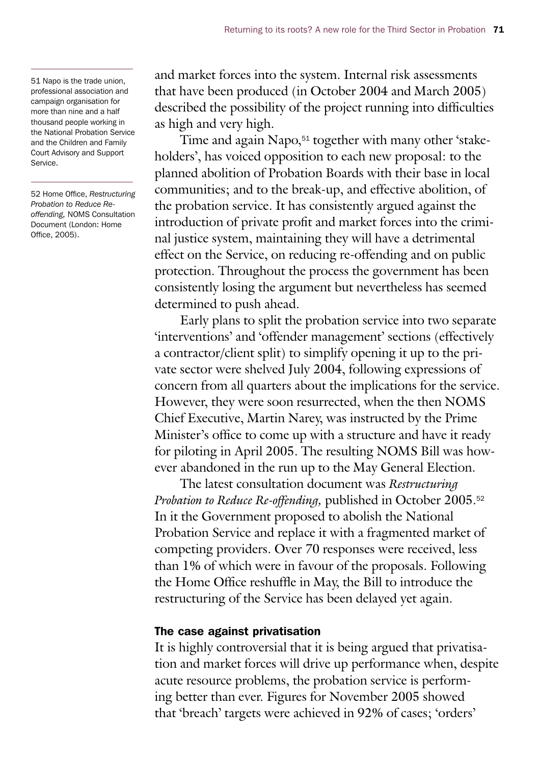51 Napo is the trade union, professional association and campaign organisation for more than nine and a half thousand people working in the National Probation Service and the Children and Family Court Advisory and Support Service.

52 Home Office, *Restructuring Probation to Reduce Reoffending,* NOMS Consultation Document (London: Home Office, 2005).

and market forces into the system. Internal risk assessments that have been produced (in October 2004 and March 2005) described the possibility of the project running into difficulties as high and very high.

Time and again Napo,<sup>51</sup> together with many other 'stakeholders', has voiced opposition to each new proposal: to the planned abolition of Probation Boards with their base in local communities; and to the break-up, and effective abolition, of the probation service. It has consistently argued against the introduction of private profit and market forces into the criminal justice system, maintaining they will have a detrimental effect on the Service, on reducing re-offending and on public protection. Throughout the process the government has been consistently losing the argument but nevertheless has seemed determined to push ahead.

 Early plans to split the probation service into two separate 'interventions' and 'offender management' sections (effectively a contractor/client split) to simplify opening it up to the private sector were shelved July 2004, following expressions of concern from all quarters about the implications for the service. However, they were soon resurrected, when the then NOMS Chief Executive, Martin Narey, was instructed by the Prime Minister's office to come up with a structure and have it ready for piloting in April 2005. The resulting NOMS Bill was however abandoned in the run up to the May General Election.

 The latest consultation document was *Restructuring Probation to Reduce Re-offending,* published in October 2005.<sup>52</sup> In it the Government proposed to abolish the National Probation Service and replace it with a fragmented market of competing providers. Over 70 responses were received, less than 1% of which were in favour of the proposals. Following the Home Office reshuffle in May, the Bill to introduce the restructuring of the Service has been delayed yet again.

#### The case against privatisation

It is highly controversial that it is being argued that privatisation and market forces will drive up performance when, despite acute resource problems, the probation service is performing better than ever. Figures for November 2005 showed that 'breach' targets were achieved in 92% of cases; 'orders'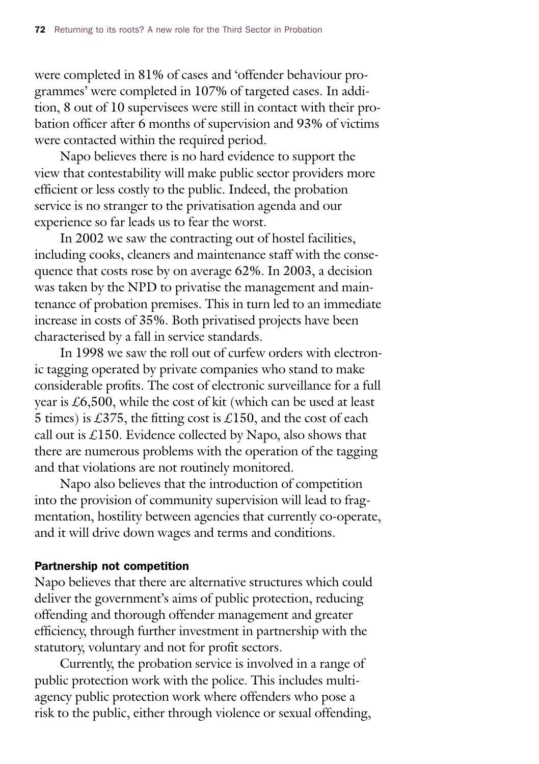were completed in 81% of cases and 'offender behaviour programmes' were completed in 107% of targeted cases. In addition, 8 out of 10 supervisees were still in contact with their probation officer after 6 months of supervision and 93% of victims were contacted within the required period.

 Napo believes there is no hard evidence to support the view that contestability will make public sector providers more efficient or less costly to the public. Indeed, the probation service is no stranger to the privatisation agenda and our experience so far leads us to fear the worst.

 In 2002 we saw the contracting out of hostel facilities, including cooks, cleaners and maintenance staff with the consequence that costs rose by on average 62%. In 2003, a decision was taken by the NPD to privatise the management and maintenance of probation premises. This in turn led to an immediate increase in costs of 35%. Both privatised projects have been characterised by a fall in service standards.

 In 1998 we saw the roll out of curfew orders with electronic tagging operated by private companies who stand to make considerable profits. The cost of electronic surveillance for a full year is £6,500, while the cost of kit (which can be used at least 5 times) is £375, the fitting cost is £150, and the cost of each call out is £150. Evidence collected by Napo, also shows that there are numerous problems with the operation of the tagging and that violations are not routinely monitored.

 Napo also believes that the introduction of competition into the provision of community supervision will lead to fragmentation, hostility between agencies that currently co-operate, and it will drive down wages and terms and conditions.

## Partnership not competition

Napo believes that there are alternative structures which could deliver the government's aims of public protection, reducing offending and thorough offender management and greater efficiency, through further investment in partnership with the statutory, voluntary and not for profit sectors.

 Currently, the probation service is involved in a range of public protection work with the police. This includes multiagency public protection work where offenders who pose a risk to the public, either through violence or sexual offending,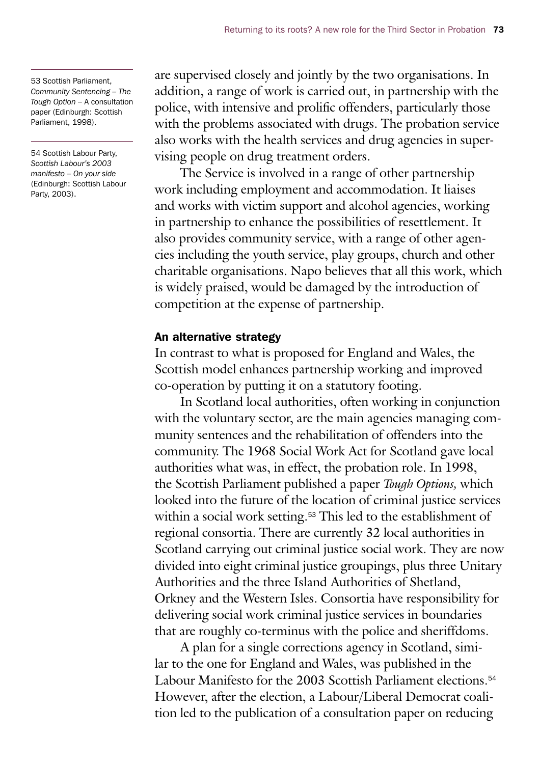53 Scottish Parliament, *Community Sentencing – The Tough Option –* A consultation paper (Edinburgh: Scottish Parliament, 1998).

54 Scottish Labour Party, *Scottish Labour's 2003 manifesto – On your side* (Edinburgh: Scottish Labour Party, 2003).

are supervised closely and jointly by the two organisations. In addition, a range of work is carried out, in partnership with the police, with intensive and prolific offenders, particularly those with the problems associated with drugs. The probation service also works with the health services and drug agencies in supervising people on drug treatment orders.

 The Service is involved in a range of other partnership work including employment and accommodation. It liaises and works with victim support and alcohol agencies, working in partnership to enhance the possibilities of resettlement. It also provides community service, with a range of other agencies including the youth service, play groups, church and other charitable organisations. Napo believes that all this work, which is widely praised, would be damaged by the introduction of competition at the expense of partnership.

## An alternative strategy

In contrast to what is proposed for England and Wales, the Scottish model enhances partnership working and improved co-operation by putting it on a statutory footing.

 In Scotland local authorities, often working in conjunction with the voluntary sector, are the main agencies managing community sentences and the rehabilitation of offenders into the community. The 1968 Social Work Act for Scotland gave local authorities what was, in effect, the probation role. In 1998, the Scottish Parliament published a paper *Tough Options,* which looked into the future of the location of criminal justice services within a social work setting.<sup>53</sup> This led to the establishment of regional consortia. There are currently 32 local authorities in Scotland carrying out criminal justice social work. They are now divided into eight criminal justice groupings, plus three Unitary Authorities and the three Island Authorities of Shetland, Orkney and the Western Isles. Consortia have responsibility for delivering social work criminal justice services in boundaries that are roughly co-terminus with the police and sheriffdoms.

 A plan for a single corrections agency in Scotland, similar to the one for England and Wales, was published in the Labour Manifesto for the 2003 Scottish Parliament elections.<sup>54</sup> However, after the election, a Labour/Liberal Democrat coalition led to the publication of a consultation paper on reducing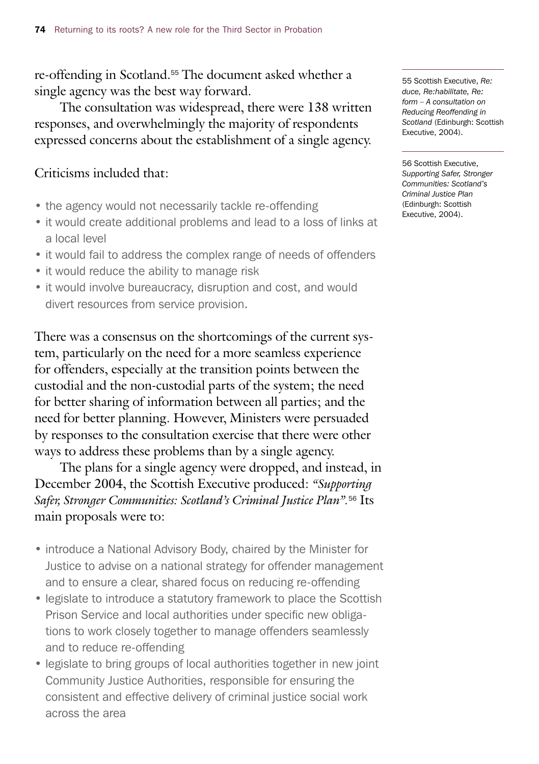re-offending in Scotland.55 The document asked whether a single agency was the best way forward.

 The consultation was widespread, there were 138 written responses, and overwhelmingly the majority of respondents expressed concerns about the establishment of a single agency.

## Criticisms included that:

- the agency would not necessarily tackle re-offending
- it would create additional problems and lead to a loss of links at a local level
- it would fail to address the complex range of needs of offenders
- it would reduce the ability to manage risk
- it would involve bureaucracy, disruption and cost, and would divert resources from service provision.

There was a consensus on the shortcomings of the current system, particularly on the need for a more seamless experience for offenders, especially at the transition points between the custodial and the non-custodial parts of the system; the need for better sharing of information between all parties; and the need for better planning. However, Ministers were persuaded by responses to the consultation exercise that there were other ways to address these problems than by a single agency.

 The plans for a single agency were dropped, and instead, in December 2004, the Scottish Executive produced: *"Supporting Safer, Stronger Communities: Scotland's Criminal Justice Plan".* <sup>56</sup> Its main proposals were to:

- introduce a National Advisory Body, chaired by the Minister for Justice to advise on a national strategy for offender management and to ensure a clear, shared focus on reducing re-offending
- legislate to introduce a statutory framework to place the Scottish Prison Service and local authorities under specific new obligations to work closely together to manage offenders seamlessly and to reduce re-offending
- legislate to bring groups of local authorities together in new joint Community Justice Authorities, responsible for ensuring the consistent and effective delivery of criminal justice social work across the area

55 Scottish Executive, *Re: duce, Re:habilitate, Re: form – A consultation on Reducing Reoffending in Scotland* (Edinburgh: Scottish Executive, 2004).

56 Scottish Executive, *Supporting Safer, Stronger Communities: Scotland's Criminal Justice Plan*  (Edinburgh: Scottish Executive, 2004).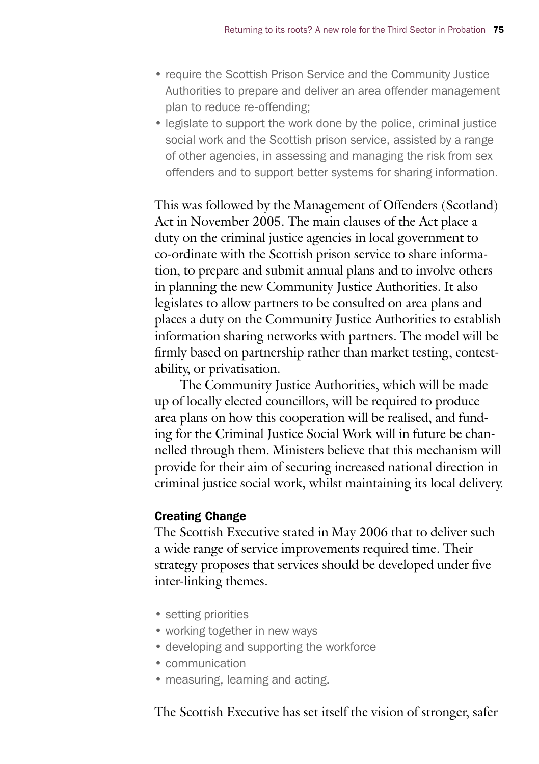- require the Scottish Prison Service and the Community Justice Authorities to prepare and deliver an area offender management plan to reduce re-offending;
- legislate to support the work done by the police, criminal justice social work and the Scottish prison service, assisted by a range of other agencies, in assessing and managing the risk from sex offenders and to support better systems for sharing information.

This was followed by the Management of Offenders (Scotland) Act in November 2005. The main clauses of the Act place a duty on the criminal justice agencies in local government to co-ordinate with the Scottish prison service to share information, to prepare and submit annual plans and to involve others in planning the new Community Justice Authorities. It also legislates to allow partners to be consulted on area plans and places a duty on the Community Justice Authorities to establish information sharing networks with partners. The model will be firmly based on partnership rather than market testing, contestability, or privatisation.

 The Community Justice Authorities, which will be made up of locally elected councillors, will be required to produce area plans on how this cooperation will be realised, and funding for the Criminal Justice Social Work will in future be channelled through them. Ministers believe that this mechanism will provide for their aim of securing increased national direction in criminal justice social work, whilst maintaining its local delivery.

## Creating Change

The Scottish Executive stated in May 2006 that to deliver such a wide range of service improvements required time. Their strategy proposes that services should be developed under five inter-linking themes.

- setting priorities
- working together in new ways
- developing and supporting the workforce
- communication
- measuring, learning and acting.

The Scottish Executive has set itself the vision of stronger, safer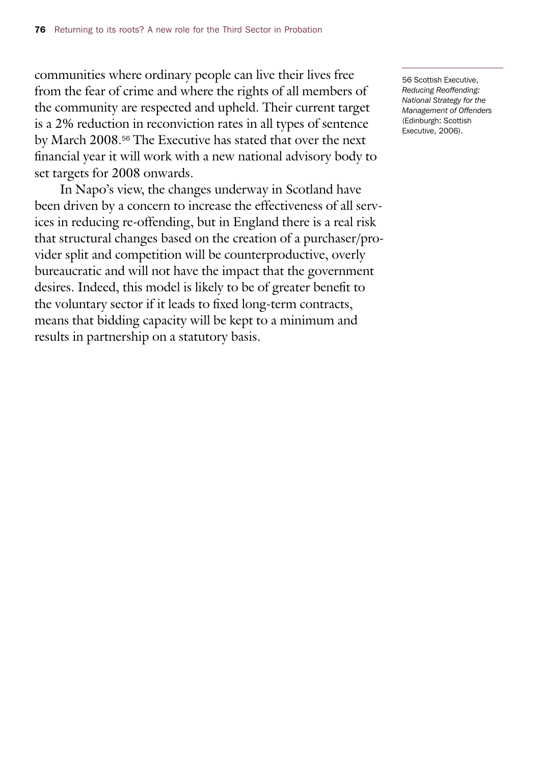communities where ordinary people can live their lives free from the fear of crime and where the rights of all members of the community are respected and upheld. Their current target is a 2% reduction in reconviction rates in all types of sentence by March 2008.56 The Executive has stated that over the next financial year it will work with a new national advisory body to set targets for 2008 onwards.

 In Napo's view, the changes underway in Scotland have been driven by a concern to increase the effectiveness of all services in reducing re-offending, but in England there is a real risk that structural changes based on the creation of a purchaser/provider split and competition will be counterproductive, overly bureaucratic and will not have the impact that the government desires. Indeed, this model is likely to be of greater benefit to the voluntary sector if it leads to fixed long-term contracts, means that bidding capacity will be kept to a minimum and results in partnership on a statutory basis.

56 Scottish Executive, *Reducing Reoffending: National Strategy for the Management of Offenders* (Edinburgh: Scottish Executive, 2006).